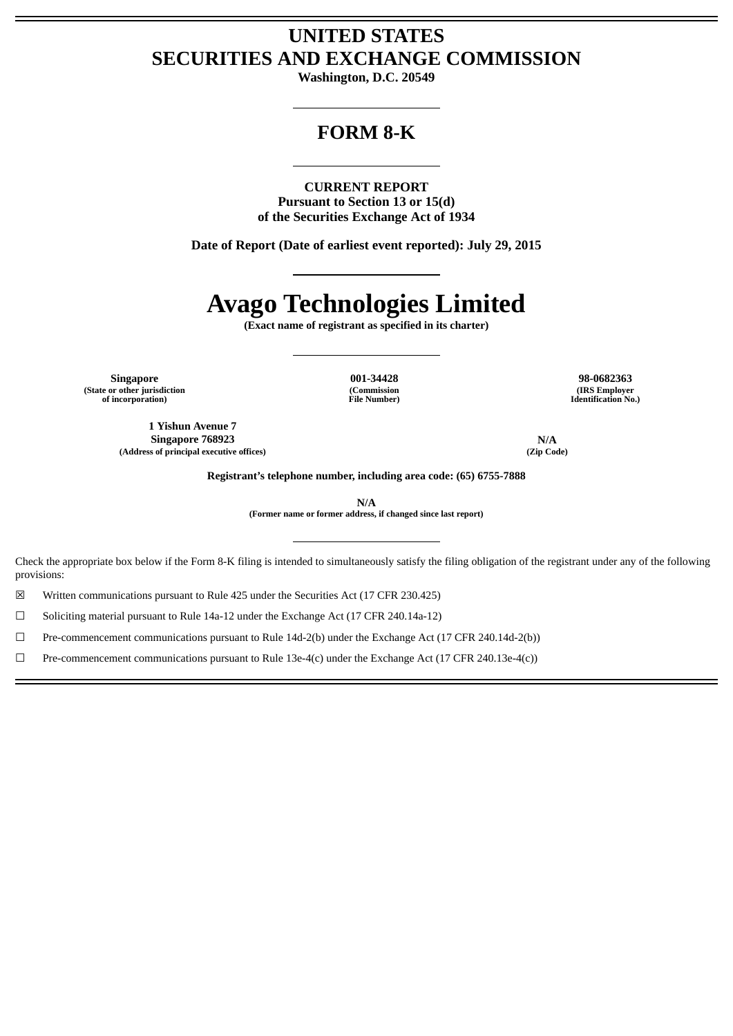# **UNITED STATES SECURITIES AND EXCHANGE COMMISSION**

**Washington, D.C. 20549**

# **FORM 8-K**

**CURRENT REPORT Pursuant to Section 13 or 15(d) of the Securities Exchange Act of 1934**

**Date of Report (Date of earliest event reported): July 29, 2015**

# **Avago Technologies Limited**

**(Exact name of registrant as specified in its charter)**

**Singapore 001-34428 98-0682363 (State or other jurisdiction of incorporation)**

**(Commission File Number)**

**(IRS Employer Identification No.)**

**1 Yishun Avenue 7 Singapore 768923 N/A**<br>
so of principal executive offices) (Zip Code) **(Address of principal executive offices) (Zip Code)**

**Registrant's telephone number, including area code: (65) 6755-7888**

**N/A**

**(Former name or former address, if changed since last report)**

Check the appropriate box below if the Form 8-K filing is intended to simultaneously satisfy the filing obligation of the registrant under any of the following provisions:

☒ Written communications pursuant to Rule 425 under the Securities Act (17 CFR 230.425)

☐ Soliciting material pursuant to Rule 14a-12 under the Exchange Act (17 CFR 240.14a-12)

☐ Pre-commencement communications pursuant to Rule 14d-2(b) under the Exchange Act (17 CFR 240.14d-2(b))

 $□$  Pre-commencement communications pursuant to Rule 13e-4(c) under the Exchange Act (17 CFR 240.13e-4(c))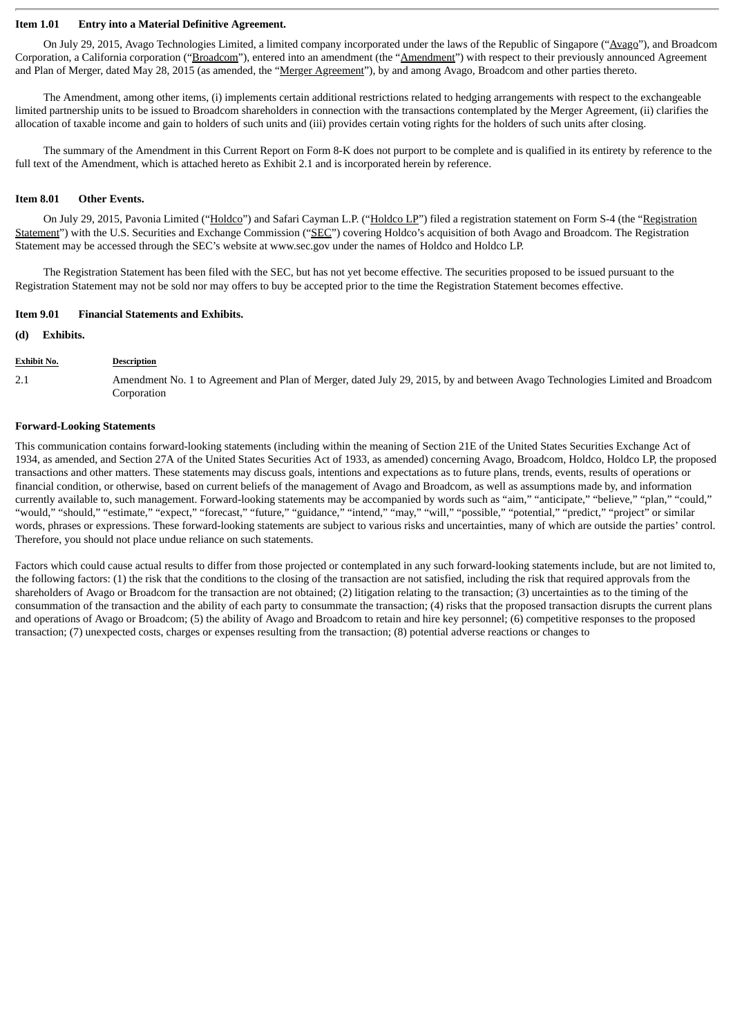#### **Item 1.01 Entry into a Material Definitive Agreement.**

On July 29, 2015, Avago Technologies Limited, a limited company incorporated under the laws of the Republic of Singapore ("Avago"), and Broadcom Corporation, a California corporation ("Broadcom"), entered into an amendment (the "Amendment") with respect to their previously announced Agreement and Plan of Merger, dated May 28, 2015 (as amended, the "Merger Agreement"), by and among Avago, Broadcom and other parties thereto.

The Amendment, among other items, (i) implements certain additional restrictions related to hedging arrangements with respect to the exchangeable limited partnership units to be issued to Broadcom shareholders in connection with the transactions contemplated by the Merger Agreement, (ii) clarifies the allocation of taxable income and gain to holders of such units and (iii) provides certain voting rights for the holders of such units after closing.

The summary of the Amendment in this Current Report on Form 8-K does not purport to be complete and is qualified in its entirety by reference to the full text of the Amendment, which is attached hereto as Exhibit 2.1 and is incorporated herein by reference.

#### **Item 8.01 Other Events.**

On July 29, 2015, Pavonia Limited ("Holdco") and Safari Cayman L.P. ("Holdco LP") filed a registration statement on Form S-4 (the "Registration Statement") with the U.S. Securities and Exchange Commission ("SEC") covering Holdco's acquisition of both Avago and Broadcom. The Registration Statement may be accessed through the SEC's website at www.sec.gov under the names of Holdco and Holdco LP.

The Registration Statement has been filed with the SEC, but has not yet become effective. The securities proposed to be issued pursuant to the Registration Statement may not be sold nor may offers to buy be accepted prior to the time the Registration Statement becomes effective.

#### **Item 9.01 Financial Statements and Exhibits.**

#### **(d) Exhibits.**

#### **Exhibit No. Description**

2.1 Amendment No. 1 to Agreement and Plan of Merger, dated July 29, 2015, by and between Avago Technologies Limited and Broadcom Corporation

#### **Forward-Looking Statements**

This communication contains forward-looking statements (including within the meaning of Section 21E of the United States Securities Exchange Act of 1934, as amended, and Section 27A of the United States Securities Act of 1933, as amended) concerning Avago, Broadcom, Holdco, Holdco LP, the proposed transactions and other matters. These statements may discuss goals, intentions and expectations as to future plans, trends, events, results of operations or financial condition, or otherwise, based on current beliefs of the management of Avago and Broadcom, as well as assumptions made by, and information currently available to, such management. Forward-looking statements may be accompanied by words such as "aim," "anticipate," "believe," "plan," "could," "would," "should," "estimate," "expect," "forecast," "future," "guidance," "intend," "may," "will," "possible," "potential," "predict," "project" or similar words, phrases or expressions. These forward-looking statements are subject to various risks and uncertainties, many of which are outside the parties' control. Therefore, you should not place undue reliance on such statements.

Factors which could cause actual results to differ from those projected or contemplated in any such forward-looking statements include, but are not limited to, the following factors: (1) the risk that the conditions to the closing of the transaction are not satisfied, including the risk that required approvals from the shareholders of Avago or Broadcom for the transaction are not obtained; (2) litigation relating to the transaction; (3) uncertainties as to the timing of the consummation of the transaction and the ability of each party to consummate the transaction; (4) risks that the proposed transaction disrupts the current plans and operations of Avago or Broadcom; (5) the ability of Avago and Broadcom to retain and hire key personnel; (6) competitive responses to the proposed transaction; (7) unexpected costs, charges or expenses resulting from the transaction; (8) potential adverse reactions or changes to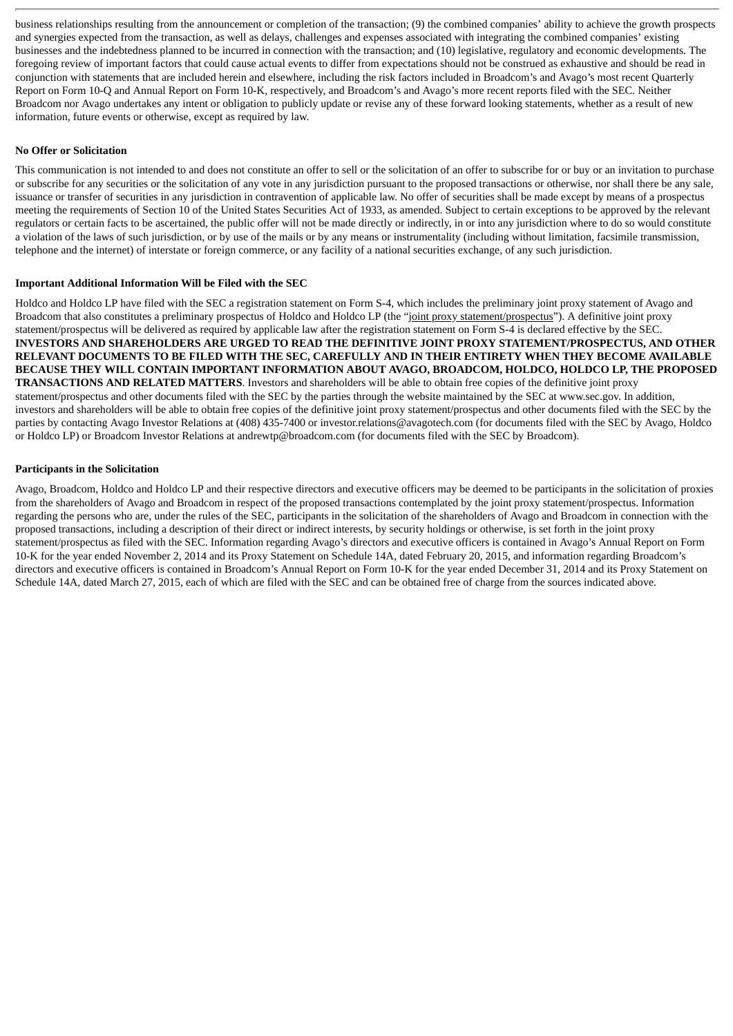business relationships resulting from the announcement or completion of the transaction; (9) the combined companies' ability to achieve the growth prospects and synergies expected from the transaction, as well as delays, challenges and expenses associated with integrating the combined companies' existing businesses and the indebtedness planned to be incurred in connection with the transaction; and (10) legislative, regulatory and economic developments. The foregoing review of important factors that could cause actual events to differ from expectations should not be construed as exhaustive and should be read in conjunction with statements that are included herein and elsewhere, including the risk factors included in Broadcom's and Avago's most recent Quarterly Report on Form 10-Q and Annual Report on Form 10-K, respectively, and Broadcom's and Avago's more recent reports filed with the SEC. Neither Broadcom nor Avago undertakes any intent or obligation to publicly update or revise any of these forward looking statements, whether as a result of new information, future events or otherwise, except as required by law.

#### **No Offer or Solicitation**

This communication is not intended to and does not constitute an offer to sell or the solicitation of an offer to subscribe for or buy or an invitation to purchase or subscribe for any securities or the solicitation of any vote in any jurisdiction pursuant to the proposed transactions or otherwise, nor shall there be any sale, issuance or transfer of securities in any jurisdiction in contravention of applicable law. No offer of securities shall be made except by means of a prospectus meeting the requirements of Section 10 of the United States Securities Act of 1933, as amended. Subject to certain exceptions to be approved by the relevant regulators or certain facts to be ascertained, the public offer will not be made directly or indirectly, in or into any jurisdiction where to do so would constitute a violation of the laws of such jurisdiction, or by use of the mails or by any means or instrumentality (including without limitation, facsimile transmission, telephone and the internet) of interstate or foreign commerce, or any facility of a national securities exchange, of any such jurisdiction.

#### **Important Additional Information Will be Filed with the SEC**

Holdco and Holdco LP have filed with the SEC a registration statement on Form S-4, which includes the preliminary joint proxy statement of Avago and Broadcom that also constitutes a preliminary prospectus of Holdco and Holdco LP (the "joint proxy statement/prospectus"). A definitive joint proxy statement/prospectus will be delivered as required by applicable law after the registration statement on Form S-4 is declared effective by the SEC. **INVESTORS AND SHAREHOLDERS ARE URGED TO READ THE DEFINITIVE JOINT PROXY STATEMENT/PROSPECTUS, AND OTHER RELEVANT DOCUMENTS TO BE FILED WITH THE SEC, CAREFULLY AND IN THEIR ENTIRETY WHEN THEY BECOME AVAILABLE BECAUSE THEY WILL CONTAIN IMPORTANT INFORMATION ABOUT AVAGO, BROADCOM, HOLDCO, HOLDCO LP, THE PROPOSED TRANSACTIONS AND RELATED MATTERS**. Investors and shareholders will be able to obtain free copies of the definitive joint proxy statement/prospectus and other documents filed with the SEC by the parties through the website maintained by the SEC at www.sec.gov. In addition, investors and shareholders will be able to obtain free copies of the definitive joint proxy statement/prospectus and other documents filed with the SEC by the parties by contacting Avago Investor Relations at (408) 435-7400 or investor.relations@avagotech.com (for documents filed with the SEC by Avago, Holdco or Holdco LP) or Broadcom Investor Relations at andrewtp@broadcom.com (for documents filed with the SEC by Broadcom).

#### **Participants in the Solicitation**

Avago, Broadcom, Holdco and Holdco LP and their respective directors and executive officers may be deemed to be participants in the solicitation of proxies from the shareholders of Avago and Broadcom in respect of the proposed transactions contemplated by the joint proxy statement/prospectus. Information regarding the persons who are, under the rules of the SEC, participants in the solicitation of the shareholders of Avago and Broadcom in connection with the proposed transactions, including a description of their direct or indirect interests, by security holdings or otherwise, is set forth in the joint proxy statement/prospectus as filed with the SEC. Information regarding Avago's directors and executive officers is contained in Avago's Annual Report on Form 10-K for the year ended November 2, 2014 and its Proxy Statement on Schedule 14A, dated February 20, 2015, and information regarding Broadcom's directors and executive officers is contained in Broadcom's Annual Report on Form 10-K for the year ended December 31, 2014 and its Proxy Statement on Schedule 14A, dated March 27, 2015, each of which are filed with the SEC and can be obtained free of charge from the sources indicated above.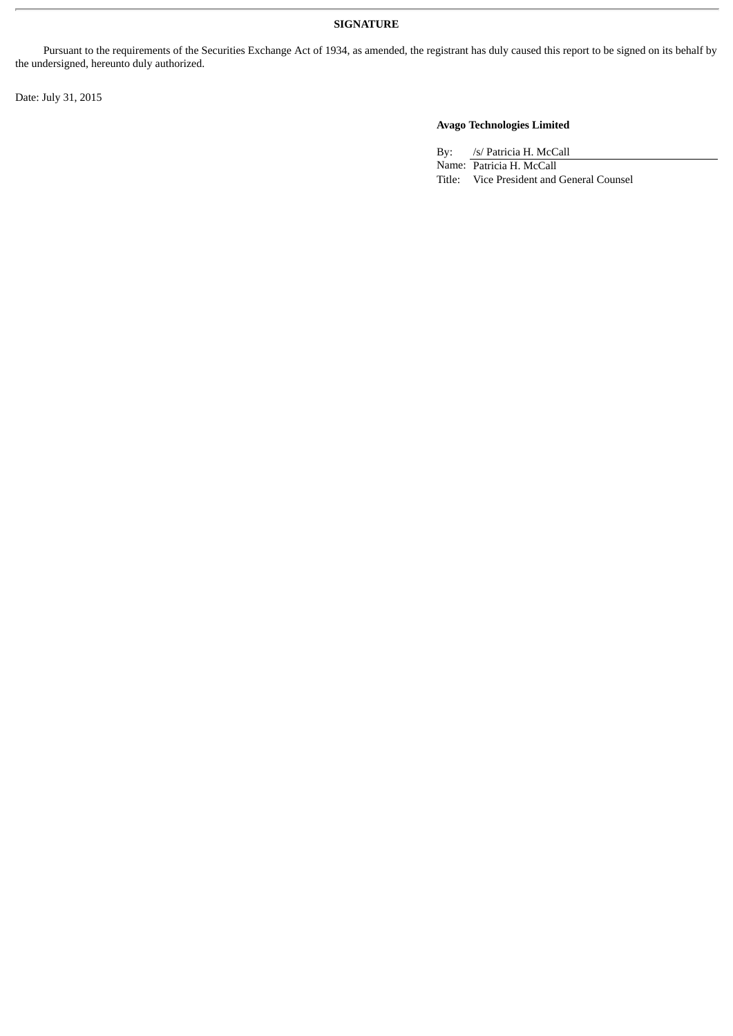#### **SIGNATURE**

Pursuant to the requirements of the Securities Exchange Act of 1934, as amended, the registrant has duly caused this report to be signed on its behalf by the undersigned, hereunto duly authorized.

Date: July 31, 2015

## **Avago Technologies Limited**

By: /s/ Patricia H. McCall Name: Patricia H. McCall Title: Vice President and General Counsel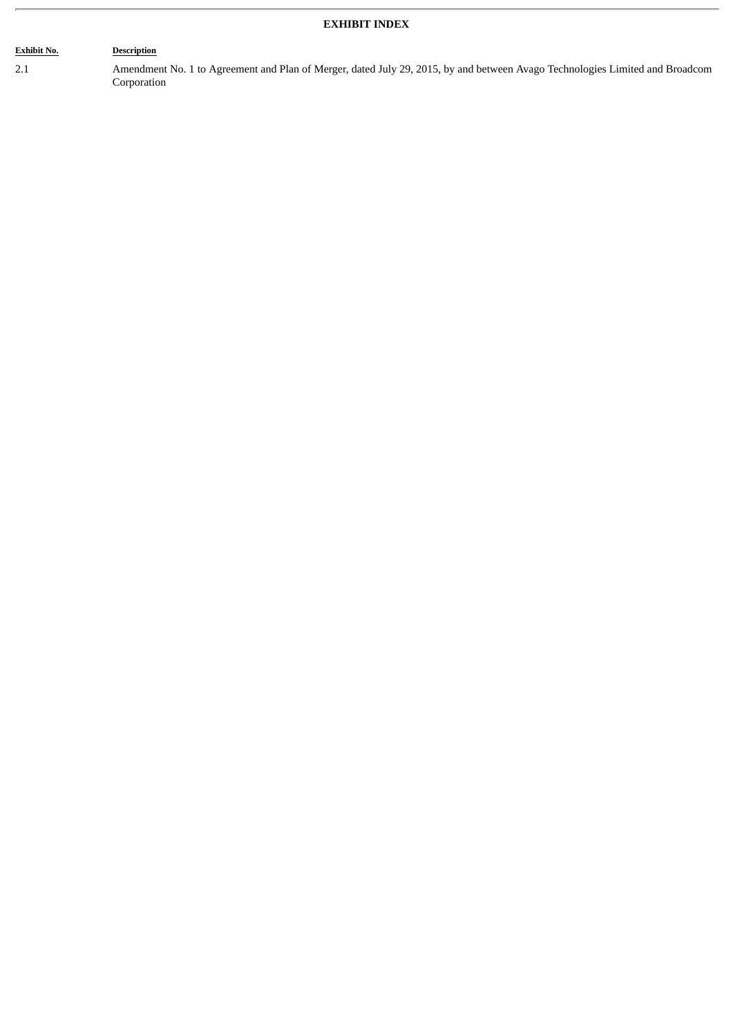# **EXHIBIT INDEX**

#### **Exhibit No. Description**

2.1 Amendment No. 1 to Agreement and Plan of Merger, dated July 29, 2015, by and between Avago Technologies Limited and Broadcom Corporation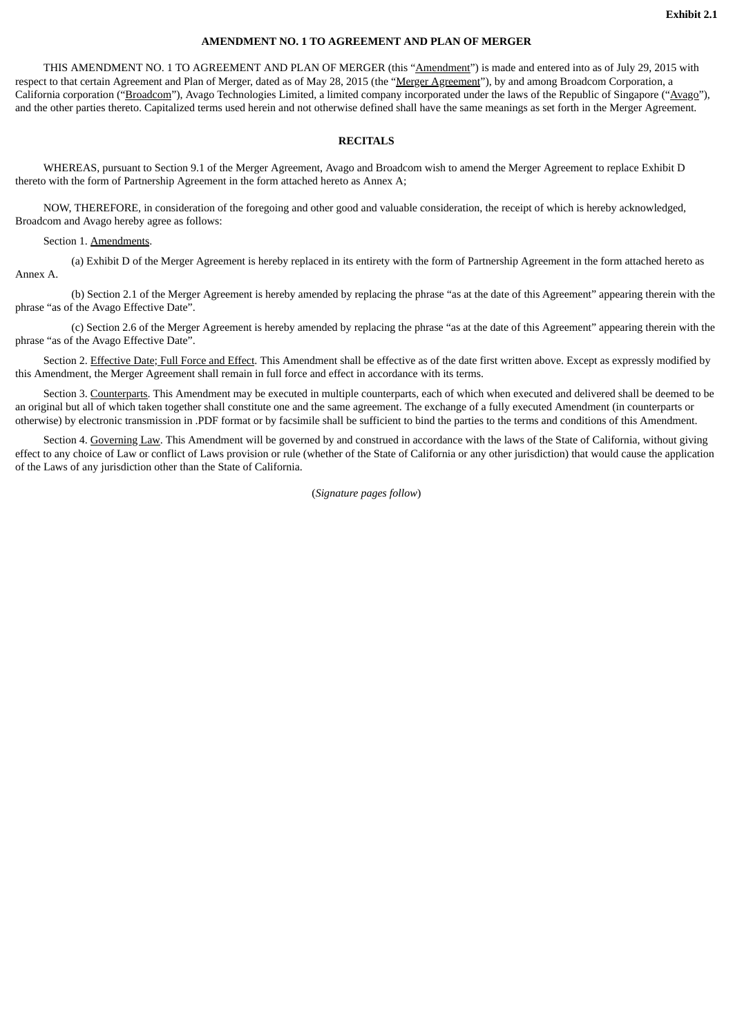#### **AMENDMENT NO. 1 TO AGREEMENT AND PLAN OF MERGER**

THIS AMENDMENT NO. 1 TO AGREEMENT AND PLAN OF MERGER (this "Amendment") is made and entered into as of July 29, 2015 with respect to that certain Agreement and Plan of Merger, dated as of May 28, 2015 (the "Merger Agreement"), by and among Broadcom Corporation, a California corporation ("Broadcom"), Avago Technologies Limited, a limited company incorporated under the laws of the Republic of Singapore ("Avago"), and the other parties thereto. Capitalized terms used herein and not otherwise defined shall have the same meanings as set forth in the Merger Agreement.

#### **RECITALS**

WHEREAS, pursuant to Section 9.1 of the Merger Agreement, Avago and Broadcom wish to amend the Merger Agreement to replace Exhibit D thereto with the form of Partnership Agreement in the form attached hereto as Annex A;

NOW, THEREFORE, in consideration of the foregoing and other good and valuable consideration, the receipt of which is hereby acknowledged, Broadcom and Avago hereby agree as follows:

Section 1. Amendments.

(a) Exhibit D of the Merger Agreement is hereby replaced in its entirety with the form of Partnership Agreement in the form attached hereto as Annex A.

(b) Section 2.1 of the Merger Agreement is hereby amended by replacing the phrase "as at the date of this Agreement" appearing therein with the phrase "as of the Avago Effective Date".

(c) Section 2.6 of the Merger Agreement is hereby amended by replacing the phrase "as at the date of this Agreement" appearing therein with the phrase "as of the Avago Effective Date".

Section 2. Effective Date; Full Force and Effect. This Amendment shall be effective as of the date first written above. Except as expressly modified by this Amendment, the Merger Agreement shall remain in full force and effect in accordance with its terms.

Section 3. Counterparts. This Amendment may be executed in multiple counterparts, each of which when executed and delivered shall be deemed to be an original but all of which taken together shall constitute one and the same agreement. The exchange of a fully executed Amendment (in counterparts or otherwise) by electronic transmission in .PDF format or by facsimile shall be sufficient to bind the parties to the terms and conditions of this Amendment.

Section 4. Governing Law. This Amendment will be governed by and construed in accordance with the laws of the State of California, without giving effect to any choice of Law or conflict of Laws provision or rule (whether of the State of California or any other jurisdiction) that would cause the application of the Laws of any jurisdiction other than the State of California.

(*Signature pages follow*)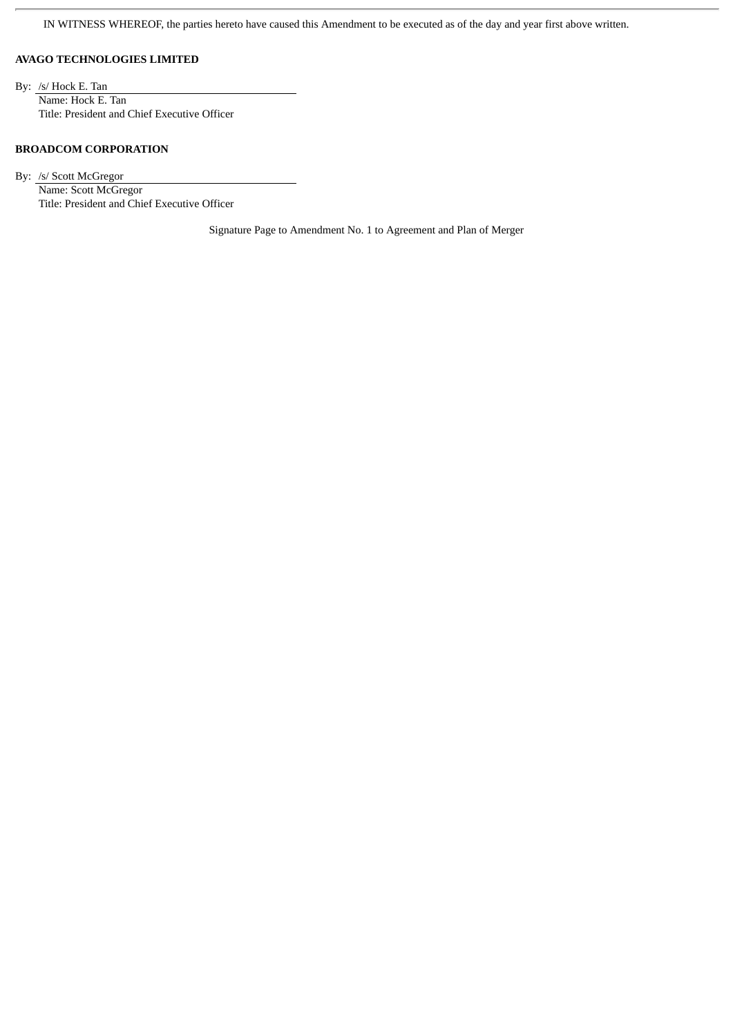IN WITNESS WHEREOF, the parties hereto have caused this Amendment to be executed as of the day and year first above written.

#### **AVAGO TECHNOLOGIES LIMITED**

By: /s/ Hock E. Tan Name: Hock E. Tan Title: President and Chief Executive Officer

#### **BROADCOM CORPORATION**

By: /s/ Scott McGregor Name: Scott McGregor Title: President and Chief Executive Officer

Signature Page to Amendment No. 1 to Agreement and Plan of Merger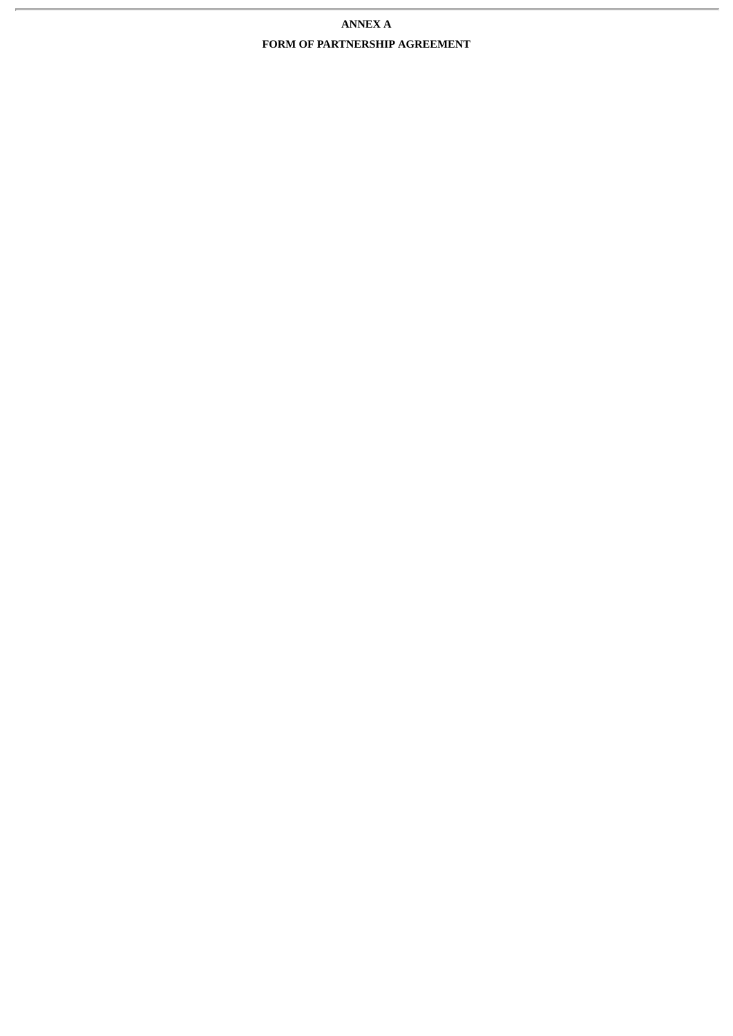# **ANNEX A FORM OF PARTNERSHIP AGREEMENT**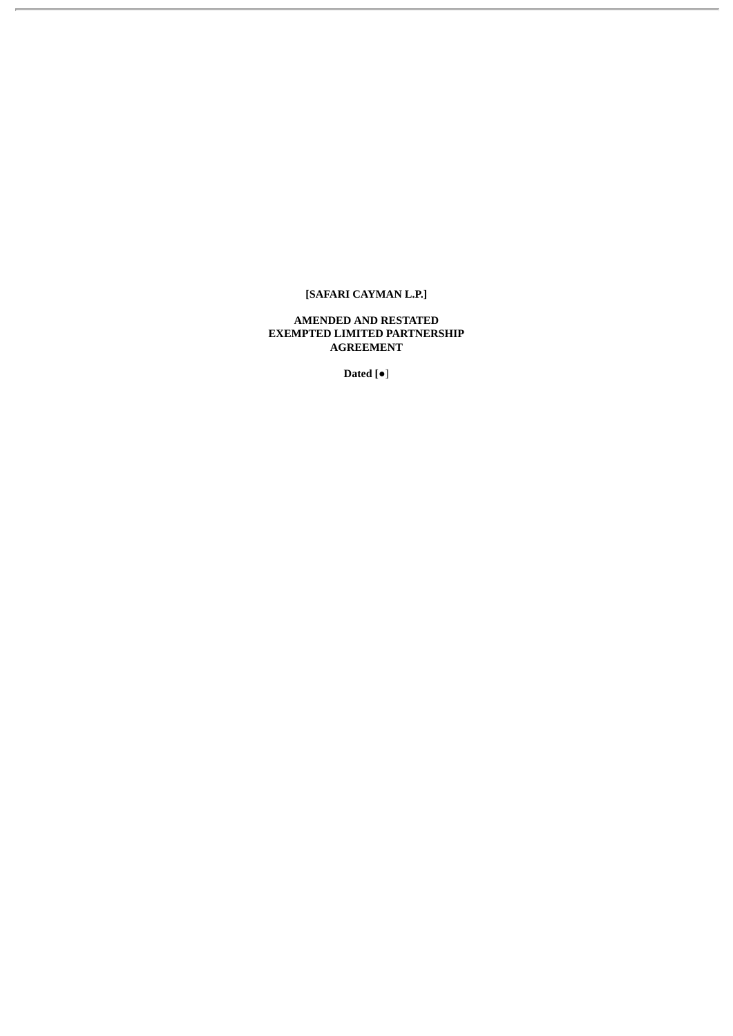# **[SAFARI CAYMAN L.P.]**

**AMENDED AND RESTATED EXEMPTED LIMITED PARTNERSHIP AGREEMENT**

**Dated [**●]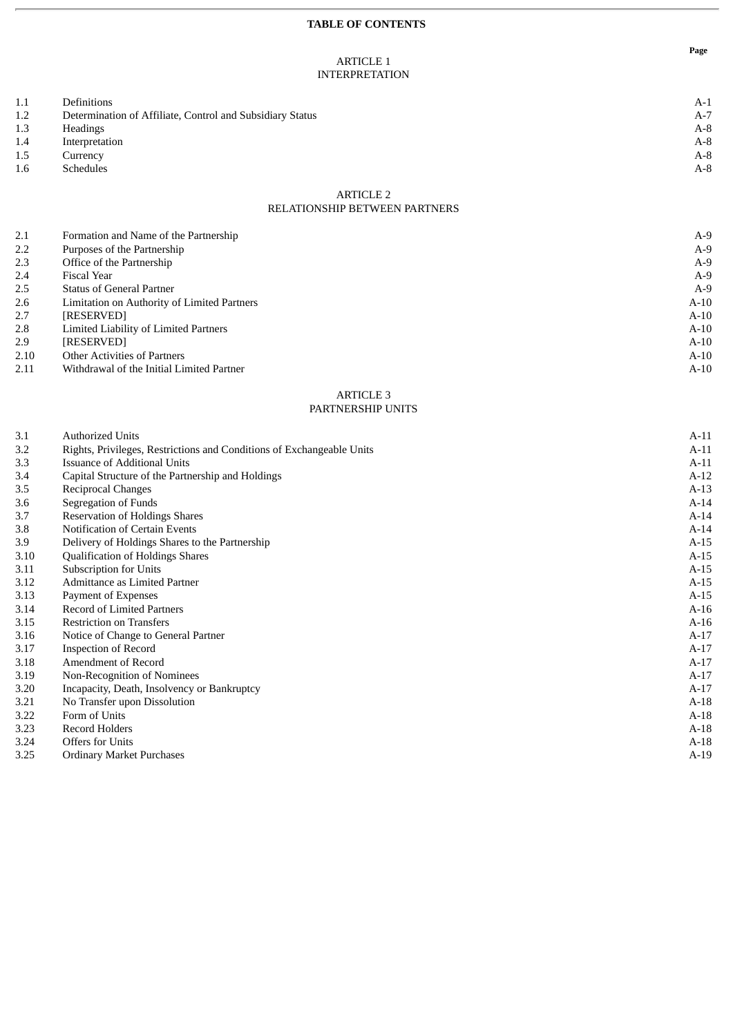#### **TABLE OF CONTENTS**

#### ARTICLE 1 INTERPRETATION

| 1.1 | Definitions                                               | $A-1$  |
|-----|-----------------------------------------------------------|--------|
| 1.2 | Determination of Affiliate, Control and Subsidiary Status | $A-7$  |
| 1.3 | <b>Headings</b>                                           | $A-8$  |
| 1.4 | Interpretation                                            | $A-8$  |
| 1.5 | Currency                                                  | $A-8$  |
| 1.6 | <b>Schedules</b>                                          | $A-8$  |
|     | <b>ARTICLE 2</b>                                          |        |
|     | <b>RELATIONSHIP BETWEEN PARTNERS</b>                      |        |
|     |                                                           |        |
| 2.1 | Formation and Name of the Partnership                     | $A-9$  |
| 2.2 | Purposes of the Partnership                               | $A-9$  |
| 2.3 | Office of the Partnership                                 | $A-9$  |
| 2.4 | <b>Fiscal Year</b>                                        | $A-9$  |
| 2.5 | <b>Status of General Partner</b>                          | $A-9$  |
| 2.6 | Limitation on Authority of Limited Partners               | $A-10$ |
| 2.7 | [RESERVED]                                                | $A-10$ |
| 2.8 | Limited Liability of Limited Partners                     | $A-10$ |
| 2.9 | [RESERVED]                                                | $A-10$ |

2.10 Other Activities of Partners A-10

2.11 Withdrawal of the Initial Limited Partner A-10

#### ARTICLE 3 PARTNERSHIP UNITS

| 3.1  | <b>Authorized Units</b>                                               | $A-11$ |
|------|-----------------------------------------------------------------------|--------|
| 3.2  | Rights, Privileges, Restrictions and Conditions of Exchangeable Units | $A-11$ |
| 3.3  | Issuance of Additional Units                                          | $A-11$ |
| 3.4  | Capital Structure of the Partnership and Holdings                     | $A-12$ |
| 3.5  | Reciprocal Changes                                                    | $A-13$ |
| 3.6  | Segregation of Funds                                                  | $A-14$ |
| 3.7  | <b>Reservation of Holdings Shares</b>                                 | $A-14$ |
| 3.8  | Notification of Certain Events                                        | $A-14$ |
| 3.9  | Delivery of Holdings Shares to the Partnership                        | $A-15$ |
| 3.10 | <b>Qualification of Holdings Shares</b>                               | $A-15$ |
| 3.11 | <b>Subscription for Units</b>                                         | $A-15$ |
| 3.12 | Admittance as Limited Partner                                         | $A-15$ |
| 3.13 | Payment of Expenses                                                   | $A-15$ |
| 3.14 | <b>Record of Limited Partners</b>                                     | $A-16$ |
| 3.15 | <b>Restriction on Transfers</b>                                       | $A-16$ |
| 3.16 | Notice of Change to General Partner                                   | $A-17$ |
| 3.17 | <b>Inspection of Record</b>                                           | $A-17$ |
| 3.18 | Amendment of Record                                                   | $A-17$ |
| 3.19 | Non-Recognition of Nominees                                           | $A-17$ |
| 3.20 | Incapacity, Death, Insolvency or Bankruptcy                           | $A-17$ |
| 3.21 | No Transfer upon Dissolution                                          | $A-18$ |
| 3.22 | Form of Units                                                         | $A-18$ |
| 3.23 | Record Holders                                                        | $A-18$ |
| 3.24 | <b>Offers for Units</b>                                               | $A-18$ |
| 3.25 | <b>Ordinary Market Purchases</b>                                      | $A-19$ |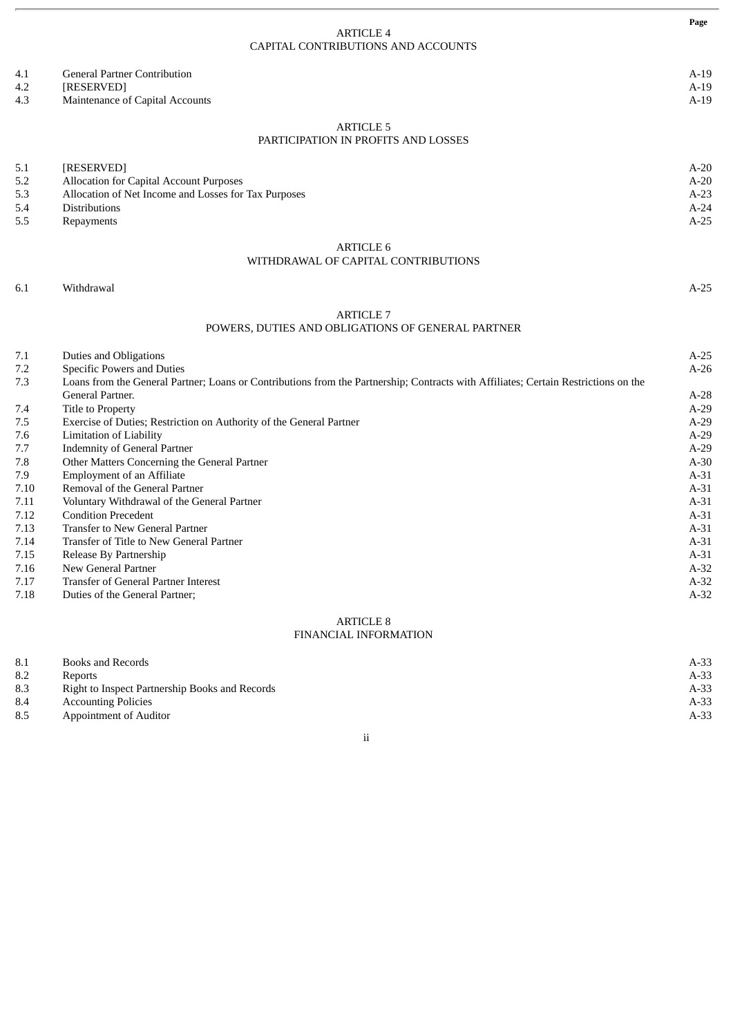|            |                                                                                                                                     | Page             |
|------------|-------------------------------------------------------------------------------------------------------------------------------------|------------------|
|            | <b>ARTICLE 4</b>                                                                                                                    |                  |
|            | CAPITAL CONTRIBUTIONS AND ACCOUNTS                                                                                                  |                  |
| 4.1        | <b>General Partner Contribution</b>                                                                                                 | $A-19$           |
| 4.2        | [RESERVED]                                                                                                                          | $A-19$           |
| 4.3        | Maintenance of Capital Accounts                                                                                                     | $A-19$           |
|            | <b>ARTICLE 5</b>                                                                                                                    |                  |
|            | PARTICIPATION IN PROFITS AND LOSSES                                                                                                 |                  |
| 5.1        | [RESERVED]                                                                                                                          | $A-20$           |
| 5.2        | Allocation for Capital Account Purposes                                                                                             | $A-20$           |
| 5.3        | Allocation of Net Income and Losses for Tax Purposes                                                                                | $A-23$           |
| 5.4        | <b>Distributions</b>                                                                                                                | $A-24$           |
| 5.5        | Repayments                                                                                                                          | $A-25$           |
|            | <b>ARTICLE 6</b>                                                                                                                    |                  |
|            | WITHDRAWAL OF CAPITAL CONTRIBUTIONS                                                                                                 |                  |
| 6.1        | Withdrawal                                                                                                                          | $A-25$           |
|            |                                                                                                                                     |                  |
|            | <b>ARTICLE 7</b><br>POWERS, DUTIES AND OBLIGATIONS OF GENERAL PARTNER                                                               |                  |
|            |                                                                                                                                     |                  |
| 7.1        | <b>Duties and Obligations</b>                                                                                                       | $A-25$           |
| 7.2        | Specific Powers and Duties                                                                                                          | $A-26$           |
| 7.3        | Loans from the General Partner; Loans or Contributions from the Partnership; Contracts with Affiliates; Certain Restrictions on the |                  |
|            | General Partner.                                                                                                                    | $A-28$<br>$A-29$ |
| 7.4        | Title to Property<br>Exercise of Duties; Restriction on Authority of the General Partner                                            | $A-29$           |
| 7.5<br>7.6 | <b>Limitation of Liability</b>                                                                                                      | $A-29$           |
| 7.7        | <b>Indemnity of General Partner</b>                                                                                                 | $A-29$           |
| 7.8        | Other Matters Concerning the General Partner                                                                                        | $A-30$           |
| 7.9        | <b>Employment of an Affiliate</b>                                                                                                   | $A-31$           |
| 7.10       | Removal of the General Partner                                                                                                      | $A-31$           |
| 7.11       | Voluntary Withdrawal of the General Partner                                                                                         | $A-31$           |
| 7.12       | <b>Condition Precedent</b>                                                                                                          | $A-31$           |
| 7.13       | <b>Transfer to New General Partner</b>                                                                                              | $A-31$           |
| 7.14       | Transfer of Title to New General Partner                                                                                            | $A-31$           |
| 7.15       | Release By Partnership                                                                                                              | $A-31$           |
| 7.16       | New General Partner                                                                                                                 | $A-32$           |
| 7.17       | Transfer of General Partner Interest                                                                                                | $A-32$           |
| 7.18       | Duties of the General Partner;                                                                                                      | $A-32$           |
|            | <b>ARTICLE 8</b>                                                                                                                    |                  |
|            |                                                                                                                                     |                  |

# FINANCIAL INFORMATION

| 8.1 | Books and Records                              | $A-33$ |
|-----|------------------------------------------------|--------|
| 8.2 | <b>Reports</b>                                 | A-33   |
| 8.3 | Right to Inspect Partnership Books and Records | $A-33$ |
| 8.4 | <b>Accounting Policies</b>                     | A-33   |
| 8.5 | Appointment of Auditor                         | A-33   |
|     |                                                |        |

ii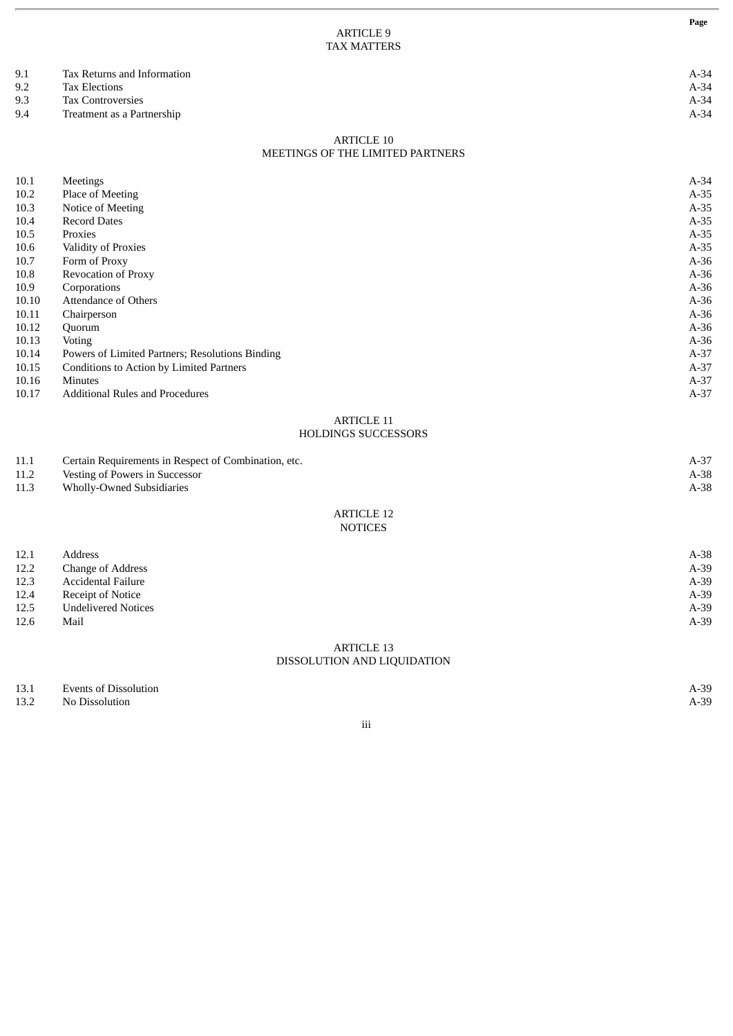|       | <b>TAX MATTERS</b>                                   |        |
|-------|------------------------------------------------------|--------|
| 9.1   | Tax Returns and Information                          | $A-34$ |
| 9.2   | <b>Tax Elections</b>                                 | $A-34$ |
| 9.3   | <b>Tax Controversies</b>                             | $A-34$ |
| 9.4   | Treatment as a Partnership                           | $A-34$ |
|       | <b>ARTICLE 10</b>                                    |        |
|       | MEETINGS OF THE LIMITED PARTNERS                     |        |
| 10.1  | Meetings                                             | $A-34$ |
| 10.2  | Place of Meeting                                     | $A-35$ |
| 10.3  | Notice of Meeting                                    | $A-35$ |
| 10.4  | <b>Record Dates</b>                                  | $A-35$ |
| 10.5  | Proxies                                              | $A-35$ |
| 10.6  | Validity of Proxies                                  | $A-35$ |
| 10.7  | Form of Proxy                                        | $A-36$ |
| 10.8  | Revocation of Proxy                                  | $A-36$ |
| 10.9  | Corporations                                         | $A-36$ |
| 10.10 | <b>Attendance of Others</b>                          | $A-36$ |
| 10.11 | Chairperson                                          | $A-36$ |
| 10.12 | Quorum                                               | $A-36$ |
| 10.13 | Voting                                               | $A-36$ |
| 10.14 | Powers of Limited Partners; Resolutions Binding      | $A-37$ |
| 10.15 | Conditions to Action by Limited Partners             | $A-37$ |
| 10.16 | <b>Minutes</b>                                       | $A-37$ |
| 10.17 | <b>Additional Rules and Procedures</b>               | $A-37$ |
|       | <b>ARTICLE 11</b>                                    |        |
|       | HOLDINGS SUCCESSORS                                  |        |
| 11.1  | Certain Requirements in Respect of Combination, etc. | $A-37$ |
| 11.2  | Vesting of Powers in Successor                       | $A-38$ |
| 11.3  | <b>Wholly-Owned Subsidiaries</b>                     | $A-38$ |
|       |                                                      |        |

ARTICLE 9

### ARTICLE 12 NOTICES

| 12.1 | Address                    | $A-38$ |
|------|----------------------------|--------|
| 12.2 | <b>Change of Address</b>   | $A-39$ |
| 12.3 | <b>Accidental Failure</b>  | $A-39$ |
| 12.4 | <b>Receipt of Notice</b>   | $A-39$ |
| 12.5 | <b>Undelivered Notices</b> | $A-39$ |
| 12.6 | Mail                       | $A-39$ |
|      |                            |        |

## ARTICLE 13 DISSOLUTION AND LIQUIDATION

13.1 Events of Dissolution A-39

13.2 No Dissolution A-39

iii

**Page**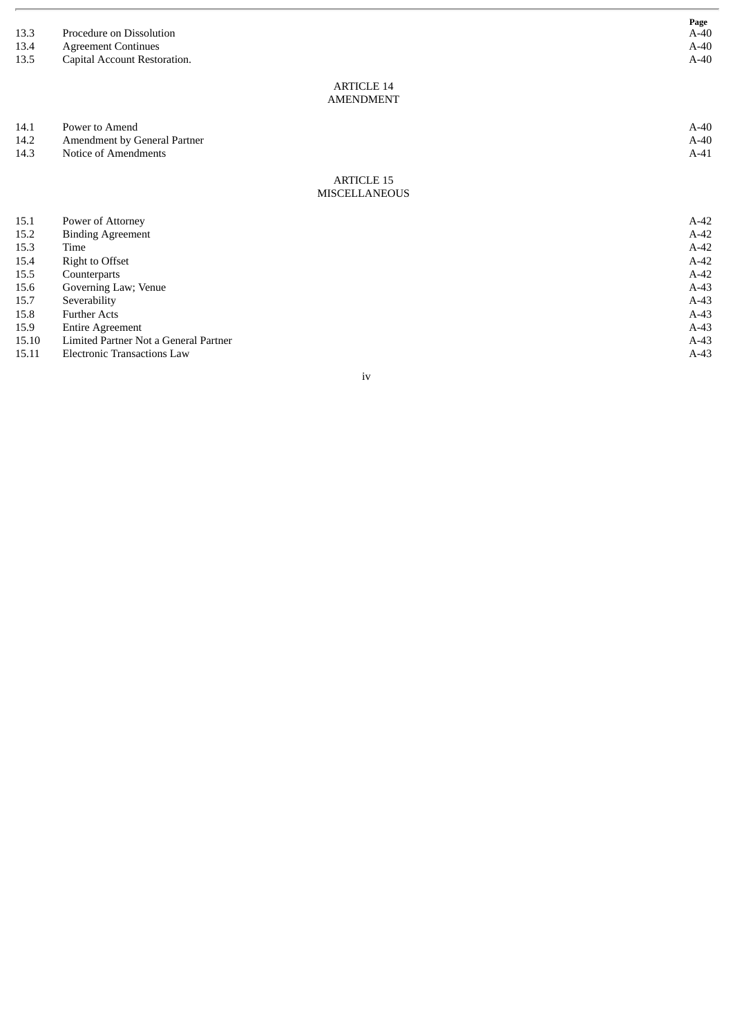| 13.3<br>13.4<br>13.5 | Procedure on Dissolution<br><b>Agreement Continues</b><br>Capital Account Restoration. | Page<br>$A-40$<br>$A-40$<br>$A-40$ |
|----------------------|----------------------------------------------------------------------------------------|------------------------------------|
|                      | <b>ARTICLE 14</b>                                                                      |                                    |
|                      | <b>AMENDMENT</b>                                                                       |                                    |
| 14.1                 | Power to Amend                                                                         | $A-40$                             |
| 14.2                 | Amendment by General Partner                                                           | $A-40$                             |
| 14.3                 | <b>Notice of Amendments</b>                                                            | $A-41$                             |
|                      | <b>ARTICLE 15</b>                                                                      |                                    |
|                      | <b>MISCELLANEOUS</b>                                                                   |                                    |
| 15.1                 | Power of Attorney                                                                      | $A-42$                             |
| 15.2                 | <b>Binding Agreement</b>                                                               | $A-42$                             |
| 15.3                 | Time                                                                                   | $A-42$                             |
| 15.4                 | <b>Right to Offset</b>                                                                 | $A-42$                             |
| 15.5                 | Counterparts                                                                           | $A-42$                             |
| 15.6                 | Governing Law; Venue                                                                   | $A-43$                             |
| 15.7                 | Severability                                                                           | $A-43$                             |
| 15.8                 | <b>Further Acts</b>                                                                    | $A-43$                             |
| 15.9                 | <b>Entire Agreement</b>                                                                | $A-43$                             |
| 15.10                | Limited Partner Not a General Partner                                                  | $A-43$                             |
| 15.11                | <b>Electronic Transactions Law</b>                                                     | $A-43$                             |

i v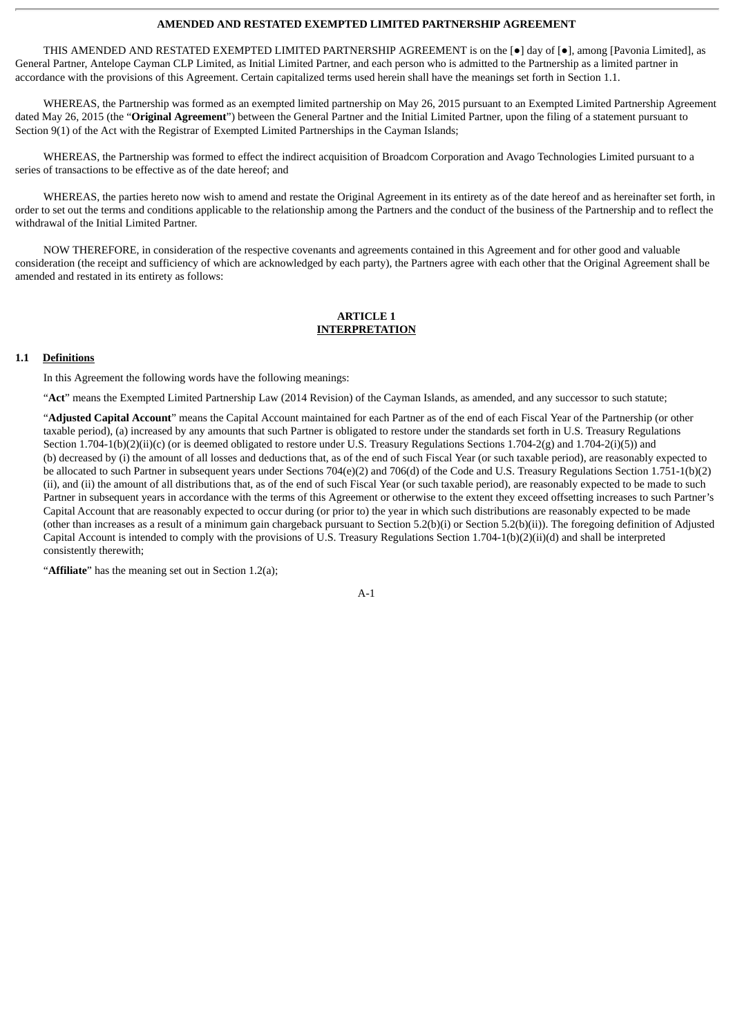#### **AMENDED AND RESTATED EXEMPTED LIMITED PARTNERSHIP AGREEMENT**

THIS AMENDED AND RESTATED EXEMPTED LIMITED PARTNERSHIP AGREEMENT is on the [●] day of [●], among [Pavonia Limited], as General Partner, Antelope Cayman CLP Limited, as Initial Limited Partner, and each person who is admitted to the Partnership as a limited partner in accordance with the provisions of this Agreement. Certain capitalized terms used herein shall have the meanings set forth in Section 1.1.

WHEREAS, the Partnership was formed as an exempted limited partnership on May 26, 2015 pursuant to an Exempted Limited Partnership Agreement dated May 26, 2015 (the "**Original Agreement**") between the General Partner and the Initial Limited Partner, upon the filing of a statement pursuant to Section 9(1) of the Act with the Registrar of Exempted Limited Partnerships in the Cayman Islands;

WHEREAS, the Partnership was formed to effect the indirect acquisition of Broadcom Corporation and Avago Technologies Limited pursuant to a series of transactions to be effective as of the date hereof; and

WHEREAS, the parties hereto now wish to amend and restate the Original Agreement in its entirety as of the date hereof and as hereinafter set forth, in order to set out the terms and conditions applicable to the relationship among the Partners and the conduct of the business of the Partnership and to reflect the withdrawal of the Initial Limited Partner.

NOW THEREFORE, in consideration of the respective covenants and agreements contained in this Agreement and for other good and valuable consideration (the receipt and sufficiency of which are acknowledged by each party), the Partners agree with each other that the Original Agreement shall be amended and restated in its entirety as follows:

#### **ARTICLE 1 INTERPRETATION**

#### **1.1 Definitions**

In this Agreement the following words have the following meanings:

"**Act**" means the Exempted Limited Partnership Law (2014 Revision) of the Cayman Islands, as amended, and any successor to such statute;

"**Adjusted Capital Account**" means the Capital Account maintained for each Partner as of the end of each Fiscal Year of the Partnership (or other taxable period), (a) increased by any amounts that such Partner is obligated to restore under the standards set forth in U.S. Treasury Regulations Section 1.704-1(b)(2)(ii)(c) (or is deemed obligated to restore under U.S. Treasury Regulations Sections 1.704-2(g) and 1.704-2(i)(5)) and (b) decreased by (i) the amount of all losses and deductions that, as of the end of such Fiscal Year (or such taxable period), are reasonably expected to be allocated to such Partner in subsequent years under Sections 704(e)(2) and 706(d) of the Code and U.S. Treasury Regulations Section 1.751-1(b)(2) (ii), and (ii) the amount of all distributions that, as of the end of such Fiscal Year (or such taxable period), are reasonably expected to be made to such Partner in subsequent years in accordance with the terms of this Agreement or otherwise to the extent they exceed offsetting increases to such Partner's Capital Account that are reasonably expected to occur during (or prior to) the year in which such distributions are reasonably expected to be made (other than increases as a result of a minimum gain chargeback pursuant to Section 5.2(b)(i) or Section 5.2(b)(ii)). The foregoing definition of Adjusted Capital Account is intended to comply with the provisions of U.S. Treasury Regulations Section 1.704-1(b)(2)(ii)(d) and shall be interpreted consistently therewith;

"**Affiliate**" has the meaning set out in Section 1.2(a);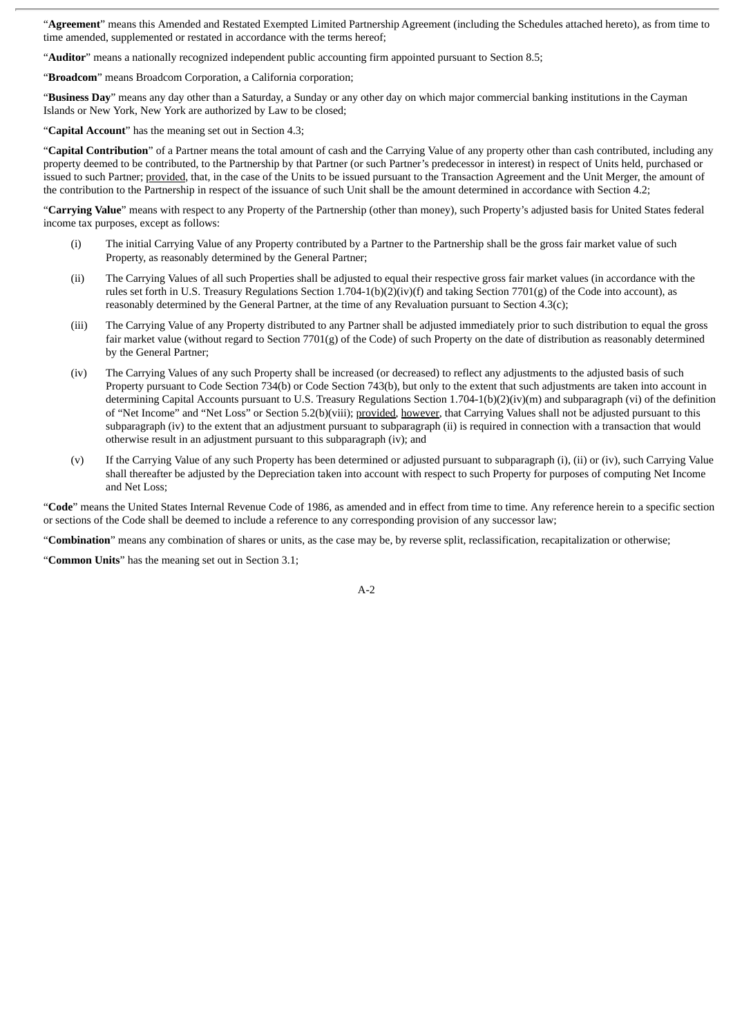"**Agreement**" means this Amended and Restated Exempted Limited Partnership Agreement (including the Schedules attached hereto), as from time to time amended, supplemented or restated in accordance with the terms hereof;

"**Auditor**" means a nationally recognized independent public accounting firm appointed pursuant to Section 8.5;

"**Broadcom**" means Broadcom Corporation, a California corporation;

"**Business Day**" means any day other than a Saturday, a Sunday or any other day on which major commercial banking institutions in the Cayman Islands or New York, New York are authorized by Law to be closed;

"**Capital Account**" has the meaning set out in Section 4.3;

"**Capital Contribution**" of a Partner means the total amount of cash and the Carrying Value of any property other than cash contributed, including any property deemed to be contributed, to the Partnership by that Partner (or such Partner's predecessor in interest) in respect of Units held, purchased or issued to such Partner; provided, that, in the case of the Units to be issued pursuant to the Transaction Agreement and the Unit Merger, the amount of the contribution to the Partnership in respect of the issuance of such Unit shall be the amount determined in accordance with Section 4.2;

"**Carrying Value**" means with respect to any Property of the Partnership (other than money), such Property's adjusted basis for United States federal income tax purposes, except as follows:

- (i) The initial Carrying Value of any Property contributed by a Partner to the Partnership shall be the gross fair market value of such Property, as reasonably determined by the General Partner;
- (ii) The Carrying Values of all such Properties shall be adjusted to equal their respective gross fair market values (in accordance with the rules set forth in U.S. Treasury Regulations Section 1.704-1(b)(2)(iv)(f) and taking Section 7701(g) of the Code into account), as reasonably determined by the General Partner, at the time of any Revaluation pursuant to Section 4.3(c);
- (iii) The Carrying Value of any Property distributed to any Partner shall be adjusted immediately prior to such distribution to equal the gross fair market value (without regard to Section 7701(g) of the Code) of such Property on the date of distribution as reasonably determined by the General Partner;
- (iv) The Carrying Values of any such Property shall be increased (or decreased) to reflect any adjustments to the adjusted basis of such Property pursuant to Code Section 734(b) or Code Section 743(b), but only to the extent that such adjustments are taken into account in determining Capital Accounts pursuant to U.S. Treasury Regulations Section 1.704-1(b)(2)(iv)(m) and subparagraph (vi) of the definition of "Net Income" and "Net Loss" or Section 5.2(b)(viii); provided, however, that Carrying Values shall not be adjusted pursuant to this subparagraph (iv) to the extent that an adjustment pursuant to subparagraph (ii) is required in connection with a transaction that would otherwise result in an adjustment pursuant to this subparagraph (iv); and
- (v) If the Carrying Value of any such Property has been determined or adjusted pursuant to subparagraph (i), (ii) or (iv), such Carrying Value shall thereafter be adjusted by the Depreciation taken into account with respect to such Property for purposes of computing Net Income and Net Loss;

"**Code**" means the United States Internal Revenue Code of 1986, as amended and in effect from time to time. Any reference herein to a specific section or sections of the Code shall be deemed to include a reference to any corresponding provision of any successor law;

"**Combination**" means any combination of shares or units, as the case may be, by reverse split, reclassification, recapitalization or otherwise;

"**Common Units**" has the meaning set out in Section 3.1;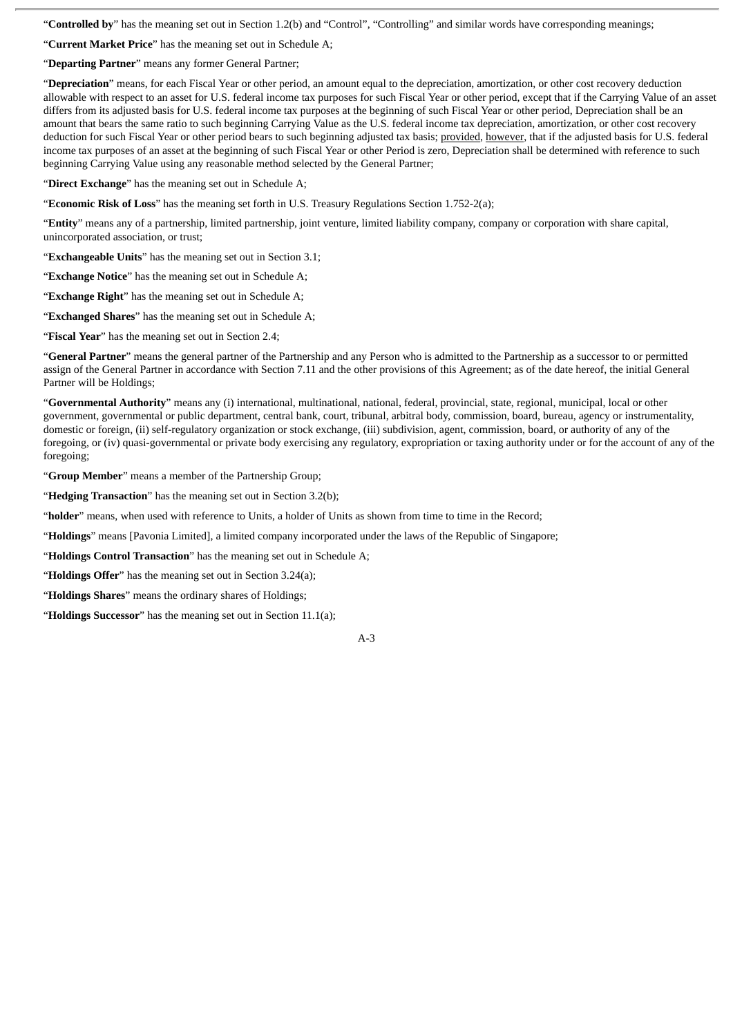"**Controlled by**" has the meaning set out in Section 1.2(b) and "Control", "Controlling" and similar words have corresponding meanings;

"**Current Market Price**" has the meaning set out in Schedule A;

"**Departing Partner**" means any former General Partner;

"**Depreciation**" means, for each Fiscal Year or other period, an amount equal to the depreciation, amortization, or other cost recovery deduction allowable with respect to an asset for U.S. federal income tax purposes for such Fiscal Year or other period, except that if the Carrying Value of an asset differs from its adjusted basis for U.S. federal income tax purposes at the beginning of such Fiscal Year or other period, Depreciation shall be an amount that bears the same ratio to such beginning Carrying Value as the U.S. federal income tax depreciation, amortization, or other cost recovery deduction for such Fiscal Year or other period bears to such beginning adjusted tax basis; provided, however, that if the adjusted basis for U.S. federal income tax purposes of an asset at the beginning of such Fiscal Year or other Period is zero, Depreciation shall be determined with reference to such beginning Carrying Value using any reasonable method selected by the General Partner;

"**Direct Exchange**" has the meaning set out in Schedule A;

"**Economic Risk of Loss**" has the meaning set forth in U.S. Treasury Regulations Section 1.752-2(a);

"**Entity**" means any of a partnership, limited partnership, joint venture, limited liability company, company or corporation with share capital, unincorporated association, or trust;

"**Exchangeable Units**" has the meaning set out in Section 3.1;

"**Exchange Notice**" has the meaning set out in Schedule A;

"**Exchange Right**" has the meaning set out in Schedule A;

"**Exchanged Shares**" has the meaning set out in Schedule A;

"**Fiscal Year**" has the meaning set out in Section 2.4;

"**General Partner**" means the general partner of the Partnership and any Person who is admitted to the Partnership as a successor to or permitted assign of the General Partner in accordance with Section 7.11 and the other provisions of this Agreement; as of the date hereof, the initial General Partner will be Holdings;

"**Governmental Authority**" means any (i) international, multinational, national, federal, provincial, state, regional, municipal, local or other government, governmental or public department, central bank, court, tribunal, arbitral body, commission, board, bureau, agency or instrumentality, domestic or foreign, (ii) self-regulatory organization or stock exchange, (iii) subdivision, agent, commission, board, or authority of any of the foregoing, or (iv) quasi-governmental or private body exercising any regulatory, expropriation or taxing authority under or for the account of any of the foregoing;

"**Group Member**" means a member of the Partnership Group;

"**Hedging Transaction**" has the meaning set out in Section 3.2(b);

"**holder**" means, when used with reference to Units, a holder of Units as shown from time to time in the Record;

"**Holdings**" means [Pavonia Limited], a limited company incorporated under the laws of the Republic of Singapore;

"**Holdings Control Transaction**" has the meaning set out in Schedule A;

"**Holdings Offer**" has the meaning set out in Section 3.24(a);

"**Holdings Shares**" means the ordinary shares of Holdings;

"**Holdings Successor**" has the meaning set out in Section 11.1(a);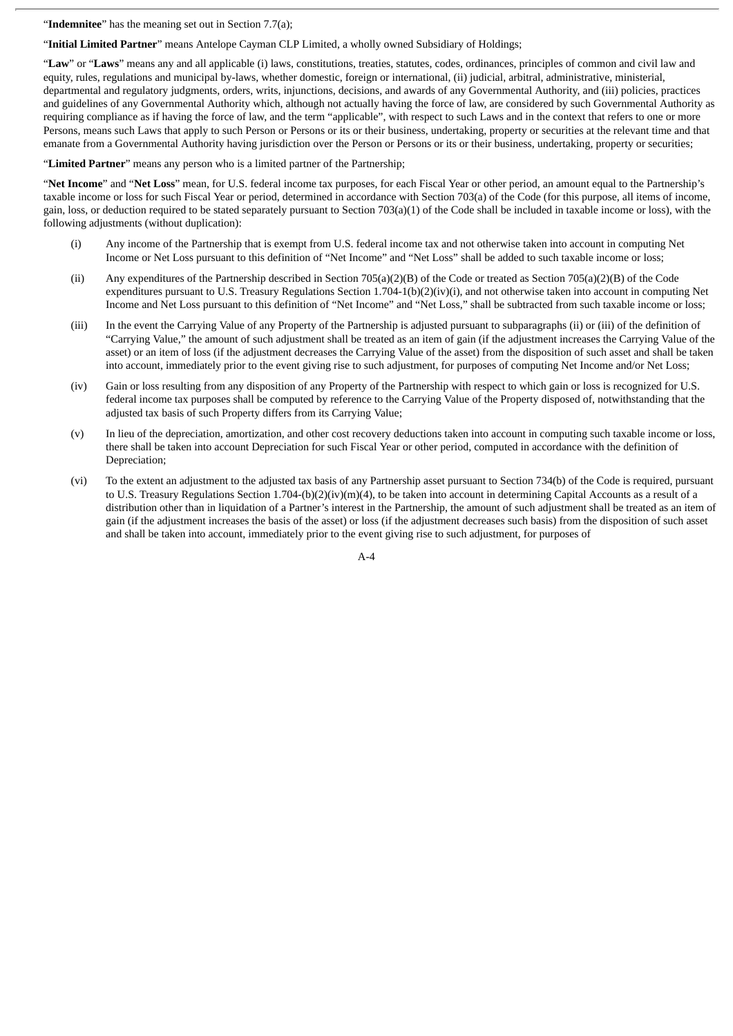"**Indemnitee**" has the meaning set out in Section 7.7(a);

"**Initial Limited Partner**" means Antelope Cayman CLP Limited, a wholly owned Subsidiary of Holdings;

"**Law**" or "**Laws**" means any and all applicable (i) laws, constitutions, treaties, statutes, codes, ordinances, principles of common and civil law and equity, rules, regulations and municipal by-laws, whether domestic, foreign or international, (ii) judicial, arbitral, administrative, ministerial, departmental and regulatory judgments, orders, writs, injunctions, decisions, and awards of any Governmental Authority, and (iii) policies, practices and guidelines of any Governmental Authority which, although not actually having the force of law, are considered by such Governmental Authority as requiring compliance as if having the force of law, and the term "applicable", with respect to such Laws and in the context that refers to one or more Persons, means such Laws that apply to such Person or Persons or its or their business, undertaking, property or securities at the relevant time and that emanate from a Governmental Authority having jurisdiction over the Person or Persons or its or their business, undertaking, property or securities;

"**Limited Partner**" means any person who is a limited partner of the Partnership;

"**Net Income**" and "**Net Loss**" mean, for U.S. federal income tax purposes, for each Fiscal Year or other period, an amount equal to the Partnership's taxable income or loss for such Fiscal Year or period, determined in accordance with Section 703(a) of the Code (for this purpose, all items of income, gain, loss, or deduction required to be stated separately pursuant to Section 703(a)(1) of the Code shall be included in taxable income or loss), with the following adjustments (without duplication):

- (i) Any income of the Partnership that is exempt from U.S. federal income tax and not otherwise taken into account in computing Net Income or Net Loss pursuant to this definition of "Net Income" and "Net Loss" shall be added to such taxable income or loss;
- (ii) Any expenditures of the Partnership described in Section 705(a)(2)(B) of the Code or treated as Section 705(a)(2)(B) of the Code expenditures pursuant to U.S. Treasury Regulations Section 1.704-1(b)(2)(iv)(i), and not otherwise taken into account in computing Net Income and Net Loss pursuant to this definition of "Net Income" and "Net Loss," shall be subtracted from such taxable income or loss;
- (iii) In the event the Carrying Value of any Property of the Partnership is adjusted pursuant to subparagraphs (ii) or (iii) of the definition of "Carrying Value," the amount of such adjustment shall be treated as an item of gain (if the adjustment increases the Carrying Value of the asset) or an item of loss (if the adjustment decreases the Carrying Value of the asset) from the disposition of such asset and shall be taken into account, immediately prior to the event giving rise to such adjustment, for purposes of computing Net Income and/or Net Loss;
- (iv) Gain or loss resulting from any disposition of any Property of the Partnership with respect to which gain or loss is recognized for U.S. federal income tax purposes shall be computed by reference to the Carrying Value of the Property disposed of, notwithstanding that the adjusted tax basis of such Property differs from its Carrying Value;
- (v) In lieu of the depreciation, amortization, and other cost recovery deductions taken into account in computing such taxable income or loss, there shall be taken into account Depreciation for such Fiscal Year or other period, computed in accordance with the definition of Depreciation;
- (vi) To the extent an adjustment to the adjusted tax basis of any Partnership asset pursuant to Section 734(b) of the Code is required, pursuant to U.S. Treasury Regulations Section 1.704-(b)(2)(iv)(m)(4), to be taken into account in determining Capital Accounts as a result of a distribution other than in liquidation of a Partner's interest in the Partnership, the amount of such adjustment shall be treated as an item of gain (if the adjustment increases the basis of the asset) or loss (if the adjustment decreases such basis) from the disposition of such asset and shall be taken into account, immediately prior to the event giving rise to such adjustment, for purposes of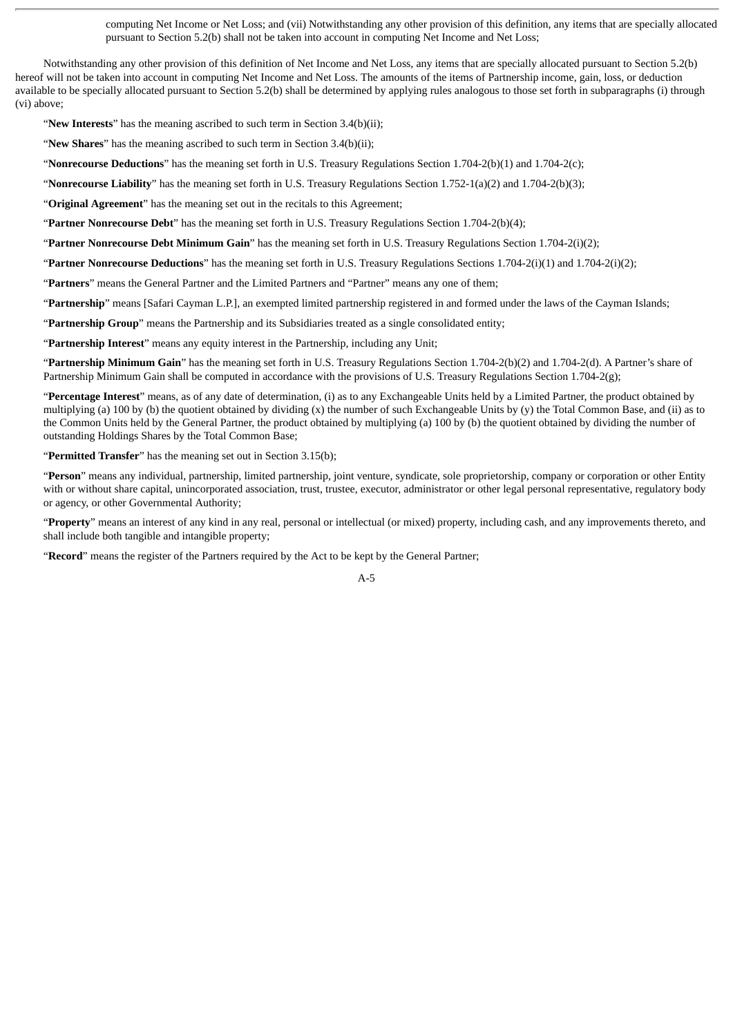computing Net Income or Net Loss; and (vii) Notwithstanding any other provision of this definition, any items that are specially allocated pursuant to Section 5.2(b) shall not be taken into account in computing Net Income and Net Loss;

Notwithstanding any other provision of this definition of Net Income and Net Loss, any items that are specially allocated pursuant to Section 5.2(b) hereof will not be taken into account in computing Net Income and Net Loss. The amounts of the items of Partnership income, gain, loss, or deduction available to be specially allocated pursuant to Section 5.2(b) shall be determined by applying rules analogous to those set forth in subparagraphs (i) through (vi) above;

"**New Interests**" has the meaning ascribed to such term in Section 3.4(b)(ii);

"**New Shares**" has the meaning ascribed to such term in Section 3.4(b)(ii);

"**Nonrecourse Deductions**" has the meaning set forth in U.S. Treasury Regulations Section 1.704-2(b)(1) and 1.704-2(c);

"**Nonrecourse Liability**" has the meaning set forth in U.S. Treasury Regulations Section 1.752-1(a)(2) and 1.704-2(b)(3);

"**Original Agreement**" has the meaning set out in the recitals to this Agreement;

"**Partner Nonrecourse Debt**" has the meaning set forth in U.S. Treasury Regulations Section 1.704-2(b)(4);

"**Partner Nonrecourse Debt Minimum Gain**" has the meaning set forth in U.S. Treasury Regulations Section 1.704-2(i)(2);

"**Partner Nonrecourse Deductions**" has the meaning set forth in U.S. Treasury Regulations Sections 1.704-2(i)(1) and 1.704-2(i)(2);

"**Partners**" means the General Partner and the Limited Partners and "Partner" means any one of them;

"**Partnership**" means [Safari Cayman L.P.], an exempted limited partnership registered in and formed under the laws of the Cayman Islands;

"**Partnership Group**" means the Partnership and its Subsidiaries treated as a single consolidated entity;

"**Partnership Interest**" means any equity interest in the Partnership, including any Unit;

"**Partnership Minimum Gain**" has the meaning set forth in U.S. Treasury Regulations Section 1.704-2(b)(2) and 1.704-2(d). A Partner's share of Partnership Minimum Gain shall be computed in accordance with the provisions of U.S. Treasury Regulations Section 1.704-2(g);

"**Percentage Interest**" means, as of any date of determination, (i) as to any Exchangeable Units held by a Limited Partner, the product obtained by multiplying (a) 100 by (b) the quotient obtained by dividing (x) the number of such Exchangeable Units by (y) the Total Common Base, and (ii) as to the Common Units held by the General Partner, the product obtained by multiplying (a) 100 by (b) the quotient obtained by dividing the number of outstanding Holdings Shares by the Total Common Base;

"**Permitted Transfer**" has the meaning set out in Section 3.15(b);

"**Person**" means any individual, partnership, limited partnership, joint venture, syndicate, sole proprietorship, company or corporation or other Entity with or without share capital, unincorporated association, trust, trustee, executor, administrator or other legal personal representative, regulatory body or agency, or other Governmental Authority;

"**Property**" means an interest of any kind in any real, personal or intellectual (or mixed) property, including cash, and any improvements thereto, and shall include both tangible and intangible property;

"**Record**" means the register of the Partners required by the Act to be kept by the General Partner;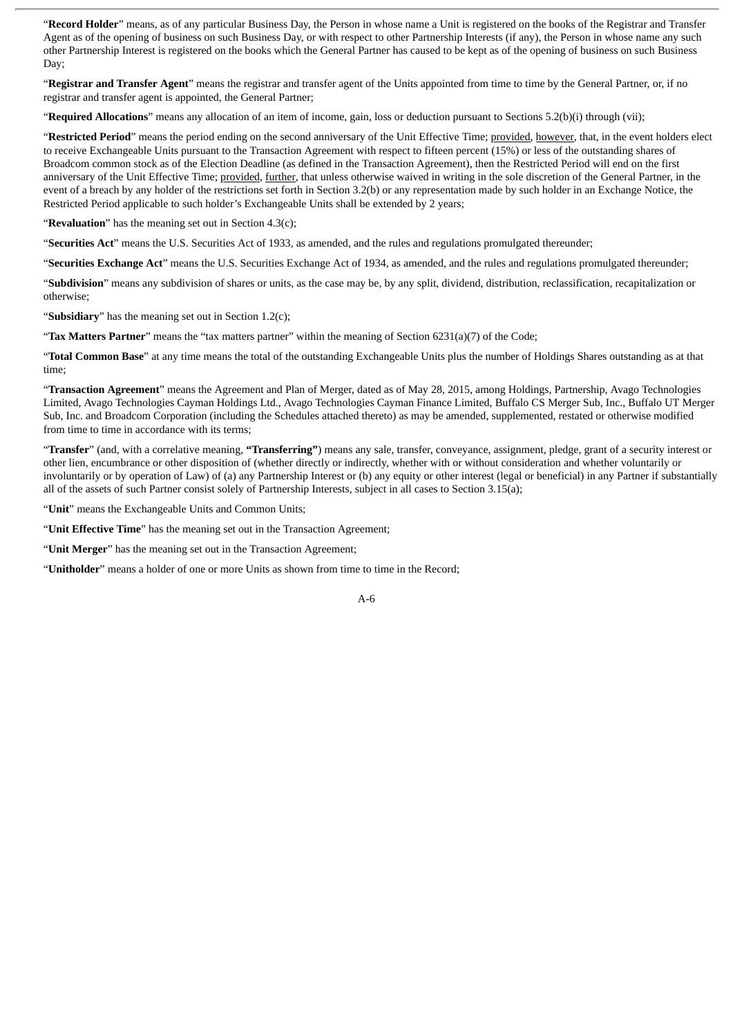"**Record Holder**" means, as of any particular Business Day, the Person in whose name a Unit is registered on the books of the Registrar and Transfer Agent as of the opening of business on such Business Day, or with respect to other Partnership Interests (if any), the Person in whose name any such other Partnership Interest is registered on the books which the General Partner has caused to be kept as of the opening of business on such Business Day;

"**Registrar and Transfer Agent**" means the registrar and transfer agent of the Units appointed from time to time by the General Partner, or, if no registrar and transfer agent is appointed, the General Partner;

"**Required Allocations**" means any allocation of an item of income, gain, loss or deduction pursuant to Sections 5.2(b)(i) through (vii);

"Restricted Period" means the period ending on the second anniversary of the Unit Effective Time; provided, however, that, in the event holders elect to receive Exchangeable Units pursuant to the Transaction Agreement with respect to fifteen percent (15%) or less of the outstanding shares of Broadcom common stock as of the Election Deadline (as defined in the Transaction Agreement), then the Restricted Period will end on the first anniversary of the Unit Effective Time; provided, further, that unless otherwise waived in writing in the sole discretion of the General Partner, in the event of a breach by any holder of the restrictions set forth in Section 3.2(b) or any representation made by such holder in an Exchange Notice, the Restricted Period applicable to such holder's Exchangeable Units shall be extended by 2 years;

"**Revaluation**" has the meaning set out in Section 4.3(c);

"**Securities Act**" means the U.S. Securities Act of 1933, as amended, and the rules and regulations promulgated thereunder;

"**Securities Exchange Act**" means the U.S. Securities Exchange Act of 1934, as amended, and the rules and regulations promulgated thereunder;

"**Subdivision**" means any subdivision of shares or units, as the case may be, by any split, dividend, distribution, reclassification, recapitalization or otherwise;

"**Subsidiary**" has the meaning set out in Section 1.2(c);

"**Tax Matters Partner**" means the "tax matters partner" within the meaning of Section 6231(a)(7) of the Code;

"**Total Common Base**" at any time means the total of the outstanding Exchangeable Units plus the number of Holdings Shares outstanding as at that time;

"**Transaction Agreement**" means the Agreement and Plan of Merger, dated as of May 28, 2015, among Holdings, Partnership, Avago Technologies Limited, Avago Technologies Cayman Holdings Ltd., Avago Technologies Cayman Finance Limited, Buffalo CS Merger Sub, Inc., Buffalo UT Merger Sub, Inc. and Broadcom Corporation (including the Schedules attached thereto) as may be amended, supplemented, restated or otherwise modified from time to time in accordance with its terms;

"**Transfer**" (and, with a correlative meaning, **"Transferring"**) means any sale, transfer, conveyance, assignment, pledge, grant of a security interest or other lien, encumbrance or other disposition of (whether directly or indirectly, whether with or without consideration and whether voluntarily or involuntarily or by operation of Law) of (a) any Partnership Interest or (b) any equity or other interest (legal or beneficial) in any Partner if substantially all of the assets of such Partner consist solely of Partnership Interests, subject in all cases to Section 3.15(a);

"**Unit**" means the Exchangeable Units and Common Units;

"**Unit Effective Time**" has the meaning set out in the Transaction Agreement;

"**Unit Merger**" has the meaning set out in the Transaction Agreement;

"**Unitholder**" means a holder of one or more Units as shown from time to time in the Record;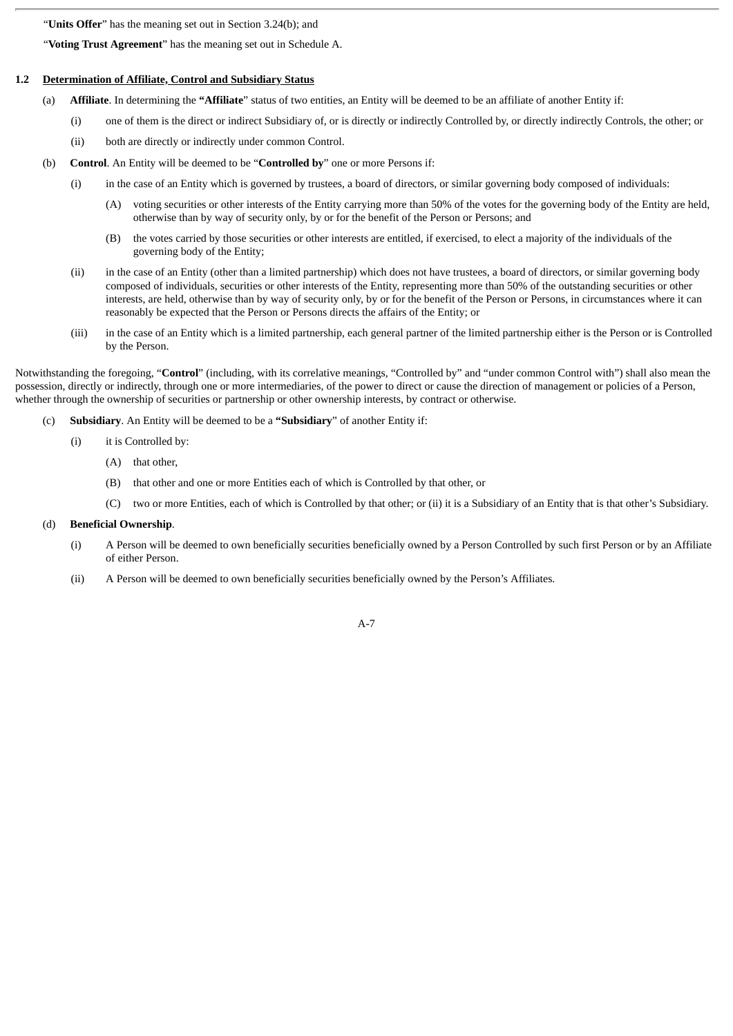"**Units Offer**" has the meaning set out in Section 3.24(b); and

"**Voting Trust Agreement**" has the meaning set out in Schedule A.

#### **1.2 Determination of Affiliate, Control and Subsidiary Status**

- (a) **Affiliate**. In determining the **"Affiliate**" status of two entities, an Entity will be deemed to be an affiliate of another Entity if:
	- (i) one of them is the direct or indirect Subsidiary of, or is directly or indirectly Controlled by, or directly indirectly Controls, the other; or
	- (ii) both are directly or indirectly under common Control.
- (b) **Control**. An Entity will be deemed to be "**Controlled by**" one or more Persons if:
	- (i) in the case of an Entity which is governed by trustees, a board of directors, or similar governing body composed of individuals:
		- (A) voting securities or other interests of the Entity carrying more than 50% of the votes for the governing body of the Entity are held, otherwise than by way of security only, by or for the benefit of the Person or Persons; and
		- (B) the votes carried by those securities or other interests are entitled, if exercised, to elect a majority of the individuals of the governing body of the Entity;
	- (ii) in the case of an Entity (other than a limited partnership) which does not have trustees, a board of directors, or similar governing body composed of individuals, securities or other interests of the Entity, representing more than 50% of the outstanding securities or other interests, are held, otherwise than by way of security only, by or for the benefit of the Person or Persons, in circumstances where it can reasonably be expected that the Person or Persons directs the affairs of the Entity; or
	- (iii) in the case of an Entity which is a limited partnership, each general partner of the limited partnership either is the Person or is Controlled by the Person.

Notwithstanding the foregoing, "**Control**" (including, with its correlative meanings, "Controlled by" and "under common Control with") shall also mean the possession, directly or indirectly, through one or more intermediaries, of the power to direct or cause the direction of management or policies of a Person, whether through the ownership of securities or partnership or other ownership interests, by contract or otherwise.

- (c) **Subsidiary**. An Entity will be deemed to be a **"Subsidiary**" of another Entity if:
	- (i) it is Controlled by:
		- (A) that other,
		- (B) that other and one or more Entities each of which is Controlled by that other, or
		- (C) two or more Entities, each of which is Controlled by that other; or (ii) it is a Subsidiary of an Entity that is that other's Subsidiary.
- (d) **Beneficial Ownership**.
	- (i) A Person will be deemed to own beneficially securities beneficially owned by a Person Controlled by such first Person or by an Affiliate of either Person.
	- (ii) A Person will be deemed to own beneficially securities beneficially owned by the Person's Affiliates.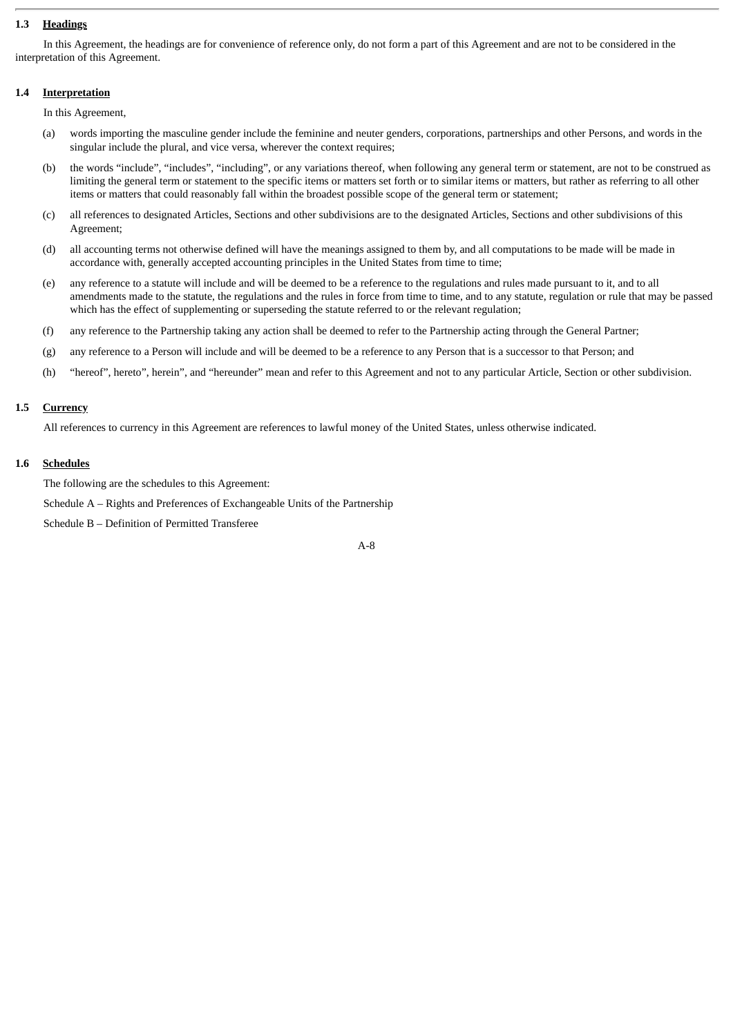#### **1.3 Headings**

In this Agreement, the headings are for convenience of reference only, do not form a part of this Agreement and are not to be considered in the interpretation of this Agreement.

#### **1.4 Interpretation**

In this Agreement,

- (a) words importing the masculine gender include the feminine and neuter genders, corporations, partnerships and other Persons, and words in the singular include the plural, and vice versa, wherever the context requires;
- (b) the words "include", "includes", "including", or any variations thereof, when following any general term or statement, are not to be construed as limiting the general term or statement to the specific items or matters set forth or to similar items or matters, but rather as referring to all other items or matters that could reasonably fall within the broadest possible scope of the general term or statement;
- (c) all references to designated Articles, Sections and other subdivisions are to the designated Articles, Sections and other subdivisions of this Agreement;
- (d) all accounting terms not otherwise defined will have the meanings assigned to them by, and all computations to be made will be made in accordance with, generally accepted accounting principles in the United States from time to time;
- (e) any reference to a statute will include and will be deemed to be a reference to the regulations and rules made pursuant to it, and to all amendments made to the statute, the regulations and the rules in force from time to time, and to any statute, regulation or rule that may be passed which has the effect of supplementing or superseding the statute referred to or the relevant regulation;
- (f) any reference to the Partnership taking any action shall be deemed to refer to the Partnership acting through the General Partner;
- (g) any reference to a Person will include and will be deemed to be a reference to any Person that is a successor to that Person; and
- (h) "hereof", hereto", herein", and "hereunder" mean and refer to this Agreement and not to any particular Article, Section or other subdivision.

#### **1.5 Currency**

All references to currency in this Agreement are references to lawful money of the United States, unless otherwise indicated.

#### **1.6 Schedules**

The following are the schedules to this Agreement:

Schedule A – Rights and Preferences of Exchangeable Units of the Partnership

Schedule B – Definition of Permitted Transferee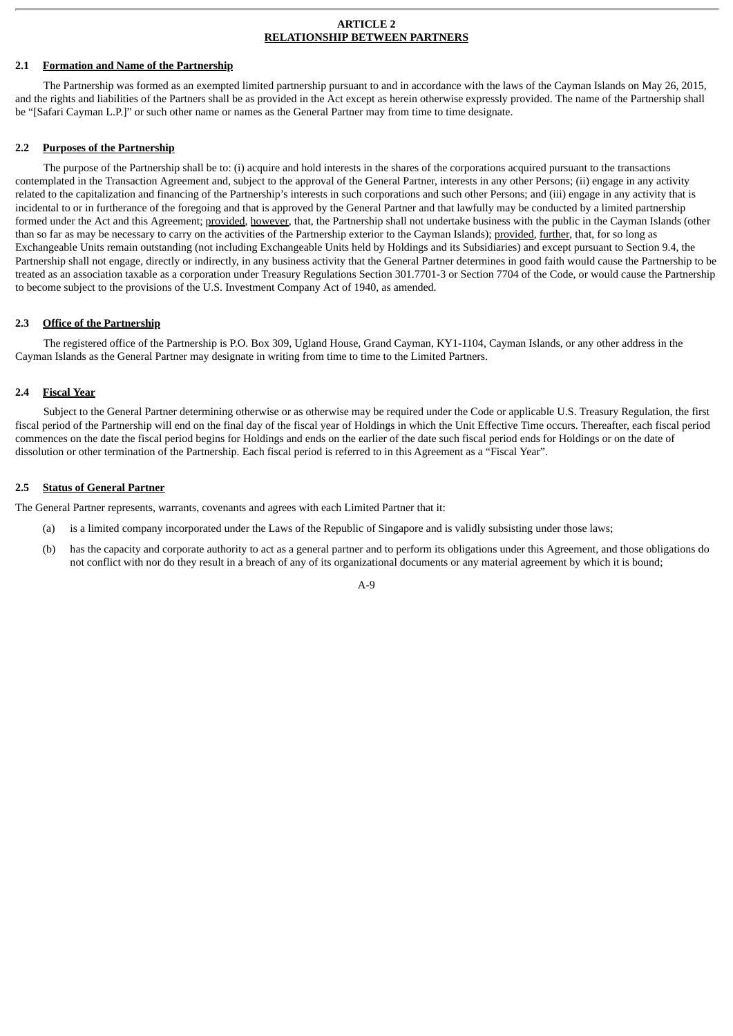#### **ARTICLE 2 RELATIONSHIP BETWEEN PARTNERS**

#### **2.1 Formation and Name of the Partnership**

The Partnership was formed as an exempted limited partnership pursuant to and in accordance with the laws of the Cayman Islands on May 26, 2015, and the rights and liabilities of the Partners shall be as provided in the Act except as herein otherwise expressly provided. The name of the Partnership shall be "[Safari Cayman L.P.]" or such other name or names as the General Partner may from time to time designate.

#### **2.2 Purposes of the Partnership**

The purpose of the Partnership shall be to: (i) acquire and hold interests in the shares of the corporations acquired pursuant to the transactions contemplated in the Transaction Agreement and, subject to the approval of the General Partner, interests in any other Persons; (ii) engage in any activity related to the capitalization and financing of the Partnership's interests in such corporations and such other Persons; and (iii) engage in any activity that is incidental to or in furtherance of the foregoing and that is approved by the General Partner and that lawfully may be conducted by a limited partnership formed under the Act and this Agreement; provided, however, that, the Partnership shall not undertake business with the public in the Cayman Islands (other than so far as may be necessary to carry on the activities of the Partnership exterior to the Cayman Islands); provided, further, that, for so long as Exchangeable Units remain outstanding (not including Exchangeable Units held by Holdings and its Subsidiaries) and except pursuant to Section 9.4, the Partnership shall not engage, directly or indirectly, in any business activity that the General Partner determines in good faith would cause the Partnership to be treated as an association taxable as a corporation under Treasury Regulations Section 301.7701-3 or Section 7704 of the Code, or would cause the Partnership to become subject to the provisions of the U.S. Investment Company Act of 1940, as amended.

#### **2.3 Office of the Partnership**

The registered office of the Partnership is P.O. Box 309, Ugland House, Grand Cayman, KY1-1104, Cayman Islands, or any other address in the Cayman Islands as the General Partner may designate in writing from time to time to the Limited Partners.

#### **2.4 Fiscal Year**

Subject to the General Partner determining otherwise or as otherwise may be required under the Code or applicable U.S. Treasury Regulation, the first fiscal period of the Partnership will end on the final day of the fiscal year of Holdings in which the Unit Effective Time occurs. Thereafter, each fiscal period commences on the date the fiscal period begins for Holdings and ends on the earlier of the date such fiscal period ends for Holdings or on the date of dissolution or other termination of the Partnership. Each fiscal period is referred to in this Agreement as a "Fiscal Year".

#### **2.5 Status of General Partner**

The General Partner represents, warrants, covenants and agrees with each Limited Partner that it:

- (a) is a limited company incorporated under the Laws of the Republic of Singapore and is validly subsisting under those laws;
- (b) has the capacity and corporate authority to act as a general partner and to perform its obligations under this Agreement, and those obligations do not conflict with nor do they result in a breach of any of its organizational documents or any material agreement by which it is bound;

#### $A - Q$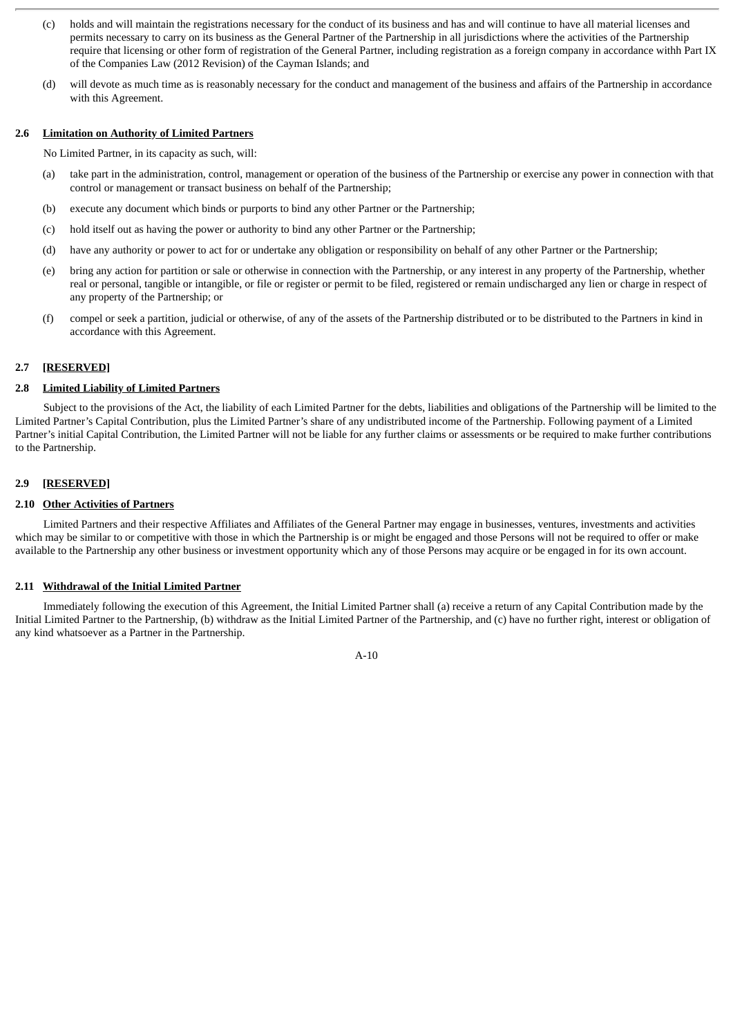- (c) holds and will maintain the registrations necessary for the conduct of its business and has and will continue to have all material licenses and permits necessary to carry on its business as the General Partner of the Partnership in all jurisdictions where the activities of the Partnership require that licensing or other form of registration of the General Partner, including registration as a foreign company in accordance withh Part IX of the Companies Law (2012 Revision) of the Cayman Islands; and
- (d) will devote as much time as is reasonably necessary for the conduct and management of the business and affairs of the Partnership in accordance with this Agreement.

#### **2.6 Limitation on Authority of Limited Partners**

No Limited Partner, in its capacity as such, will:

- (a) take part in the administration, control, management or operation of the business of the Partnership or exercise any power in connection with that control or management or transact business on behalf of the Partnership;
- (b) execute any document which binds or purports to bind any other Partner or the Partnership;
- (c) hold itself out as having the power or authority to bind any other Partner or the Partnership;
- (d) have any authority or power to act for or undertake any obligation or responsibility on behalf of any other Partner or the Partnership;
- (e) bring any action for partition or sale or otherwise in connection with the Partnership, or any interest in any property of the Partnership, whether real or personal, tangible or intangible, or file or register or permit to be filed, registered or remain undischarged any lien or charge in respect of any property of the Partnership; or
- (f) compel or seek a partition, judicial or otherwise, of any of the assets of the Partnership distributed or to be distributed to the Partners in kind in accordance with this Agreement.

#### **2.7 [RESERVED]**

#### **2.8 Limited Liability of Limited Partners**

Subject to the provisions of the Act, the liability of each Limited Partner for the debts, liabilities and obligations of the Partnership will be limited to the Limited Partner's Capital Contribution, plus the Limited Partner's share of any undistributed income of the Partnership. Following payment of a Limited Partner's initial Capital Contribution, the Limited Partner will not be liable for any further claims or assessments or be required to make further contributions to the Partnership.

#### **2.9 [RESERVED]**

#### **2.10 Other Activities of Partners**

Limited Partners and their respective Affiliates and Affiliates of the General Partner may engage in businesses, ventures, investments and activities which may be similar to or competitive with those in which the Partnership is or might be engaged and those Persons will not be required to offer or make available to the Partnership any other business or investment opportunity which any of those Persons may acquire or be engaged in for its own account.

#### **2.11 Withdrawal of the Initial Limited Partner**

Immediately following the execution of this Agreement, the Initial Limited Partner shall (a) receive a return of any Capital Contribution made by the Initial Limited Partner to the Partnership, (b) withdraw as the Initial Limited Partner of the Partnership, and (c) have no further right, interest or obligation of any kind whatsoever as a Partner in the Partnership.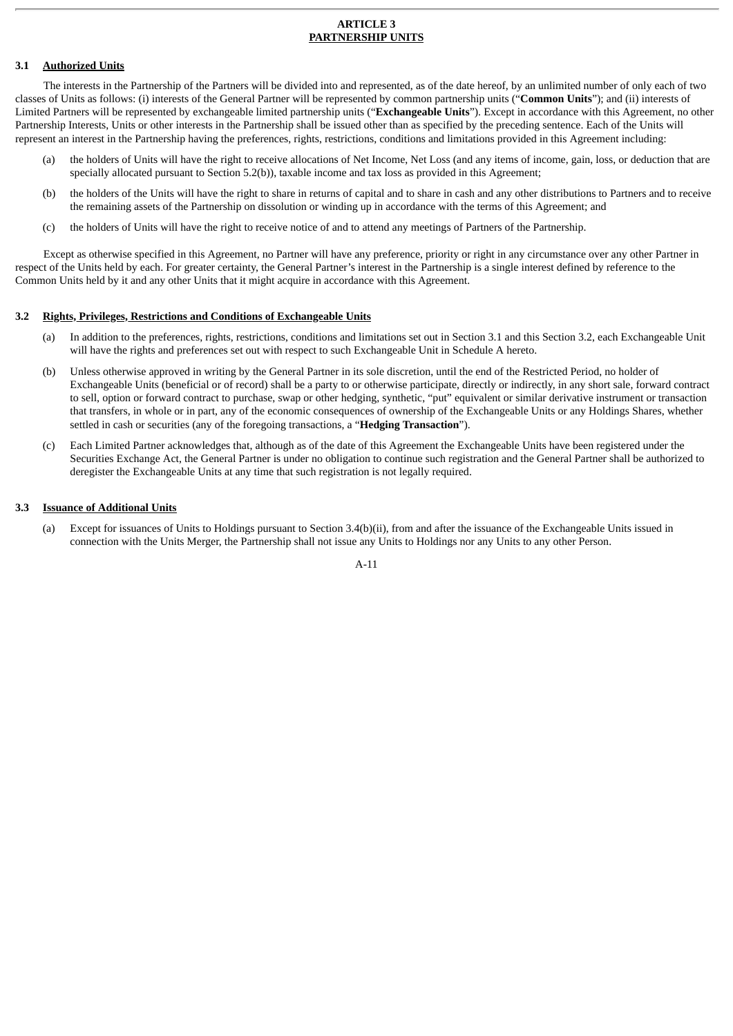#### **ARTICLE 3 PARTNERSHIP UNITS**

#### **3.1 Authorized Units**

The interests in the Partnership of the Partners will be divided into and represented, as of the date hereof, by an unlimited number of only each of two classes of Units as follows: (i) interests of the General Partner will be represented by common partnership units ("**Common Units**"); and (ii) interests of Limited Partners will be represented by exchangeable limited partnership units ("**Exchangeable Units**"). Except in accordance with this Agreement, no other Partnership Interests, Units or other interests in the Partnership shall be issued other than as specified by the preceding sentence. Each of the Units will represent an interest in the Partnership having the preferences, rights, restrictions, conditions and limitations provided in this Agreement including:

- (a) the holders of Units will have the right to receive allocations of Net Income, Net Loss (and any items of income, gain, loss, or deduction that are specially allocated pursuant to Section 5.2(b)), taxable income and tax loss as provided in this Agreement;
- (b) the holders of the Units will have the right to share in returns of capital and to share in cash and any other distributions to Partners and to receive the remaining assets of the Partnership on dissolution or winding up in accordance with the terms of this Agreement; and
- (c) the holders of Units will have the right to receive notice of and to attend any meetings of Partners of the Partnership.

Except as otherwise specified in this Agreement, no Partner will have any preference, priority or right in any circumstance over any other Partner in respect of the Units held by each. For greater certainty, the General Partner's interest in the Partnership is a single interest defined by reference to the Common Units held by it and any other Units that it might acquire in accordance with this Agreement.

#### **3.2 Rights, Privileges, Restrictions and Conditions of Exchangeable Units**

- (a) In addition to the preferences, rights, restrictions, conditions and limitations set out in Section 3.1 and this Section 3.2, each Exchangeable Unit will have the rights and preferences set out with respect to such Exchangeable Unit in Schedule A hereto.
- (b) Unless otherwise approved in writing by the General Partner in its sole discretion, until the end of the Restricted Period, no holder of Exchangeable Units (beneficial or of record) shall be a party to or otherwise participate, directly or indirectly, in any short sale, forward contract to sell, option or forward contract to purchase, swap or other hedging, synthetic, "put" equivalent or similar derivative instrument or transaction that transfers, in whole or in part, any of the economic consequences of ownership of the Exchangeable Units or any Holdings Shares, whether settled in cash or securities (any of the foregoing transactions, a "**Hedging Transaction**").
- (c) Each Limited Partner acknowledges that, although as of the date of this Agreement the Exchangeable Units have been registered under the Securities Exchange Act, the General Partner is under no obligation to continue such registration and the General Partner shall be authorized to deregister the Exchangeable Units at any time that such registration is not legally required.

#### **3.3 Issuance of Additional Units**

(a) Except for issuances of Units to Holdings pursuant to Section 3.4(b)(ii), from and after the issuance of the Exchangeable Units issued in connection with the Units Merger, the Partnership shall not issue any Units to Holdings nor any Units to any other Person.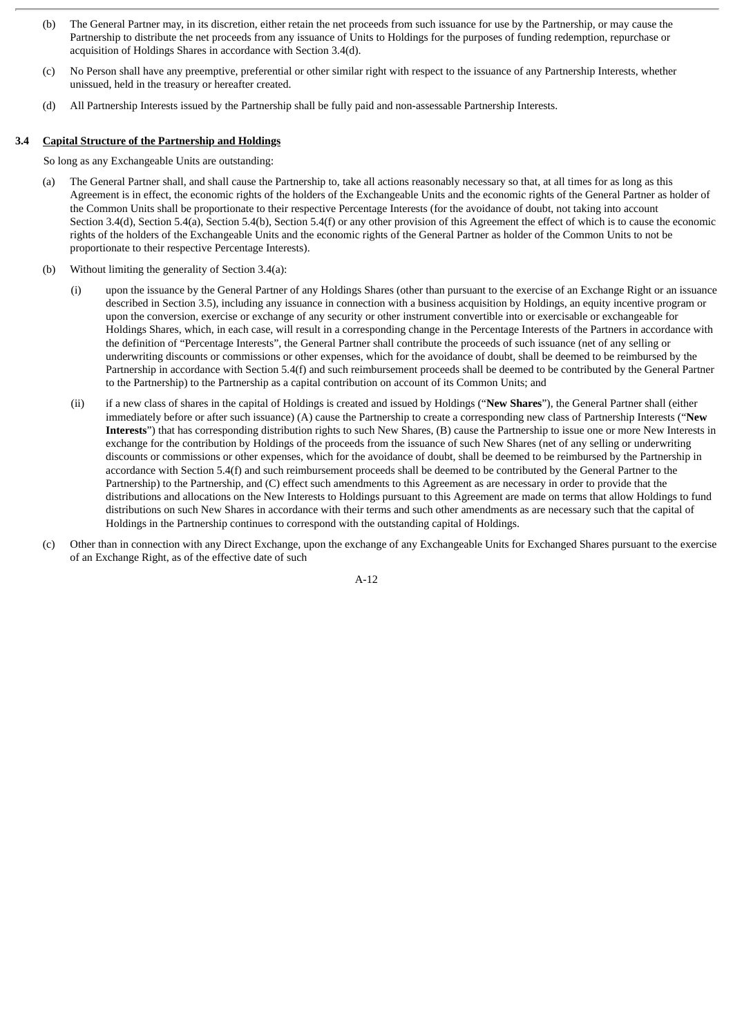- (b) The General Partner may, in its discretion, either retain the net proceeds from such issuance for use by the Partnership, or may cause the Partnership to distribute the net proceeds from any issuance of Units to Holdings for the purposes of funding redemption, repurchase or acquisition of Holdings Shares in accordance with Section 3.4(d).
- (c) No Person shall have any preemptive, preferential or other similar right with respect to the issuance of any Partnership Interests, whether unissued, held in the treasury or hereafter created.
- (d) All Partnership Interests issued by the Partnership shall be fully paid and non-assessable Partnership Interests.

#### **3.4 Capital Structure of the Partnership and Holdings**

So long as any Exchangeable Units are outstanding:

- (a) The General Partner shall, and shall cause the Partnership to, take all actions reasonably necessary so that, at all times for as long as this Agreement is in effect, the economic rights of the holders of the Exchangeable Units and the economic rights of the General Partner as holder of the Common Units shall be proportionate to their respective Percentage Interests (for the avoidance of doubt, not taking into account Section 3.4(d), Section 5.4(a), Section 5.4(b), Section 5.4(f) or any other provision of this Agreement the effect of which is to cause the economic rights of the holders of the Exchangeable Units and the economic rights of the General Partner as holder of the Common Units to not be proportionate to their respective Percentage Interests).
- (b) Without limiting the generality of Section 3.4(a):
	- (i) upon the issuance by the General Partner of any Holdings Shares (other than pursuant to the exercise of an Exchange Right or an issuance described in Section 3.5), including any issuance in connection with a business acquisition by Holdings, an equity incentive program or upon the conversion, exercise or exchange of any security or other instrument convertible into or exercisable or exchangeable for Holdings Shares, which, in each case, will result in a corresponding change in the Percentage Interests of the Partners in accordance with the definition of "Percentage Interests", the General Partner shall contribute the proceeds of such issuance (net of any selling or underwriting discounts or commissions or other expenses, which for the avoidance of doubt, shall be deemed to be reimbursed by the Partnership in accordance with Section 5.4(f) and such reimbursement proceeds shall be deemed to be contributed by the General Partner to the Partnership) to the Partnership as a capital contribution on account of its Common Units; and
	- (ii) if a new class of shares in the capital of Holdings is created and issued by Holdings ("**New Shares**"), the General Partner shall (either immediately before or after such issuance) (A) cause the Partnership to create a corresponding new class of Partnership Interests ("**New Interests**") that has corresponding distribution rights to such New Shares, (B) cause the Partnership to issue one or more New Interests in exchange for the contribution by Holdings of the proceeds from the issuance of such New Shares (net of any selling or underwriting discounts or commissions or other expenses, which for the avoidance of doubt, shall be deemed to be reimbursed by the Partnership in accordance with Section 5.4(f) and such reimbursement proceeds shall be deemed to be contributed by the General Partner to the Partnership) to the Partnership, and (C) effect such amendments to this Agreement as are necessary in order to provide that the distributions and allocations on the New Interests to Holdings pursuant to this Agreement are made on terms that allow Holdings to fund distributions on such New Shares in accordance with their terms and such other amendments as are necessary such that the capital of Holdings in the Partnership continues to correspond with the outstanding capital of Holdings.
- (c) Other than in connection with any Direct Exchange, upon the exchange of any Exchangeable Units for Exchanged Shares pursuant to the exercise of an Exchange Right, as of the effective date of such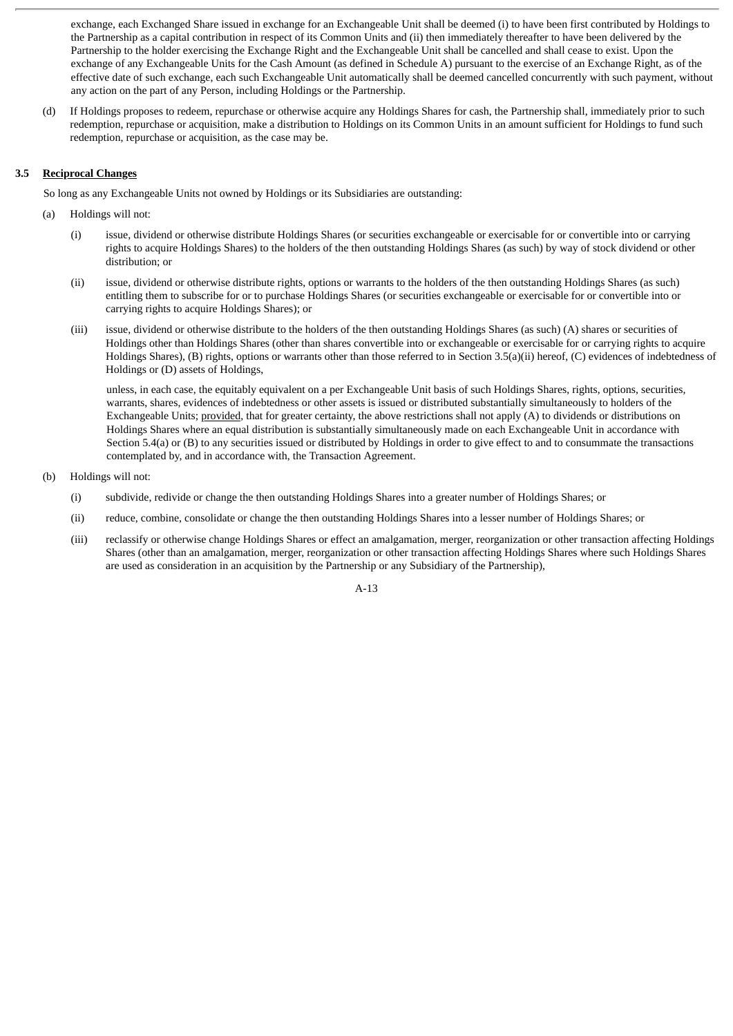exchange, each Exchanged Share issued in exchange for an Exchangeable Unit shall be deemed (i) to have been first contributed by Holdings to the Partnership as a capital contribution in respect of its Common Units and (ii) then immediately thereafter to have been delivered by the Partnership to the holder exercising the Exchange Right and the Exchangeable Unit shall be cancelled and shall cease to exist. Upon the exchange of any Exchangeable Units for the Cash Amount (as defined in Schedule A) pursuant to the exercise of an Exchange Right, as of the effective date of such exchange, each such Exchangeable Unit automatically shall be deemed cancelled concurrently with such payment, without any action on the part of any Person, including Holdings or the Partnership.

(d) If Holdings proposes to redeem, repurchase or otherwise acquire any Holdings Shares for cash, the Partnership shall, immediately prior to such redemption, repurchase or acquisition, make a distribution to Holdings on its Common Units in an amount sufficient for Holdings to fund such redemption, repurchase or acquisition, as the case may be.

#### **3.5 Reciprocal Changes**

So long as any Exchangeable Units not owned by Holdings or its Subsidiaries are outstanding:

- (a) Holdings will not:
	- (i) issue, dividend or otherwise distribute Holdings Shares (or securities exchangeable or exercisable for or convertible into or carrying rights to acquire Holdings Shares) to the holders of the then outstanding Holdings Shares (as such) by way of stock dividend or other distribution; or
	- (ii) issue, dividend or otherwise distribute rights, options or warrants to the holders of the then outstanding Holdings Shares (as such) entitling them to subscribe for or to purchase Holdings Shares (or securities exchangeable or exercisable for or convertible into or carrying rights to acquire Holdings Shares); or
	- (iii) issue, dividend or otherwise distribute to the holders of the then outstanding Holdings Shares (as such) (A) shares or securities of Holdings other than Holdings Shares (other than shares convertible into or exchangeable or exercisable for or carrying rights to acquire Holdings Shares), (B) rights, options or warrants other than those referred to in Section 3.5(a)(ii) hereof, (C) evidences of indebtedness of Holdings or (D) assets of Holdings,

unless, in each case, the equitably equivalent on a per Exchangeable Unit basis of such Holdings Shares, rights, options, securities, warrants, shares, evidences of indebtedness or other assets is issued or distributed substantially simultaneously to holders of the Exchangeable Units; provided, that for greater certainty, the above restrictions shall not apply (A) to dividends or distributions on Holdings Shares where an equal distribution is substantially simultaneously made on each Exchangeable Unit in accordance with Section 5.4(a) or (B) to any securities issued or distributed by Holdings in order to give effect to and to consummate the transactions contemplated by, and in accordance with, the Transaction Agreement.

- (b) Holdings will not:
	- (i) subdivide, redivide or change the then outstanding Holdings Shares into a greater number of Holdings Shares; or
	- (ii) reduce, combine, consolidate or change the then outstanding Holdings Shares into a lesser number of Holdings Shares; or
	- (iii) reclassify or otherwise change Holdings Shares or effect an amalgamation, merger, reorganization or other transaction affecting Holdings Shares (other than an amalgamation, merger, reorganization or other transaction affecting Holdings Shares where such Holdings Shares are used as consideration in an acquisition by the Partnership or any Subsidiary of the Partnership),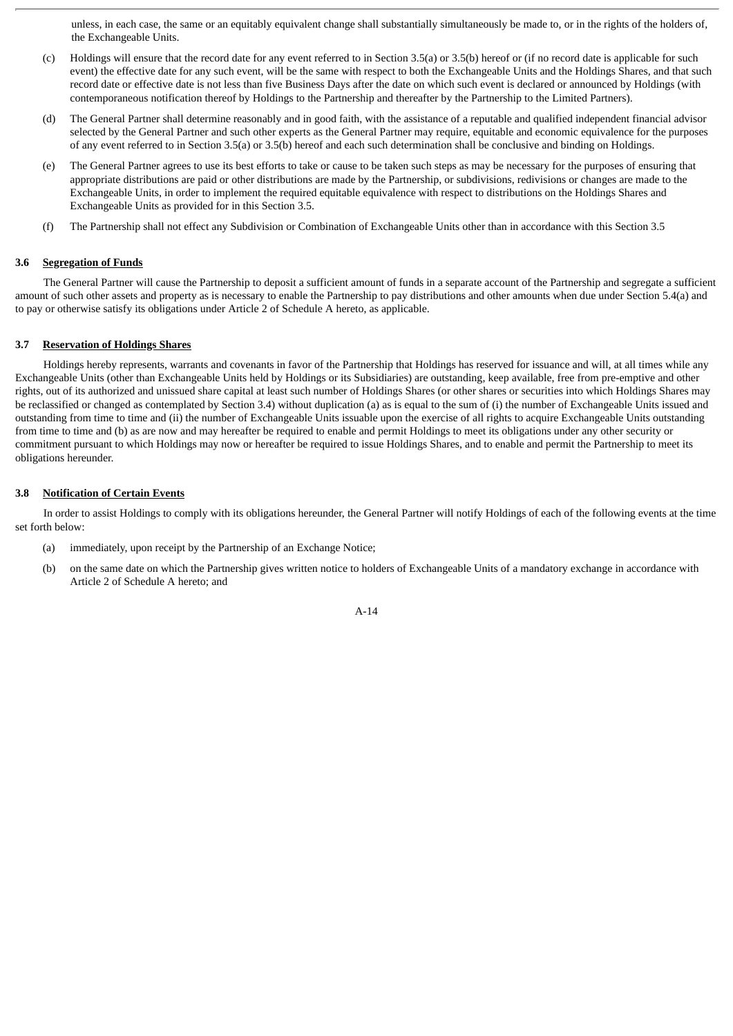unless, in each case, the same or an equitably equivalent change shall substantially simultaneously be made to, or in the rights of the holders of, the Exchangeable Units.

- (c) Holdings will ensure that the record date for any event referred to in Section 3.5(a) or 3.5(b) hereof or (if no record date is applicable for such event) the effective date for any such event, will be the same with respect to both the Exchangeable Units and the Holdings Shares, and that such record date or effective date is not less than five Business Days after the date on which such event is declared or announced by Holdings (with contemporaneous notification thereof by Holdings to the Partnership and thereafter by the Partnership to the Limited Partners).
- (d) The General Partner shall determine reasonably and in good faith, with the assistance of a reputable and qualified independent financial advisor selected by the General Partner and such other experts as the General Partner may require, equitable and economic equivalence for the purposes of any event referred to in Section 3.5(a) or 3.5(b) hereof and each such determination shall be conclusive and binding on Holdings.
- (e) The General Partner agrees to use its best efforts to take or cause to be taken such steps as may be necessary for the purposes of ensuring that appropriate distributions are paid or other distributions are made by the Partnership, or subdivisions, redivisions or changes are made to the Exchangeable Units, in order to implement the required equitable equivalence with respect to distributions on the Holdings Shares and Exchangeable Units as provided for in this Section 3.5.
- (f) The Partnership shall not effect any Subdivision or Combination of Exchangeable Units other than in accordance with this Section 3.5

#### **3.6 Segregation of Funds**

The General Partner will cause the Partnership to deposit a sufficient amount of funds in a separate account of the Partnership and segregate a sufficient amount of such other assets and property as is necessary to enable the Partnership to pay distributions and other amounts when due under Section 5.4(a) and to pay or otherwise satisfy its obligations under Article 2 of Schedule A hereto, as applicable.

#### **3.7 Reservation of Holdings Shares**

Holdings hereby represents, warrants and covenants in favor of the Partnership that Holdings has reserved for issuance and will, at all times while any Exchangeable Units (other than Exchangeable Units held by Holdings or its Subsidiaries) are outstanding, keep available, free from pre-emptive and other rights, out of its authorized and unissued share capital at least such number of Holdings Shares (or other shares or securities into which Holdings Shares may be reclassified or changed as contemplated by Section 3.4) without duplication (a) as is equal to the sum of (i) the number of Exchangeable Units issued and outstanding from time to time and (ii) the number of Exchangeable Units issuable upon the exercise of all rights to acquire Exchangeable Units outstanding from time to time and (b) as are now and may hereafter be required to enable and permit Holdings to meet its obligations under any other security or commitment pursuant to which Holdings may now or hereafter be required to issue Holdings Shares, and to enable and permit the Partnership to meet its obligations hereunder.

#### **3.8 Notification of Certain Events**

In order to assist Holdings to comply with its obligations hereunder, the General Partner will notify Holdings of each of the following events at the time set forth below:

- (a) immediately, upon receipt by the Partnership of an Exchange Notice;
- (b) on the same date on which the Partnership gives written notice to holders of Exchangeable Units of a mandatory exchange in accordance with Article 2 of Schedule A hereto; and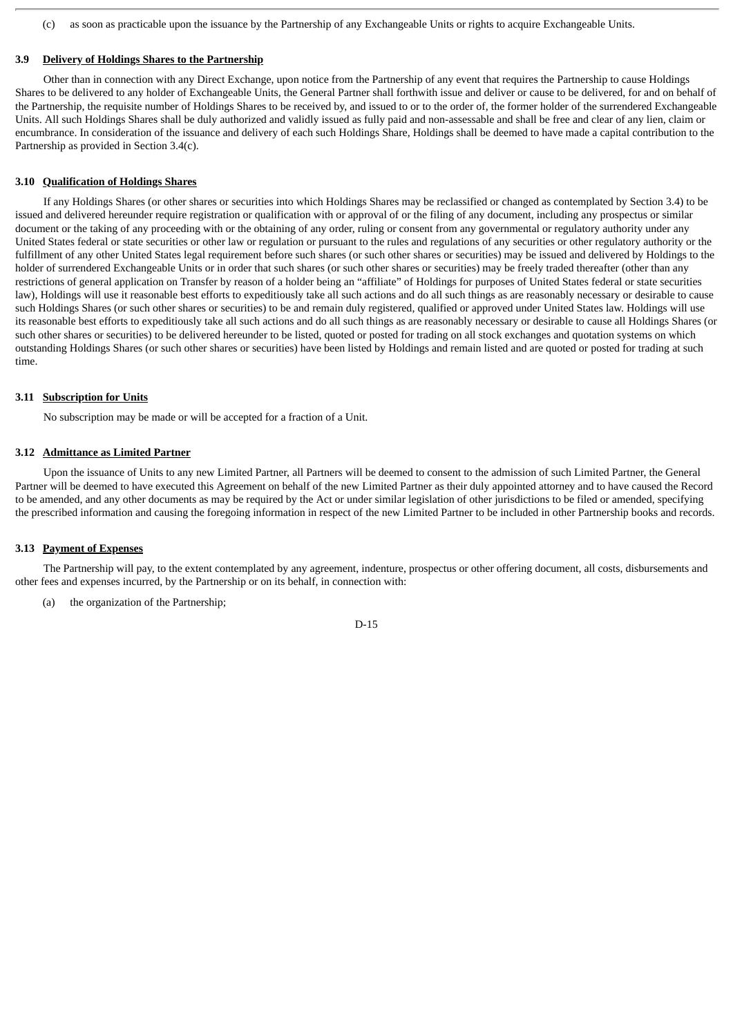(c) as soon as practicable upon the issuance by the Partnership of any Exchangeable Units or rights to acquire Exchangeable Units.

#### **3.9 Delivery of Holdings Shares to the Partnership**

Other than in connection with any Direct Exchange, upon notice from the Partnership of any event that requires the Partnership to cause Holdings Shares to be delivered to any holder of Exchangeable Units, the General Partner shall forthwith issue and deliver or cause to be delivered, for and on behalf of the Partnership, the requisite number of Holdings Shares to be received by, and issued to or to the order of, the former holder of the surrendered Exchangeable Units. All such Holdings Shares shall be duly authorized and validly issued as fully paid and non-assessable and shall be free and clear of any lien, claim or encumbrance. In consideration of the issuance and delivery of each such Holdings Share, Holdings shall be deemed to have made a capital contribution to the Partnership as provided in Section 3.4(c).

#### **3.10 Qualification of Holdings Shares**

If any Holdings Shares (or other shares or securities into which Holdings Shares may be reclassified or changed as contemplated by Section 3.4) to be issued and delivered hereunder require registration or qualification with or approval of or the filing of any document, including any prospectus or similar document or the taking of any proceeding with or the obtaining of any order, ruling or consent from any governmental or regulatory authority under any United States federal or state securities or other law or regulation or pursuant to the rules and regulations of any securities or other regulatory authority or the fulfillment of any other United States legal requirement before such shares (or such other shares or securities) may be issued and delivered by Holdings to the holder of surrendered Exchangeable Units or in order that such shares (or such other shares or securities) may be freely traded thereafter (other than any restrictions of general application on Transfer by reason of a holder being an "affiliate" of Holdings for purposes of United States federal or state securities law), Holdings will use it reasonable best efforts to expeditiously take all such actions and do all such things as are reasonably necessary or desirable to cause such Holdings Shares (or such other shares or securities) to be and remain duly registered, qualified or approved under United States law. Holdings will use its reasonable best efforts to expeditiously take all such actions and do all such things as are reasonably necessary or desirable to cause all Holdings Shares (or such other shares or securities) to be delivered hereunder to be listed, quoted or posted for trading on all stock exchanges and quotation systems on which outstanding Holdings Shares (or such other shares or securities) have been listed by Holdings and remain listed and are quoted or posted for trading at such time.

#### **3.11 Subscription for Units**

No subscription may be made or will be accepted for a fraction of a Unit.

#### **3.12 Admittance as Limited Partner**

Upon the issuance of Units to any new Limited Partner, all Partners will be deemed to consent to the admission of such Limited Partner, the General Partner will be deemed to have executed this Agreement on behalf of the new Limited Partner as their duly appointed attorney and to have caused the Record to be amended, and any other documents as may be required by the Act or under similar legislation of other jurisdictions to be filed or amended, specifying the prescribed information and causing the foregoing information in respect of the new Limited Partner to be included in other Partnership books and records.

#### **3.13 Payment of Expenses**

The Partnership will pay, to the extent contemplated by any agreement, indenture, prospectus or other offering document, all costs, disbursements and other fees and expenses incurred, by the Partnership or on its behalf, in connection with:

(a) the organization of the Partnership;

#### D-15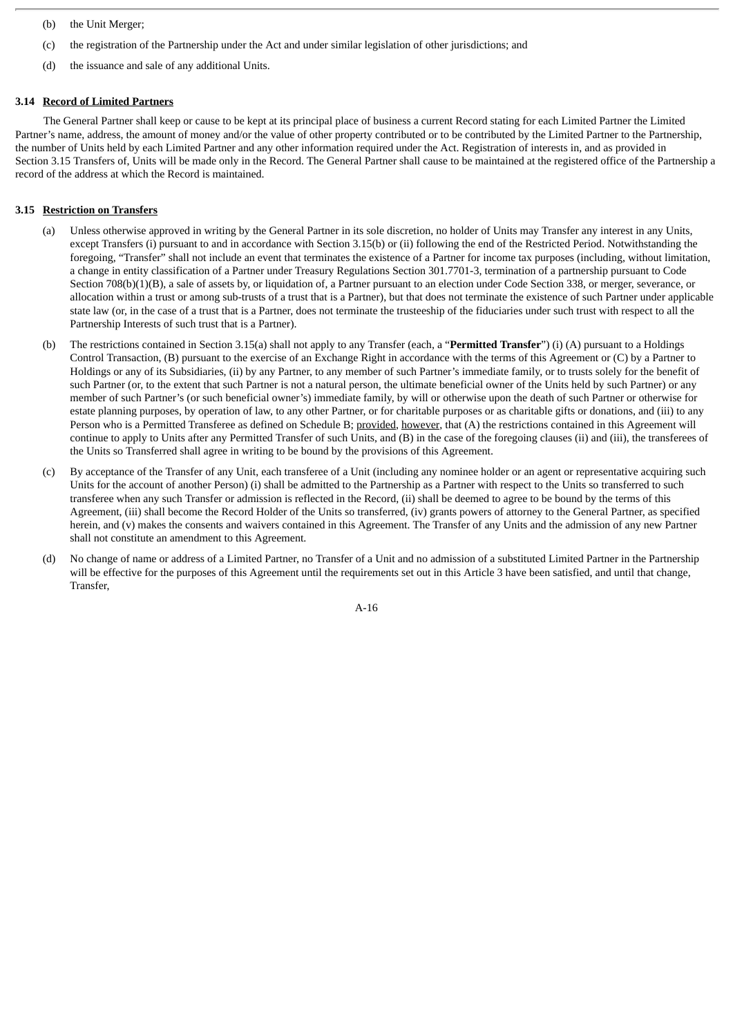- (b) the Unit Merger;
- (c) the registration of the Partnership under the Act and under similar legislation of other jurisdictions; and
- (d) the issuance and sale of any additional Units.

#### **3.14 Record of Limited Partners**

The General Partner shall keep or cause to be kept at its principal place of business a current Record stating for each Limited Partner the Limited Partner's name, address, the amount of money and/or the value of other property contributed or to be contributed by the Limited Partner to the Partnership, the number of Units held by each Limited Partner and any other information required under the Act. Registration of interests in, and as provided in Section 3.15 Transfers of, Units will be made only in the Record. The General Partner shall cause to be maintained at the registered office of the Partnership a record of the address at which the Record is maintained.

#### **3.15 Restriction on Transfers**

- (a) Unless otherwise approved in writing by the General Partner in its sole discretion, no holder of Units may Transfer any interest in any Units, except Transfers (i) pursuant to and in accordance with Section 3.15(b) or (ii) following the end of the Restricted Period. Notwithstanding the foregoing, "Transfer" shall not include an event that terminates the existence of a Partner for income tax purposes (including, without limitation, a change in entity classification of a Partner under Treasury Regulations Section 301.7701-3, termination of a partnership pursuant to Code Section 708(b)(1)(B), a sale of assets by, or liquidation of, a Partner pursuant to an election under Code Section 338, or merger, severance, or allocation within a trust or among sub-trusts of a trust that is a Partner), but that does not terminate the existence of such Partner under applicable state law (or, in the case of a trust that is a Partner, does not terminate the trusteeship of the fiduciaries under such trust with respect to all the Partnership Interests of such trust that is a Partner).
- (b) The restrictions contained in Section 3.15(a) shall not apply to any Transfer (each, a "**Permitted Transfer**") (i) (A) pursuant to a Holdings Control Transaction, (B) pursuant to the exercise of an Exchange Right in accordance with the terms of this Agreement or (C) by a Partner to Holdings or any of its Subsidiaries, (ii) by any Partner, to any member of such Partner's immediate family, or to trusts solely for the benefit of such Partner (or, to the extent that such Partner is not a natural person, the ultimate beneficial owner of the Units held by such Partner) or any member of such Partner's (or such beneficial owner's) immediate family, by will or otherwise upon the death of such Partner or otherwise for estate planning purposes, by operation of law, to any other Partner, or for charitable purposes or as charitable gifts or donations, and (iii) to any Person who is a Permitted Transferee as defined on Schedule B; provided, however, that (A) the restrictions contained in this Agreement will continue to apply to Units after any Permitted Transfer of such Units, and (B) in the case of the foregoing clauses (ii) and (iii), the transferees of the Units so Transferred shall agree in writing to be bound by the provisions of this Agreement.
- (c) By acceptance of the Transfer of any Unit, each transferee of a Unit (including any nominee holder or an agent or representative acquiring such Units for the account of another Person) (i) shall be admitted to the Partnership as a Partner with respect to the Units so transferred to such transferee when any such Transfer or admission is reflected in the Record, (ii) shall be deemed to agree to be bound by the terms of this Agreement, (iii) shall become the Record Holder of the Units so transferred, (iv) grants powers of attorney to the General Partner, as specified herein, and (v) makes the consents and waivers contained in this Agreement. The Transfer of any Units and the admission of any new Partner shall not constitute an amendment to this Agreement.
- (d) No change of name or address of a Limited Partner, no Transfer of a Unit and no admission of a substituted Limited Partner in the Partnership will be effective for the purposes of this Agreement until the requirements set out in this Article 3 have been satisfied, and until that change, Transfer,

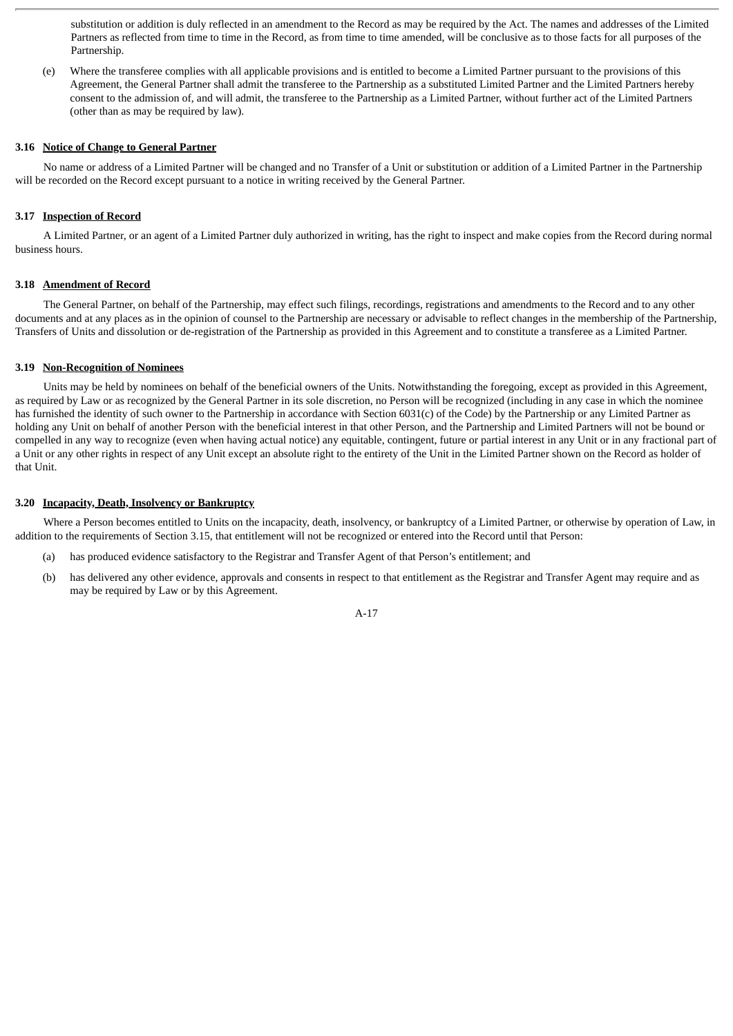substitution or addition is duly reflected in an amendment to the Record as may be required by the Act. The names and addresses of the Limited Partners as reflected from time to time in the Record, as from time to time amended, will be conclusive as to those facts for all purposes of the Partnership.

(e) Where the transferee complies with all applicable provisions and is entitled to become a Limited Partner pursuant to the provisions of this Agreement, the General Partner shall admit the transferee to the Partnership as a substituted Limited Partner and the Limited Partners hereby consent to the admission of, and will admit, the transferee to the Partnership as a Limited Partner, without further act of the Limited Partners (other than as may be required by law).

#### **3.16 Notice of Change to General Partner**

No name or address of a Limited Partner will be changed and no Transfer of a Unit or substitution or addition of a Limited Partner in the Partnership will be recorded on the Record except pursuant to a notice in writing received by the General Partner.

#### **3.17 Inspection of Record**

A Limited Partner, or an agent of a Limited Partner duly authorized in writing, has the right to inspect and make copies from the Record during normal business hours.

#### **3.18 Amendment of Record**

The General Partner, on behalf of the Partnership, may effect such filings, recordings, registrations and amendments to the Record and to any other documents and at any places as in the opinion of counsel to the Partnership are necessary or advisable to reflect changes in the membership of the Partnership, Transfers of Units and dissolution or de-registration of the Partnership as provided in this Agreement and to constitute a transferee as a Limited Partner.

#### **3.19 Non-Recognition of Nominees**

Units may be held by nominees on behalf of the beneficial owners of the Units. Notwithstanding the foregoing, except as provided in this Agreement, as required by Law or as recognized by the General Partner in its sole discretion, no Person will be recognized (including in any case in which the nominee has furnished the identity of such owner to the Partnership in accordance with Section 6031(c) of the Code) by the Partnership or any Limited Partner as holding any Unit on behalf of another Person with the beneficial interest in that other Person, and the Partnership and Limited Partners will not be bound or compelled in any way to recognize (even when having actual notice) any equitable, contingent, future or partial interest in any Unit or in any fractional part of a Unit or any other rights in respect of any Unit except an absolute right to the entirety of the Unit in the Limited Partner shown on the Record as holder of that Unit.

#### **3.20 Incapacity, Death, Insolvency or Bankruptcy**

Where a Person becomes entitled to Units on the incapacity, death, insolvency, or bankruptcy of a Limited Partner, or otherwise by operation of Law, in addition to the requirements of Section 3.15, that entitlement will not be recognized or entered into the Record until that Person:

- (a) has produced evidence satisfactory to the Registrar and Transfer Agent of that Person's entitlement; and
- (b) has delivered any other evidence, approvals and consents in respect to that entitlement as the Registrar and Transfer Agent may require and as may be required by Law or by this Agreement.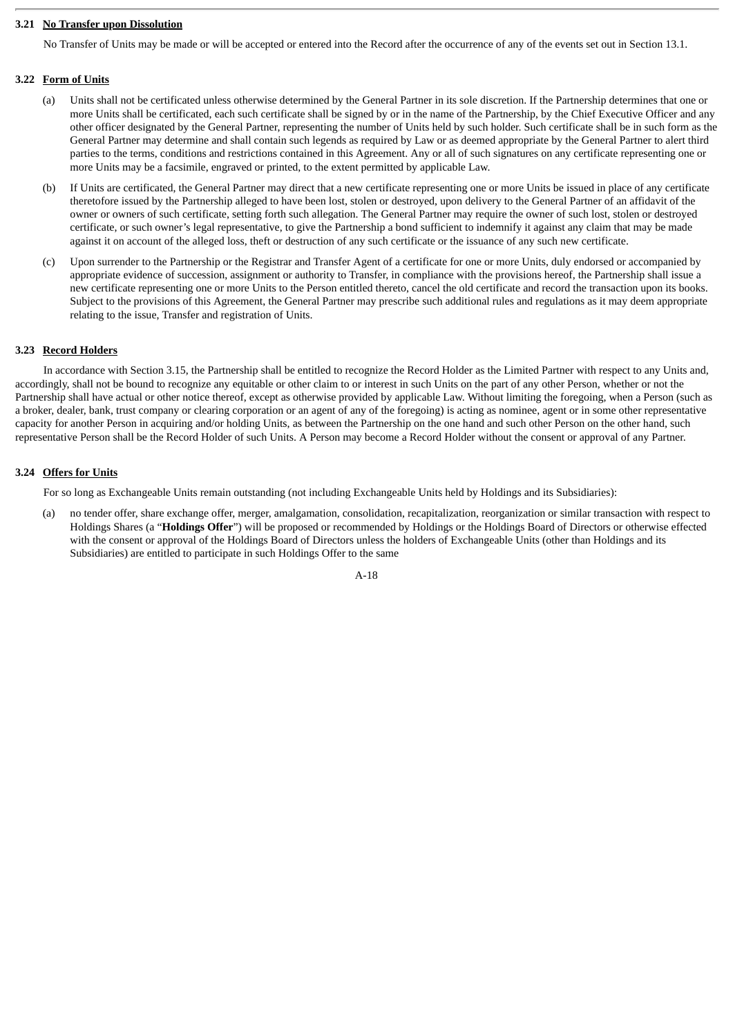#### **3.21 No Transfer upon Dissolution**

No Transfer of Units may be made or will be accepted or entered into the Record after the occurrence of any of the events set out in Section 13.1.

#### **3.22 Form of Units**

- (a) Units shall not be certificated unless otherwise determined by the General Partner in its sole discretion. If the Partnership determines that one or more Units shall be certificated, each such certificate shall be signed by or in the name of the Partnership, by the Chief Executive Officer and any other officer designated by the General Partner, representing the number of Units held by such holder. Such certificate shall be in such form as the General Partner may determine and shall contain such legends as required by Law or as deemed appropriate by the General Partner to alert third parties to the terms, conditions and restrictions contained in this Agreement. Any or all of such signatures on any certificate representing one or more Units may be a facsimile, engraved or printed, to the extent permitted by applicable Law.
- (b) If Units are certificated, the General Partner may direct that a new certificate representing one or more Units be issued in place of any certificate theretofore issued by the Partnership alleged to have been lost, stolen or destroyed, upon delivery to the General Partner of an affidavit of the owner or owners of such certificate, setting forth such allegation. The General Partner may require the owner of such lost, stolen or destroyed certificate, or such owner's legal representative, to give the Partnership a bond sufficient to indemnify it against any claim that may be made against it on account of the alleged loss, theft or destruction of any such certificate or the issuance of any such new certificate.
- (c) Upon surrender to the Partnership or the Registrar and Transfer Agent of a certificate for one or more Units, duly endorsed or accompanied by appropriate evidence of succession, assignment or authority to Transfer, in compliance with the provisions hereof, the Partnership shall issue a new certificate representing one or more Units to the Person entitled thereto, cancel the old certificate and record the transaction upon its books. Subject to the provisions of this Agreement, the General Partner may prescribe such additional rules and regulations as it may deem appropriate relating to the issue, Transfer and registration of Units.

#### **3.23 Record Holders**

In accordance with Section 3.15, the Partnership shall be entitled to recognize the Record Holder as the Limited Partner with respect to any Units and, accordingly, shall not be bound to recognize any equitable or other claim to or interest in such Units on the part of any other Person, whether or not the Partnership shall have actual or other notice thereof, except as otherwise provided by applicable Law. Without limiting the foregoing, when a Person (such as a broker, dealer, bank, trust company or clearing corporation or an agent of any of the foregoing) is acting as nominee, agent or in some other representative capacity for another Person in acquiring and/or holding Units, as between the Partnership on the one hand and such other Person on the other hand, such representative Person shall be the Record Holder of such Units. A Person may become a Record Holder without the consent or approval of any Partner.

#### **3.24 Offers for Units**

For so long as Exchangeable Units remain outstanding (not including Exchangeable Units held by Holdings and its Subsidiaries):

(a) no tender offer, share exchange offer, merger, amalgamation, consolidation, recapitalization, reorganization or similar transaction with respect to Holdings Shares (a "**Holdings Offer**") will be proposed or recommended by Holdings or the Holdings Board of Directors or otherwise effected with the consent or approval of the Holdings Board of Directors unless the holders of Exchangeable Units (other than Holdings and its Subsidiaries) are entitled to participate in such Holdings Offer to the same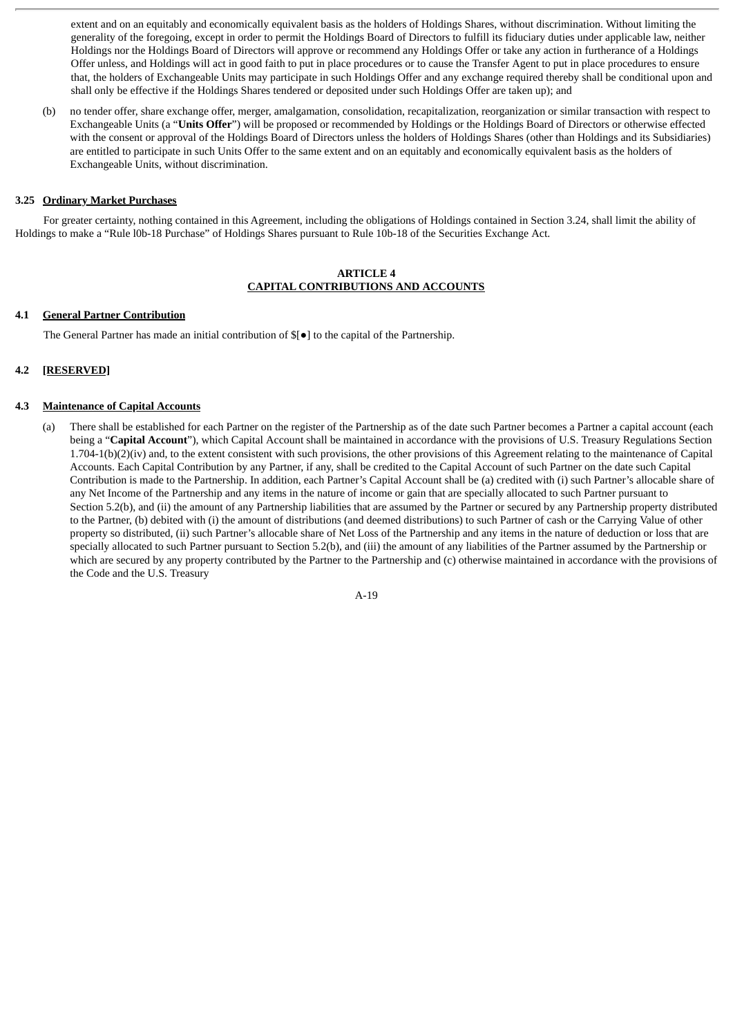extent and on an equitably and economically equivalent basis as the holders of Holdings Shares, without discrimination. Without limiting the generality of the foregoing, except in order to permit the Holdings Board of Directors to fulfill its fiduciary duties under applicable law, neither Holdings nor the Holdings Board of Directors will approve or recommend any Holdings Offer or take any action in furtherance of a Holdings Offer unless, and Holdings will act in good faith to put in place procedures or to cause the Transfer Agent to put in place procedures to ensure that, the holders of Exchangeable Units may participate in such Holdings Offer and any exchange required thereby shall be conditional upon and shall only be effective if the Holdings Shares tendered or deposited under such Holdings Offer are taken up); and

(b) no tender offer, share exchange offer, merger, amalgamation, consolidation, recapitalization, reorganization or similar transaction with respect to Exchangeable Units (a "**Units Offer**") will be proposed or recommended by Holdings or the Holdings Board of Directors or otherwise effected with the consent or approval of the Holdings Board of Directors unless the holders of Holdings Shares (other than Holdings and its Subsidiaries) are entitled to participate in such Units Offer to the same extent and on an equitably and economically equivalent basis as the holders of Exchangeable Units, without discrimination.

#### **3.25 Ordinary Market Purchases**

For greater certainty, nothing contained in this Agreement, including the obligations of Holdings contained in Section 3.24, shall limit the ability of Holdings to make a "Rule l0b-18 Purchase" of Holdings Shares pursuant to Rule 10b-18 of the Securities Exchange Act.

#### **ARTICLE 4 CAPITAL CONTRIBUTIONS AND ACCOUNTS**

#### **4.1 General Partner Contribution**

The General Partner has made an initial contribution of \$[●] to the capital of the Partnership.

#### **4.2 [RESERVED]**

#### **4.3 Maintenance of Capital Accounts**

(a) There shall be established for each Partner on the register of the Partnership as of the date such Partner becomes a Partner a capital account (each being a "**Capital Account**"), which Capital Account shall be maintained in accordance with the provisions of U.S. Treasury Regulations Section 1.704-1(b)(2)(iv) and, to the extent consistent with such provisions, the other provisions of this Agreement relating to the maintenance of Capital Accounts. Each Capital Contribution by any Partner, if any, shall be credited to the Capital Account of such Partner on the date such Capital Contribution is made to the Partnership. In addition, each Partner's Capital Account shall be (a) credited with (i) such Partner's allocable share of any Net Income of the Partnership and any items in the nature of income or gain that are specially allocated to such Partner pursuant to Section 5.2(b), and (ii) the amount of any Partnership liabilities that are assumed by the Partner or secured by any Partnership property distributed to the Partner, (b) debited with (i) the amount of distributions (and deemed distributions) to such Partner of cash or the Carrying Value of other property so distributed, (ii) such Partner's allocable share of Net Loss of the Partnership and any items in the nature of deduction or loss that are specially allocated to such Partner pursuant to Section 5.2(b), and (iii) the amount of any liabilities of the Partner assumed by the Partnership or which are secured by any property contributed by the Partner to the Partnership and (c) otherwise maintained in accordance with the provisions of the Code and the U.S. Treasury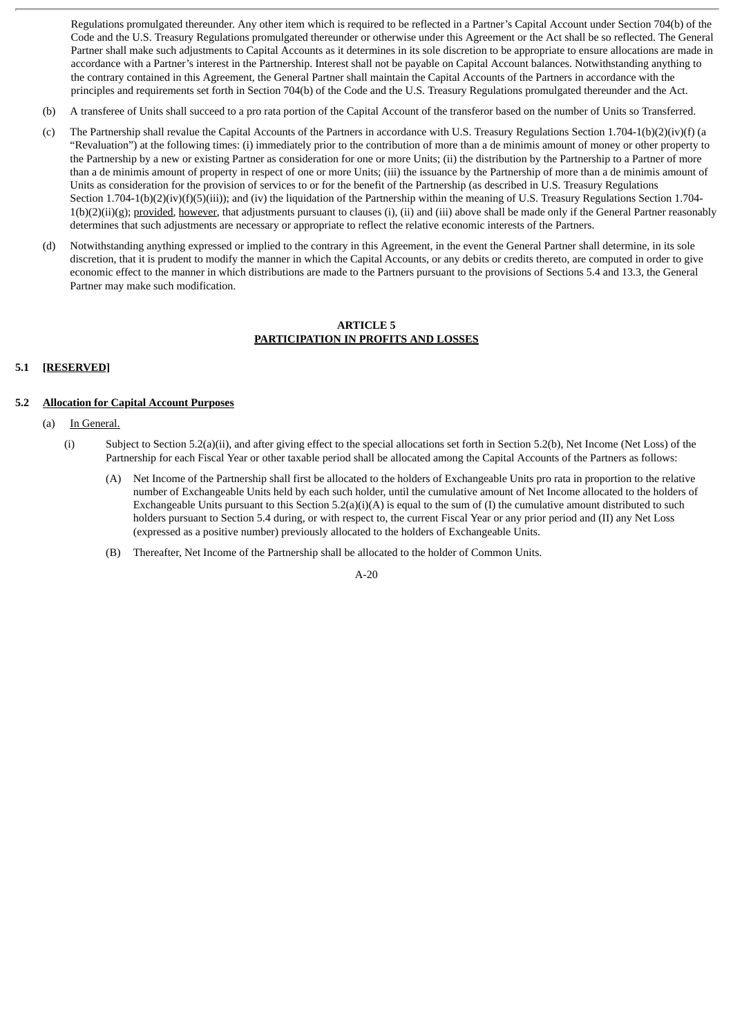Regulations promulgated thereunder. Any other item which is required to be reflected in a Partner's Capital Account under Section 704(b) of the Code and the U.S. Treasury Regulations promulgated thereunder or otherwise under this Agreement or the Act shall be so reflected. The General Partner shall make such adjustments to Capital Accounts as it determines in its sole discretion to be appropriate to ensure allocations are made in accordance with a Partner's interest in the Partnership. Interest shall not be payable on Capital Account balances. Notwithstanding anything to the contrary contained in this Agreement, the General Partner shall maintain the Capital Accounts of the Partners in accordance with the principles and requirements set forth in Section 704(b) of the Code and the U.S. Treasury Regulations promulgated thereunder and the Act.

- (b) A transferee of Units shall succeed to a pro rata portion of the Capital Account of the transferor based on the number of Units so Transferred.
- (c) The Partnership shall revalue the Capital Accounts of the Partners in accordance with U.S. Treasury Regulations Section 1.704-1(b)(2)(iv)(f) (a "Revaluation") at the following times: (i) immediately prior to the contribution of more than a de minimis amount of money or other property to the Partnership by a new or existing Partner as consideration for one or more Units; (ii) the distribution by the Partnership to a Partner of more than a de minimis amount of property in respect of one or more Units; (iii) the issuance by the Partnership of more than a de minimis amount of Units as consideration for the provision of services to or for the benefit of the Partnership (as described in U.S. Treasury Regulations Section 1.704-1(b)(2)(iv)(f)(5)(iii)); and (iv) the liquidation of the Partnership within the meaning of U.S. Treasury Regulations Section 1.704- $1(b)(2)(ii)(g)$ ; provided, however, that adjustments pursuant to clauses (i), (ii) and (iii) above shall be made only if the General Partner reasonably determines that such adjustments are necessary or appropriate to reflect the relative economic interests of the Partners.
- (d) Notwithstanding anything expressed or implied to the contrary in this Agreement, in the event the General Partner shall determine, in its sole discretion, that it is prudent to modify the manner in which the Capital Accounts, or any debits or credits thereto, are computed in order to give economic effect to the manner in which distributions are made to the Partners pursuant to the provisions of Sections 5.4 and 13.3, the General Partner may make such modification.

#### **ARTICLE 5 PARTICIPATION IN PROFITS AND LOSSES**

#### **5.1 [RESERVED]**

#### **5.2 Allocation for Capital Account Purposes**

- (a) In General.
	- (i) Subject to Section 5.2(a)(ii), and after giving effect to the special allocations set forth in Section 5.2(b), Net Income (Net Loss) of the Partnership for each Fiscal Year or other taxable period shall be allocated among the Capital Accounts of the Partners as follows:
		- (A) Net Income of the Partnership shall first be allocated to the holders of Exchangeable Units pro rata in proportion to the relative number of Exchangeable Units held by each such holder, until the cumulative amount of Net Income allocated to the holders of Exchangeable Units pursuant to this Section  $5.2(a)(i)(A)$  is equal to the sum of (I) the cumulative amount distributed to such holders pursuant to Section 5.4 during, or with respect to, the current Fiscal Year or any prior period and (II) any Net Loss (expressed as a positive number) previously allocated to the holders of Exchangeable Units.
		- (B) Thereafter, Net Income of the Partnership shall be allocated to the holder of Common Units.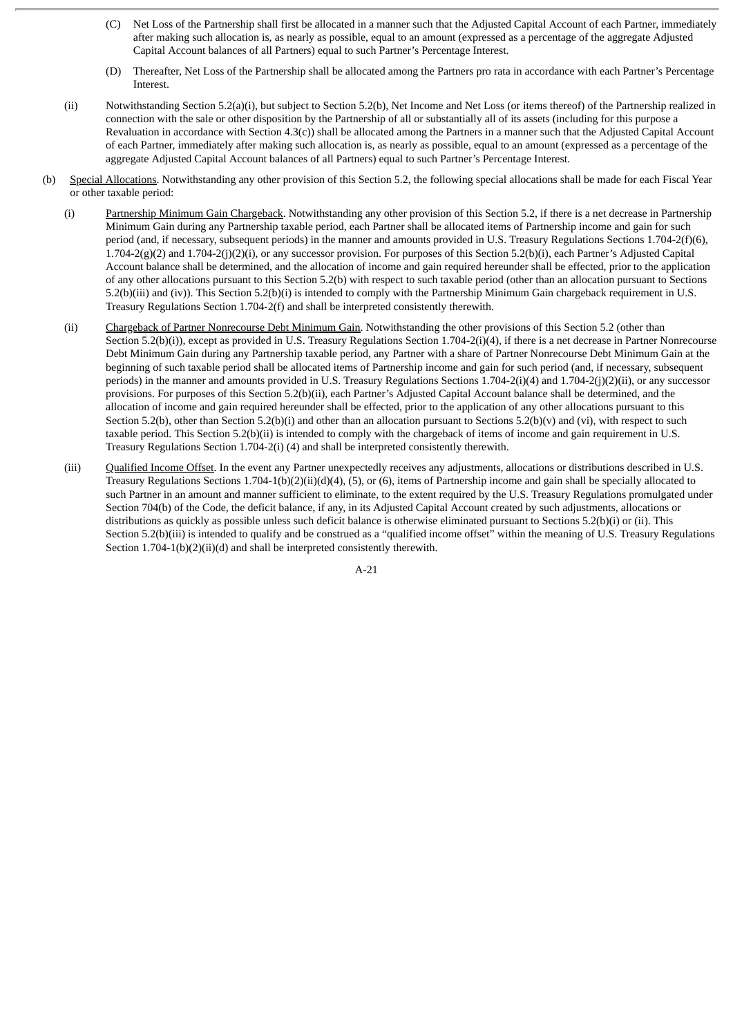- (C) Net Loss of the Partnership shall first be allocated in a manner such that the Adjusted Capital Account of each Partner, immediately after making such allocation is, as nearly as possible, equal to an amount (expressed as a percentage of the aggregate Adjusted Capital Account balances of all Partners) equal to such Partner's Percentage Interest.
- (D) Thereafter, Net Loss of the Partnership shall be allocated among the Partners pro rata in accordance with each Partner's Percentage Interest.
- (ii) Notwithstanding Section 5.2(a)(i), but subject to Section 5.2(b), Net Income and Net Loss (or items thereof) of the Partnership realized in connection with the sale or other disposition by the Partnership of all or substantially all of its assets (including for this purpose a Revaluation in accordance with Section 4.3(c)) shall be allocated among the Partners in a manner such that the Adjusted Capital Account of each Partner, immediately after making such allocation is, as nearly as possible, equal to an amount (expressed as a percentage of the aggregate Adjusted Capital Account balances of all Partners) equal to such Partner's Percentage Interest.
- (b) Special Allocations. Notwithstanding any other provision of this Section 5.2, the following special allocations shall be made for each Fiscal Year or other taxable period:
	- (i) Partnership Minimum Gain Chargeback. Notwithstanding any other provision of this Section 5.2, if there is a net decrease in Partnership Minimum Gain during any Partnership taxable period, each Partner shall be allocated items of Partnership income and gain for such period (and, if necessary, subsequent periods) in the manner and amounts provided in U.S. Treasury Regulations Sections 1.704-2(f)(6), 1.704-2(g)(2) and 1.704-2(j)(2)(i), or any successor provision. For purposes of this Section 5.2(b)(i), each Partner's Adjusted Capital Account balance shall be determined, and the allocation of income and gain required hereunder shall be effected, prior to the application of any other allocations pursuant to this Section 5.2(b) with respect to such taxable period (other than an allocation pursuant to Sections 5.2(b)(iii) and (iv)). This Section 5.2(b)(i) is intended to comply with the Partnership Minimum Gain chargeback requirement in U.S. Treasury Regulations Section 1.704-2(f) and shall be interpreted consistently therewith.
	- (ii) Chargeback of Partner Nonrecourse Debt Minimum Gain. Notwithstanding the other provisions of this Section 5.2 (other than Section 5.2(b)(i)), except as provided in U.S. Treasury Regulations Section 1.704-2(i)(4), if there is a net decrease in Partner Nonrecourse Debt Minimum Gain during any Partnership taxable period, any Partner with a share of Partner Nonrecourse Debt Minimum Gain at the beginning of such taxable period shall be allocated items of Partnership income and gain for such period (and, if necessary, subsequent periods) in the manner and amounts provided in U.S. Treasury Regulations Sections 1.704-2(i)(4) and 1.704-2(j)(2)(ii), or any successor provisions. For purposes of this Section 5.2(b)(ii), each Partner's Adjusted Capital Account balance shall be determined, and the allocation of income and gain required hereunder shall be effected, prior to the application of any other allocations pursuant to this Section 5.2(b), other than Section 5.2(b)(i) and other than an allocation pursuant to Sections 5.2(b)(v) and (vi), with respect to such taxable period. This Section 5.2(b)(ii) is intended to comply with the chargeback of items of income and gain requirement in U.S. Treasury Regulations Section 1.704-2(i) (4) and shall be interpreted consistently therewith.
	- (iii) Qualified Income Offset. In the event any Partner unexpectedly receives any adjustments, allocations or distributions described in U.S. Treasury Regulations Sections 1.704-1(b)(2)(ii)(d)(4), (5), or (6), items of Partnership income and gain shall be specially allocated to such Partner in an amount and manner sufficient to eliminate, to the extent required by the U.S. Treasury Regulations promulgated under Section 704(b) of the Code, the deficit balance, if any, in its Adjusted Capital Account created by such adjustments, allocations or distributions as quickly as possible unless such deficit balance is otherwise eliminated pursuant to Sections 5.2(b)(i) or (ii). This Section 5.2(b)(iii) is intended to qualify and be construed as a "qualified income offset" within the meaning of U.S. Treasury Regulations Section 1.704-1(b)(2)(ii)(d) and shall be interpreted consistently therewith.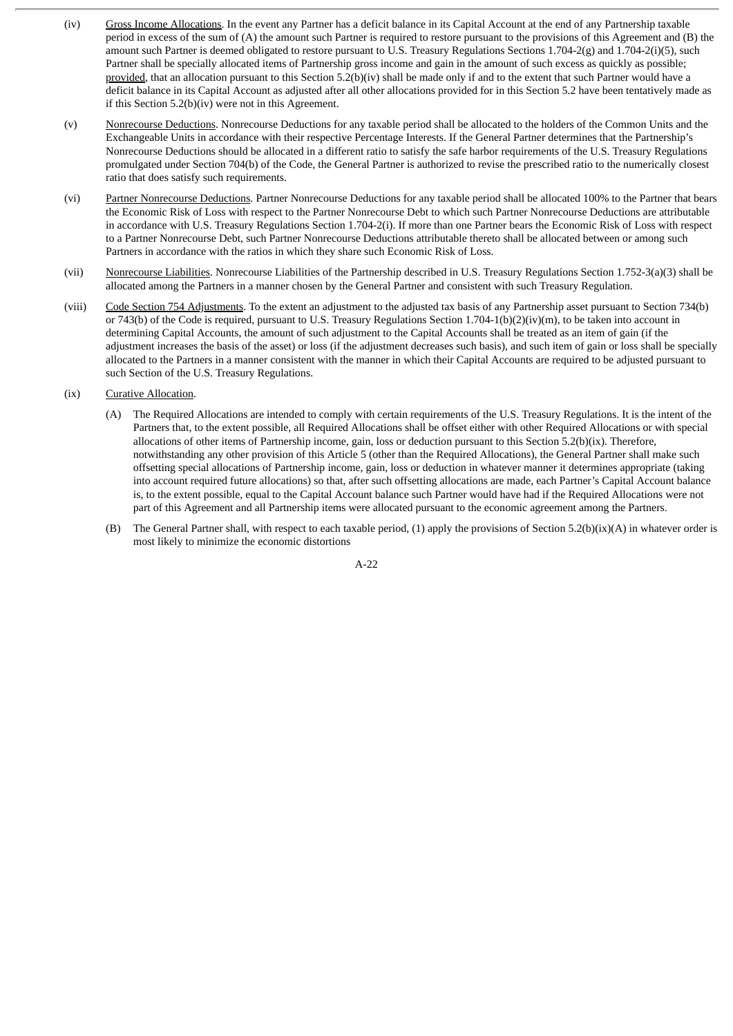- (iv) Gross Income Allocations. In the event any Partner has a deficit balance in its Capital Account at the end of any Partnership taxable period in excess of the sum of (A) the amount such Partner is required to restore pursuant to the provisions of this Agreement and (B) the amount such Partner is deemed obligated to restore pursuant to U.S. Treasury Regulations Sections 1.704-2(g) and 1.704-2(i)(5), such Partner shall be specially allocated items of Partnership gross income and gain in the amount of such excess as quickly as possible; provided, that an allocation pursuant to this Section 5.2(b)(iv) shall be made only if and to the extent that such Partner would have a deficit balance in its Capital Account as adjusted after all other allocations provided for in this Section 5.2 have been tentatively made as if this Section 5.2(b)(iv) were not in this Agreement.
- (v) Nonrecourse Deductions. Nonrecourse Deductions for any taxable period shall be allocated to the holders of the Common Units and the Exchangeable Units in accordance with their respective Percentage Interests. If the General Partner determines that the Partnership's Nonrecourse Deductions should be allocated in a different ratio to satisfy the safe harbor requirements of the U.S. Treasury Regulations promulgated under Section 704(b) of the Code, the General Partner is authorized to revise the prescribed ratio to the numerically closest ratio that does satisfy such requirements.
- (vi) Partner Nonrecourse Deductions. Partner Nonrecourse Deductions for any taxable period shall be allocated 100% to the Partner that bears the Economic Risk of Loss with respect to the Partner Nonrecourse Debt to which such Partner Nonrecourse Deductions are attributable in accordance with U.S. Treasury Regulations Section 1.704-2(i). If more than one Partner bears the Economic Risk of Loss with respect to a Partner Nonrecourse Debt, such Partner Nonrecourse Deductions attributable thereto shall be allocated between or among such Partners in accordance with the ratios in which they share such Economic Risk of Loss.
- (vii) Nonrecourse Liabilities. Nonrecourse Liabilities of the Partnership described in U.S. Treasury Regulations Section 1.752-3(a)(3) shall be allocated among the Partners in a manner chosen by the General Partner and consistent with such Treasury Regulation.
- (viii) Code Section 754 Adjustments. To the extent an adjustment to the adjusted tax basis of any Partnership asset pursuant to Section 734(b) or 743(b) of the Code is required, pursuant to U.S. Treasury Regulations Section 1.704-1(b)(2)(iv)(m), to be taken into account in determining Capital Accounts, the amount of such adjustment to the Capital Accounts shall be treated as an item of gain (if the adjustment increases the basis of the asset) or loss (if the adjustment decreases such basis), and such item of gain or loss shall be specially allocated to the Partners in a manner consistent with the manner in which their Capital Accounts are required to be adjusted pursuant to such Section of the U.S. Treasury Regulations.

#### (ix) Curative Allocation.

- (A) The Required Allocations are intended to comply with certain requirements of the U.S. Treasury Regulations. It is the intent of the Partners that, to the extent possible, all Required Allocations shall be offset either with other Required Allocations or with special allocations of other items of Partnership income, gain, loss or deduction pursuant to this Section 5.2(b)(ix). Therefore, notwithstanding any other provision of this Article 5 (other than the Required Allocations), the General Partner shall make such offsetting special allocations of Partnership income, gain, loss or deduction in whatever manner it determines appropriate (taking into account required future allocations) so that, after such offsetting allocations are made, each Partner's Capital Account balance is, to the extent possible, equal to the Capital Account balance such Partner would have had if the Required Allocations were not part of this Agreement and all Partnership items were allocated pursuant to the economic agreement among the Partners.
- (B) The General Partner shall, with respect to each taxable period, (1) apply the provisions of Section 5.2(b)(ix)(A) in whatever order is most likely to minimize the economic distortions

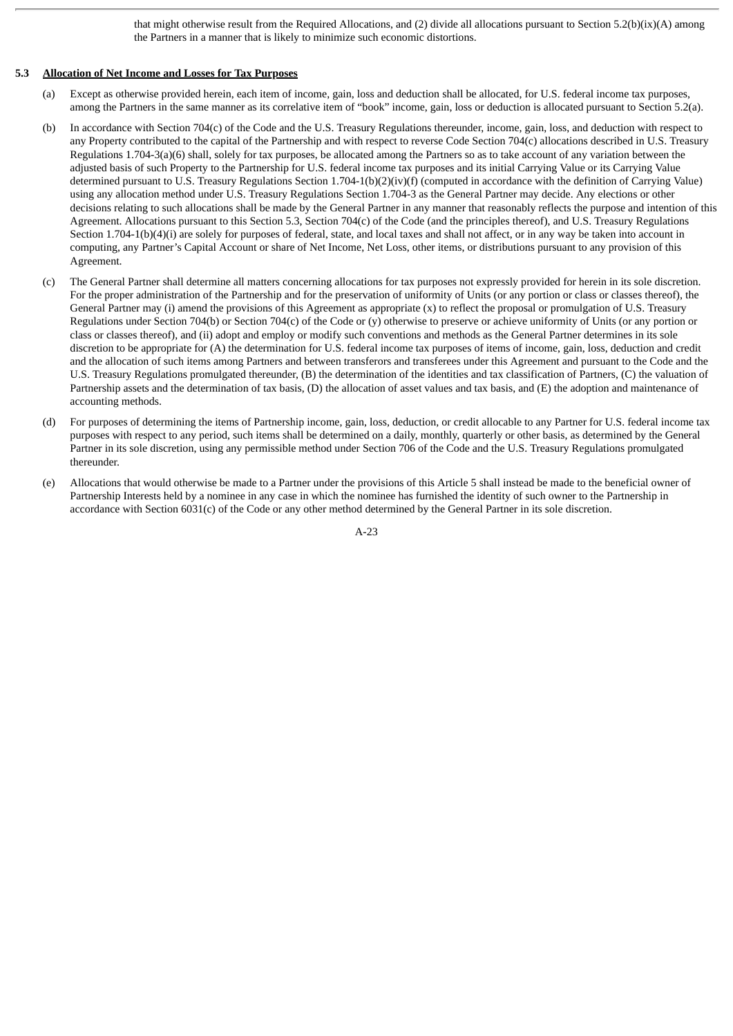that might otherwise result from the Required Allocations, and (2) divide all allocations pursuant to Section 5.2(b)(ix)(A) among the Partners in a manner that is likely to minimize such economic distortions.

#### **5.3 Allocation of Net Income and Losses for Tax Purposes**

- (a) Except as otherwise provided herein, each item of income, gain, loss and deduction shall be allocated, for U.S. federal income tax purposes, among the Partners in the same manner as its correlative item of "book" income, gain, loss or deduction is allocated pursuant to Section 5.2(a).
- (b) In accordance with Section 704(c) of the Code and the U.S. Treasury Regulations thereunder, income, gain, loss, and deduction with respect to any Property contributed to the capital of the Partnership and with respect to reverse Code Section 704(c) allocations described in U.S. Treasury Regulations 1.704-3(a)(6) shall, solely for tax purposes, be allocated among the Partners so as to take account of any variation between the adjusted basis of such Property to the Partnership for U.S. federal income tax purposes and its initial Carrying Value or its Carrying Value determined pursuant to U.S. Treasury Regulations Section 1.704-1(b)(2)(iv)(f) (computed in accordance with the definition of Carrying Value) using any allocation method under U.S. Treasury Regulations Section 1.704-3 as the General Partner may decide. Any elections or other decisions relating to such allocations shall be made by the General Partner in any manner that reasonably reflects the purpose and intention of this Agreement. Allocations pursuant to this Section 5.3, Section 704(c) of the Code (and the principles thereof), and U.S. Treasury Regulations Section 1.704-1(b)(4)(i) are solely for purposes of federal, state, and local taxes and shall not affect, or in any way be taken into account in computing, any Partner's Capital Account or share of Net Income, Net Loss, other items, or distributions pursuant to any provision of this Agreement.
- (c) The General Partner shall determine all matters concerning allocations for tax purposes not expressly provided for herein in its sole discretion. For the proper administration of the Partnership and for the preservation of uniformity of Units (or any portion or class or classes thereof), the General Partner may (i) amend the provisions of this Agreement as appropriate (x) to reflect the proposal or promulgation of U.S. Treasury Regulations under Section 704(b) or Section 704(c) of the Code or (y) otherwise to preserve or achieve uniformity of Units (or any portion or class or classes thereof), and (ii) adopt and employ or modify such conventions and methods as the General Partner determines in its sole discretion to be appropriate for (A) the determination for U.S. federal income tax purposes of items of income, gain, loss, deduction and credit and the allocation of such items among Partners and between transferors and transferees under this Agreement and pursuant to the Code and the U.S. Treasury Regulations promulgated thereunder, (B) the determination of the identities and tax classification of Partners, (C) the valuation of Partnership assets and the determination of tax basis, (D) the allocation of asset values and tax basis, and (E) the adoption and maintenance of accounting methods.
- (d) For purposes of determining the items of Partnership income, gain, loss, deduction, or credit allocable to any Partner for U.S. federal income tax purposes with respect to any period, such items shall be determined on a daily, monthly, quarterly or other basis, as determined by the General Partner in its sole discretion, using any permissible method under Section 706 of the Code and the U.S. Treasury Regulations promulgated thereunder.
- (e) Allocations that would otherwise be made to a Partner under the provisions of this Article 5 shall instead be made to the beneficial owner of Partnership Interests held by a nominee in any case in which the nominee has furnished the identity of such owner to the Partnership in accordance with Section 6031(c) of the Code or any other method determined by the General Partner in its sole discretion.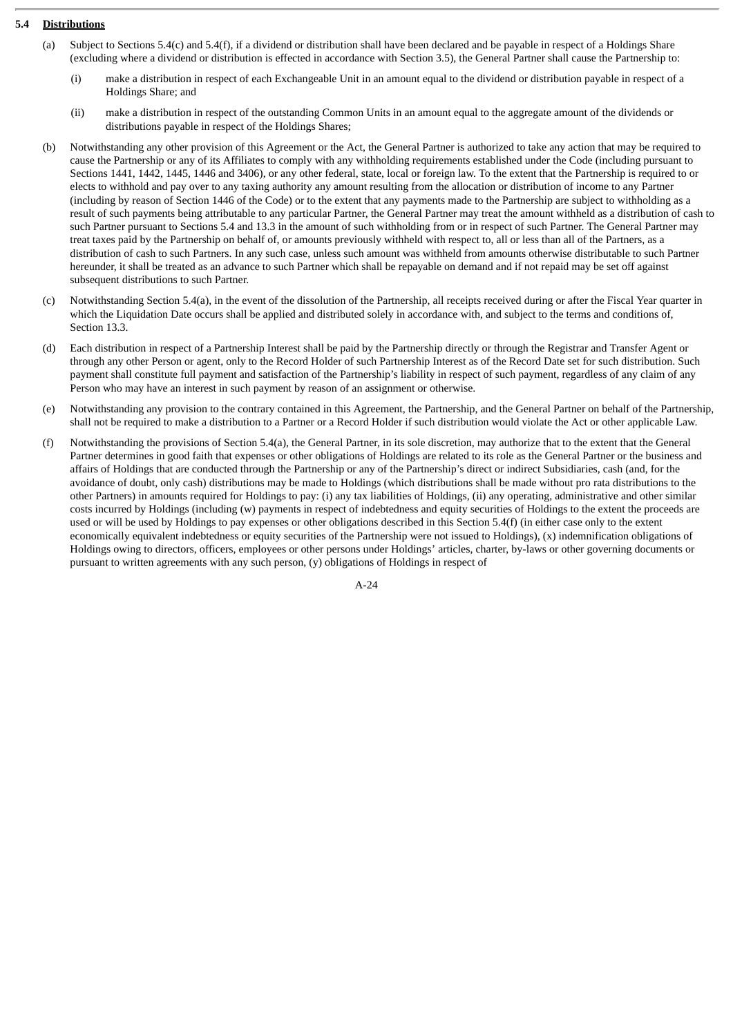# **5.4 Distributions**

- (a) Subject to Sections 5.4(c) and 5.4(f), if a dividend or distribution shall have been declared and be payable in respect of a Holdings Share (excluding where a dividend or distribution is effected in accordance with Section 3.5), the General Partner shall cause the Partnership to:
	- (i) make a distribution in respect of each Exchangeable Unit in an amount equal to the dividend or distribution payable in respect of a Holdings Share; and
	- (ii) make a distribution in respect of the outstanding Common Units in an amount equal to the aggregate amount of the dividends or distributions payable in respect of the Holdings Shares;
- (b) Notwithstanding any other provision of this Agreement or the Act, the General Partner is authorized to take any action that may be required to cause the Partnership or any of its Affiliates to comply with any withholding requirements established under the Code (including pursuant to Sections 1441, 1442, 1445, 1446 and 3406), or any other federal, state, local or foreign law. To the extent that the Partnership is required to or elects to withhold and pay over to any taxing authority any amount resulting from the allocation or distribution of income to any Partner (including by reason of Section 1446 of the Code) or to the extent that any payments made to the Partnership are subject to withholding as a result of such payments being attributable to any particular Partner, the General Partner may treat the amount withheld as a distribution of cash to such Partner pursuant to Sections 5.4 and 13.3 in the amount of such withholding from or in respect of such Partner. The General Partner may treat taxes paid by the Partnership on behalf of, or amounts previously withheld with respect to, all or less than all of the Partners, as a distribution of cash to such Partners. In any such case, unless such amount was withheld from amounts otherwise distributable to such Partner hereunder, it shall be treated as an advance to such Partner which shall be repayable on demand and if not repaid may be set off against subsequent distributions to such Partner.
- (c) Notwithstanding Section 5.4(a), in the event of the dissolution of the Partnership, all receipts received during or after the Fiscal Year quarter in which the Liquidation Date occurs shall be applied and distributed solely in accordance with, and subject to the terms and conditions of, Section 13.3.
- (d) Each distribution in respect of a Partnership Interest shall be paid by the Partnership directly or through the Registrar and Transfer Agent or through any other Person or agent, only to the Record Holder of such Partnership Interest as of the Record Date set for such distribution. Such payment shall constitute full payment and satisfaction of the Partnership's liability in respect of such payment, regardless of any claim of any Person who may have an interest in such payment by reason of an assignment or otherwise.
- (e) Notwithstanding any provision to the contrary contained in this Agreement, the Partnership, and the General Partner on behalf of the Partnership, shall not be required to make a distribution to a Partner or a Record Holder if such distribution would violate the Act or other applicable Law.
- (f) Notwithstanding the provisions of Section 5.4(a), the General Partner, in its sole discretion, may authorize that to the extent that the General Partner determines in good faith that expenses or other obligations of Holdings are related to its role as the General Partner or the business and affairs of Holdings that are conducted through the Partnership or any of the Partnership's direct or indirect Subsidiaries, cash (and, for the avoidance of doubt, only cash) distributions may be made to Holdings (which distributions shall be made without pro rata distributions to the other Partners) in amounts required for Holdings to pay: (i) any tax liabilities of Holdings, (ii) any operating, administrative and other similar costs incurred by Holdings (including (w) payments in respect of indebtedness and equity securities of Holdings to the extent the proceeds are used or will be used by Holdings to pay expenses or other obligations described in this Section 5.4(f) (in either case only to the extent economically equivalent indebtedness or equity securities of the Partnership were not issued to Holdings), (x) indemnification obligations of Holdings owing to directors, officers, employees or other persons under Holdings' articles, charter, by-laws or other governing documents or pursuant to written agreements with any such person, (y) obligations of Holdings in respect of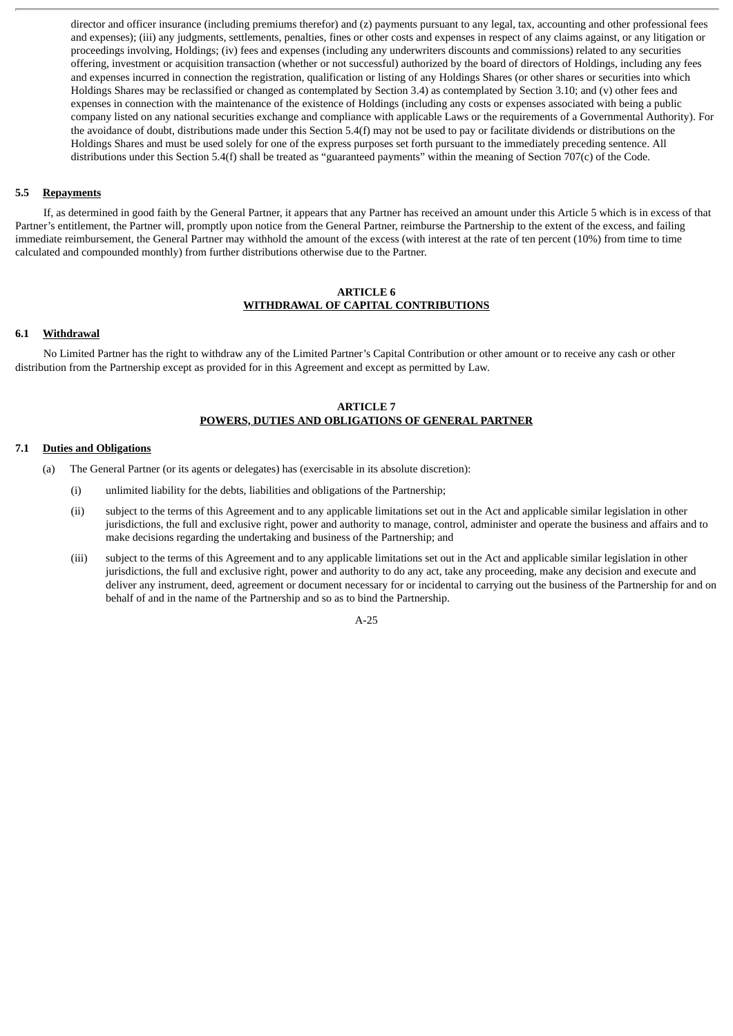director and officer insurance (including premiums therefor) and (z) payments pursuant to any legal, tax, accounting and other professional fees and expenses); (iii) any judgments, settlements, penalties, fines or other costs and expenses in respect of any claims against, or any litigation or proceedings involving, Holdings; (iv) fees and expenses (including any underwriters discounts and commissions) related to any securities offering, investment or acquisition transaction (whether or not successful) authorized by the board of directors of Holdings, including any fees and expenses incurred in connection the registration, qualification or listing of any Holdings Shares (or other shares or securities into which Holdings Shares may be reclassified or changed as contemplated by Section 3.4) as contemplated by Section 3.10; and (v) other fees and expenses in connection with the maintenance of the existence of Holdings (including any costs or expenses associated with being a public company listed on any national securities exchange and compliance with applicable Laws or the requirements of a Governmental Authority). For the avoidance of doubt, distributions made under this Section 5.4(f) may not be used to pay or facilitate dividends or distributions on the Holdings Shares and must be used solely for one of the express purposes set forth pursuant to the immediately preceding sentence. All distributions under this Section 5.4(f) shall be treated as "guaranteed payments" within the meaning of Section 707(c) of the Code.

# **5.5 Repayments**

If, as determined in good faith by the General Partner, it appears that any Partner has received an amount under this Article 5 which is in excess of that Partner's entitlement, the Partner will, promptly upon notice from the General Partner, reimburse the Partnership to the extent of the excess, and failing immediate reimbursement, the General Partner may withhold the amount of the excess (with interest at the rate of ten percent (10%) from time to time calculated and compounded monthly) from further distributions otherwise due to the Partner.

### **ARTICLE 6 WITHDRAWAL OF CAPITAL CONTRIBUTIONS**

# **6.1 Withdrawal**

No Limited Partner has the right to withdraw any of the Limited Partner's Capital Contribution or other amount or to receive any cash or other distribution from the Partnership except as provided for in this Agreement and except as permitted by Law.

# **ARTICLE 7 POWERS, DUTIES AND OBLIGATIONS OF GENERAL PARTNER**

#### **7.1 Duties and Obligations**

(a) The General Partner (or its agents or delegates) has (exercisable in its absolute discretion):

- (i) unlimited liability for the debts, liabilities and obligations of the Partnership;
- (ii) subject to the terms of this Agreement and to any applicable limitations set out in the Act and applicable similar legislation in other jurisdictions, the full and exclusive right, power and authority to manage, control, administer and operate the business and affairs and to make decisions regarding the undertaking and business of the Partnership; and
- (iii) subject to the terms of this Agreement and to any applicable limitations set out in the Act and applicable similar legislation in other jurisdictions, the full and exclusive right, power and authority to do any act, take any proceeding, make any decision and execute and deliver any instrument, deed, agreement or document necessary for or incidental to carrying out the business of the Partnership for and on behalf of and in the name of the Partnership and so as to bind the Partnership.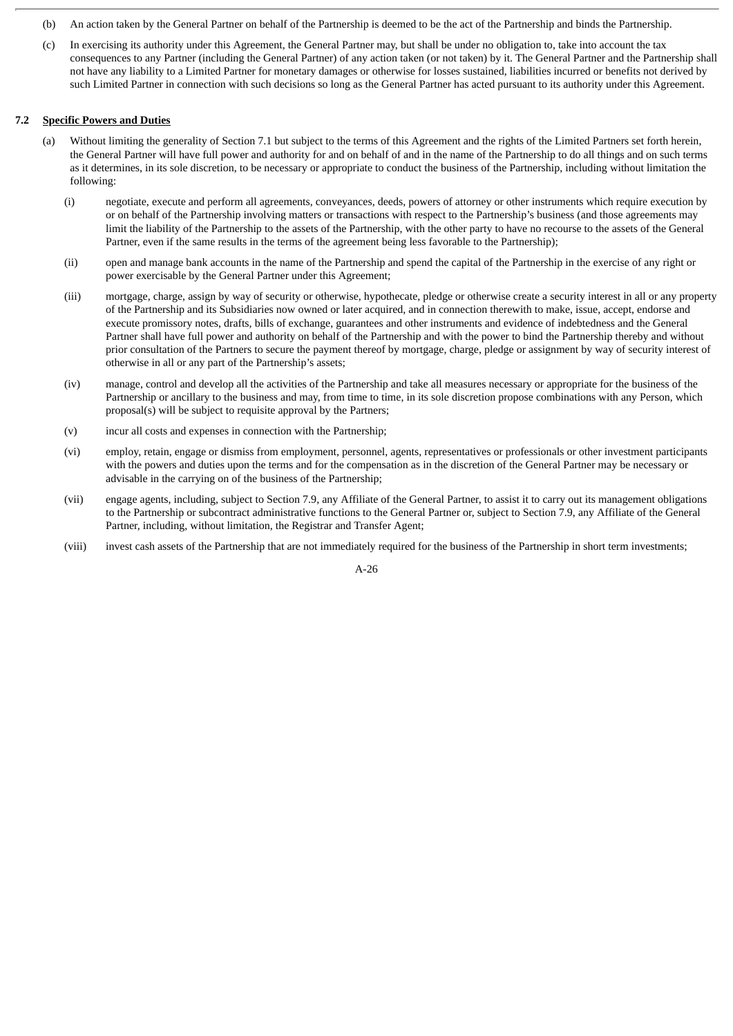- (b) An action taken by the General Partner on behalf of the Partnership is deemed to be the act of the Partnership and binds the Partnership.
- (c) In exercising its authority under this Agreement, the General Partner may, but shall be under no obligation to, take into account the tax consequences to any Partner (including the General Partner) of any action taken (or not taken) by it. The General Partner and the Partnership shall not have any liability to a Limited Partner for monetary damages or otherwise for losses sustained, liabilities incurred or benefits not derived by such Limited Partner in connection with such decisions so long as the General Partner has acted pursuant to its authority under this Agreement.

# **7.2 Specific Powers and Duties**

- (a) Without limiting the generality of Section 7.1 but subject to the terms of this Agreement and the rights of the Limited Partners set forth herein, the General Partner will have full power and authority for and on behalf of and in the name of the Partnership to do all things and on such terms as it determines, in its sole discretion, to be necessary or appropriate to conduct the business of the Partnership, including without limitation the following:
	- (i) negotiate, execute and perform all agreements, conveyances, deeds, powers of attorney or other instruments which require execution by or on behalf of the Partnership involving matters or transactions with respect to the Partnership's business (and those agreements may limit the liability of the Partnership to the assets of the Partnership, with the other party to have no recourse to the assets of the General Partner, even if the same results in the terms of the agreement being less favorable to the Partnership);
	- (ii) open and manage bank accounts in the name of the Partnership and spend the capital of the Partnership in the exercise of any right or power exercisable by the General Partner under this Agreement;
	- (iii) mortgage, charge, assign by way of security or otherwise, hypothecate, pledge or otherwise create a security interest in all or any property of the Partnership and its Subsidiaries now owned or later acquired, and in connection therewith to make, issue, accept, endorse and execute promissory notes, drafts, bills of exchange, guarantees and other instruments and evidence of indebtedness and the General Partner shall have full power and authority on behalf of the Partnership and with the power to bind the Partnership thereby and without prior consultation of the Partners to secure the payment thereof by mortgage, charge, pledge or assignment by way of security interest of otherwise in all or any part of the Partnership's assets;
	- (iv) manage, control and develop all the activities of the Partnership and take all measures necessary or appropriate for the business of the Partnership or ancillary to the business and may, from time to time, in its sole discretion propose combinations with any Person, which proposal(s) will be subject to requisite approval by the Partners;
	- (v) incur all costs and expenses in connection with the Partnership;
	- (vi) employ, retain, engage or dismiss from employment, personnel, agents, representatives or professionals or other investment participants with the powers and duties upon the terms and for the compensation as in the discretion of the General Partner may be necessary or advisable in the carrying on of the business of the Partnership;
	- (vii) engage agents, including, subject to Section 7.9, any Affiliate of the General Partner, to assist it to carry out its management obligations to the Partnership or subcontract administrative functions to the General Partner or, subject to Section 7.9, any Affiliate of the General Partner, including, without limitation, the Registrar and Transfer Agent;
	- (viii) invest cash assets of the Partnership that are not immediately required for the business of the Partnership in short term investments;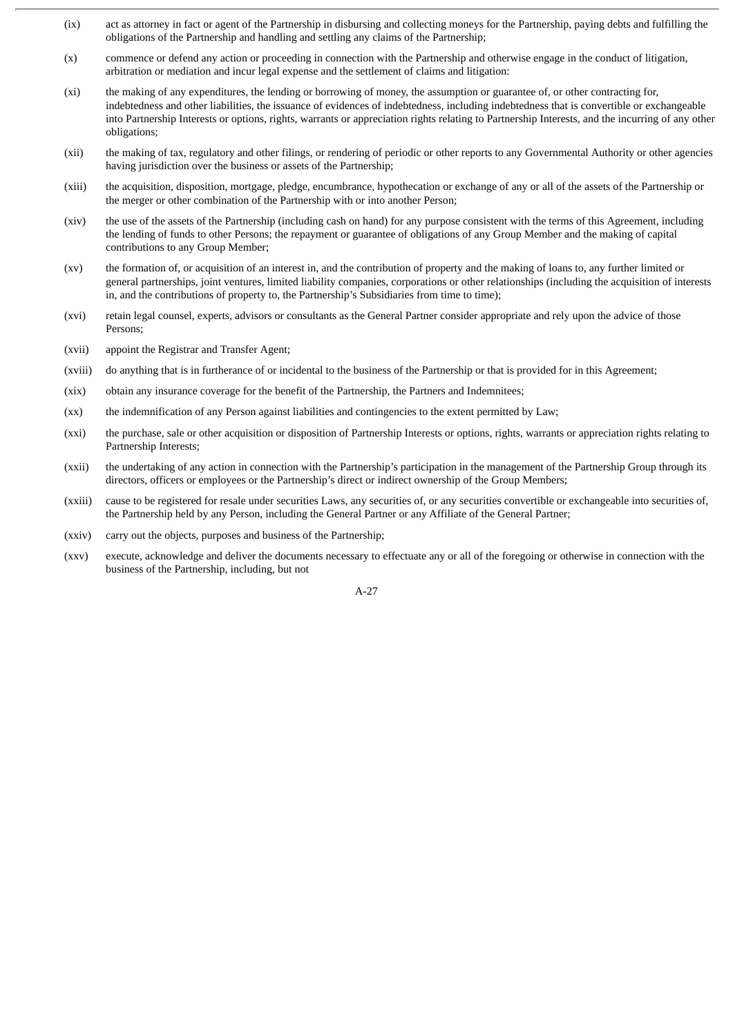- (ix) act as attorney in fact or agent of the Partnership in disbursing and collecting moneys for the Partnership, paying debts and fulfilling the obligations of the Partnership and handling and settling any claims of the Partnership;
- (x) commence or defend any action or proceeding in connection with the Partnership and otherwise engage in the conduct of litigation, arbitration or mediation and incur legal expense and the settlement of claims and litigation:
- (xi) the making of any expenditures, the lending or borrowing of money, the assumption or guarantee of, or other contracting for, indebtedness and other liabilities, the issuance of evidences of indebtedness, including indebtedness that is convertible or exchangeable into Partnership Interests or options, rights, warrants or appreciation rights relating to Partnership Interests, and the incurring of any other obligations;
- (xii) the making of tax, regulatory and other filings, or rendering of periodic or other reports to any Governmental Authority or other agencies having jurisdiction over the business or assets of the Partnership;
- (xiii) the acquisition, disposition, mortgage, pledge, encumbrance, hypothecation or exchange of any or all of the assets of the Partnership or the merger or other combination of the Partnership with or into another Person;
- (xiv) the use of the assets of the Partnership (including cash on hand) for any purpose consistent with the terms of this Agreement, including the lending of funds to other Persons; the repayment or guarantee of obligations of any Group Member and the making of capital contributions to any Group Member;
- (xv) the formation of, or acquisition of an interest in, and the contribution of property and the making of loans to, any further limited or general partnerships, joint ventures, limited liability companies, corporations or other relationships (including the acquisition of interests in, and the contributions of property to, the Partnership's Subsidiaries from time to time);
- (xvi) retain legal counsel, experts, advisors or consultants as the General Partner consider appropriate and rely upon the advice of those Persons;
- (xvii) appoint the Registrar and Transfer Agent;
- (xviii) do anything that is in furtherance of or incidental to the business of the Partnership or that is provided for in this Agreement;
- (xix) obtain any insurance coverage for the benefit of the Partnership, the Partners and Indemnitees;
- (xx) the indemnification of any Person against liabilities and contingencies to the extent permitted by Law;
- (xxi) the purchase, sale or other acquisition or disposition of Partnership Interests or options, rights, warrants or appreciation rights relating to Partnership Interests;
- (xxii) the undertaking of any action in connection with the Partnership's participation in the management of the Partnership Group through its directors, officers or employees or the Partnership's direct or indirect ownership of the Group Members;
- (xxiii) cause to be registered for resale under securities Laws, any securities of, or any securities convertible or exchangeable into securities of, the Partnership held by any Person, including the General Partner or any Affiliate of the General Partner;
- (xxiv) carry out the objects, purposes and business of the Partnership;
- (xxv) execute, acknowledge and deliver the documents necessary to effectuate any or all of the foregoing or otherwise in connection with the business of the Partnership, including, but not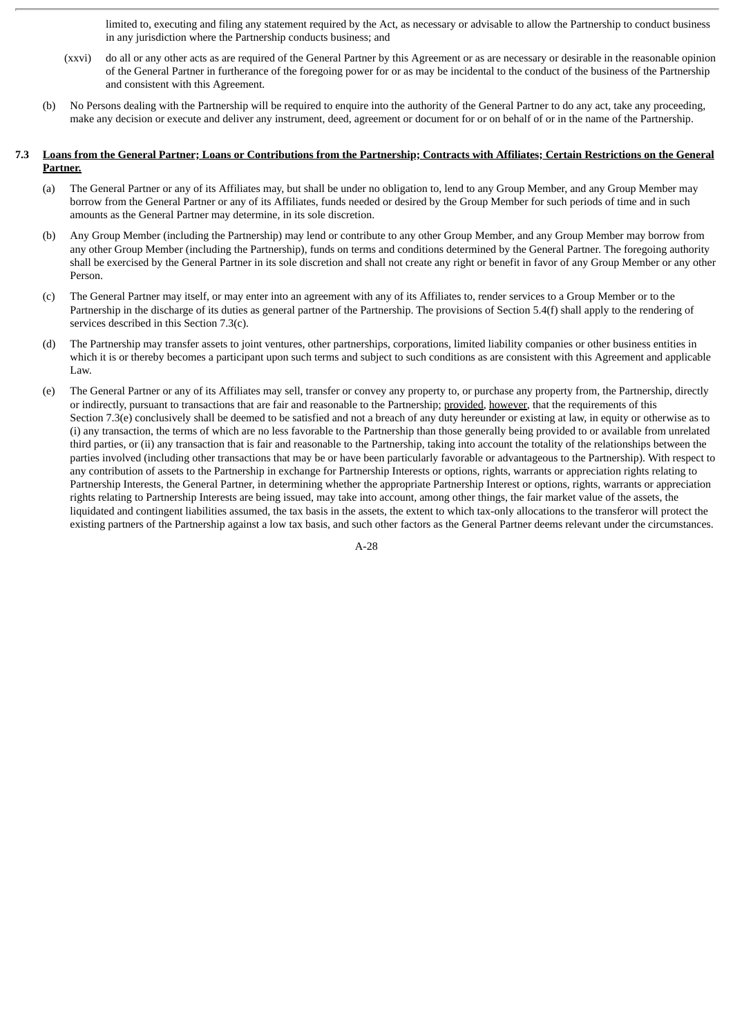limited to, executing and filing any statement required by the Act, as necessary or advisable to allow the Partnership to conduct business in any jurisdiction where the Partnership conducts business; and

- (xxvi) do all or any other acts as are required of the General Partner by this Agreement or as are necessary or desirable in the reasonable opinion of the General Partner in furtherance of the foregoing power for or as may be incidental to the conduct of the business of the Partnership and consistent with this Agreement.
- (b) No Persons dealing with the Partnership will be required to enquire into the authority of the General Partner to do any act, take any proceeding, make any decision or execute and deliver any instrument, deed, agreement or document for or on behalf of or in the name of the Partnership.
- 7.3 Loans from the General Partner; Loans or Contributions from the Partnership; Contracts with Affiliates; Certain Restrictions on the General **Partner.**
	- (a) The General Partner or any of its Affiliates may, but shall be under no obligation to, lend to any Group Member, and any Group Member may borrow from the General Partner or any of its Affiliates, funds needed or desired by the Group Member for such periods of time and in such amounts as the General Partner may determine, in its sole discretion.
	- (b) Any Group Member (including the Partnership) may lend or contribute to any other Group Member, and any Group Member may borrow from any other Group Member (including the Partnership), funds on terms and conditions determined by the General Partner. The foregoing authority shall be exercised by the General Partner in its sole discretion and shall not create any right or benefit in favor of any Group Member or any other Person.
	- (c) The General Partner may itself, or may enter into an agreement with any of its Affiliates to, render services to a Group Member or to the Partnership in the discharge of its duties as general partner of the Partnership. The provisions of Section 5.4(f) shall apply to the rendering of services described in this Section 7.3(c).
	- (d) The Partnership may transfer assets to joint ventures, other partnerships, corporations, limited liability companies or other business entities in which it is or thereby becomes a participant upon such terms and subject to such conditions as are consistent with this Agreement and applicable Law.
	- (e) The General Partner or any of its Affiliates may sell, transfer or convey any property to, or purchase any property from, the Partnership, directly or indirectly, pursuant to transactions that are fair and reasonable to the Partnership; provided, however, that the requirements of this Section 7.3(e) conclusively shall be deemed to be satisfied and not a breach of any duty hereunder or existing at law, in equity or otherwise as to (i) any transaction, the terms of which are no less favorable to the Partnership than those generally being provided to or available from unrelated third parties, or (ii) any transaction that is fair and reasonable to the Partnership, taking into account the totality of the relationships between the parties involved (including other transactions that may be or have been particularly favorable or advantageous to the Partnership). With respect to any contribution of assets to the Partnership in exchange for Partnership Interests or options, rights, warrants or appreciation rights relating to Partnership Interests, the General Partner, in determining whether the appropriate Partnership Interest or options, rights, warrants or appreciation rights relating to Partnership Interests are being issued, may take into account, among other things, the fair market value of the assets, the liquidated and contingent liabilities assumed, the tax basis in the assets, the extent to which tax-only allocations to the transferor will protect the existing partners of the Partnership against a low tax basis, and such other factors as the General Partner deems relevant under the circumstances.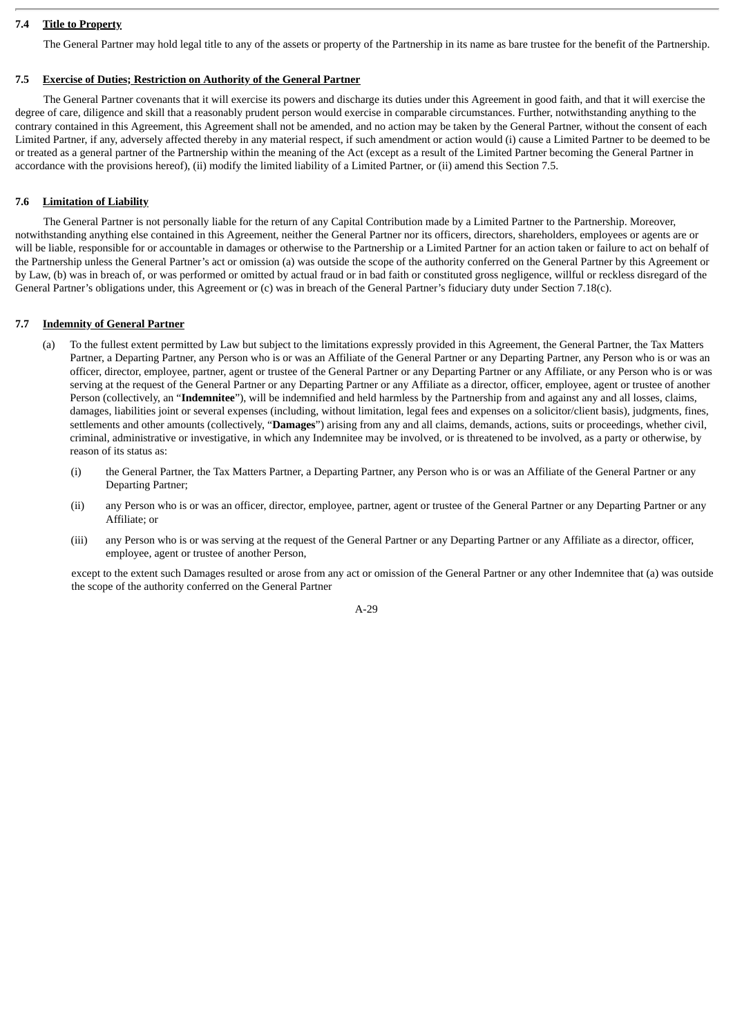# **7.4 Title to Property**

The General Partner may hold legal title to any of the assets or property of the Partnership in its name as bare trustee for the benefit of the Partnership.

# **7.5 Exercise of Duties; Restriction on Authority of the General Partner**

The General Partner covenants that it will exercise its powers and discharge its duties under this Agreement in good faith, and that it will exercise the degree of care, diligence and skill that a reasonably prudent person would exercise in comparable circumstances. Further, notwithstanding anything to the contrary contained in this Agreement, this Agreement shall not be amended, and no action may be taken by the General Partner, without the consent of each Limited Partner, if any, adversely affected thereby in any material respect, if such amendment or action would (i) cause a Limited Partner to be deemed to be or treated as a general partner of the Partnership within the meaning of the Act (except as a result of the Limited Partner becoming the General Partner in accordance with the provisions hereof), (ii) modify the limited liability of a Limited Partner, or (ii) amend this Section 7.5.

# **7.6 Limitation of Liability**

The General Partner is not personally liable for the return of any Capital Contribution made by a Limited Partner to the Partnership. Moreover, notwithstanding anything else contained in this Agreement, neither the General Partner nor its officers, directors, shareholders, employees or agents are or will be liable, responsible for or accountable in damages or otherwise to the Partnership or a Limited Partner for an action taken or failure to act on behalf of the Partnership unless the General Partner's act or omission (a) was outside the scope of the authority conferred on the General Partner by this Agreement or by Law, (b) was in breach of, or was performed or omitted by actual fraud or in bad faith or constituted gross negligence, willful or reckless disregard of the General Partner's obligations under, this Agreement or (c) was in breach of the General Partner's fiduciary duty under Section 7.18(c).

# **7.7 Indemnity of General Partner**

- (a) To the fullest extent permitted by Law but subject to the limitations expressly provided in this Agreement, the General Partner, the Tax Matters Partner, a Departing Partner, any Person who is or was an Affiliate of the General Partner or any Departing Partner, any Person who is or was an officer, director, employee, partner, agent or trustee of the General Partner or any Departing Partner or any Affiliate, or any Person who is or was serving at the request of the General Partner or any Departing Partner or any Affiliate as a director, officer, employee, agent or trustee of another Person (collectively, an "**Indemnitee**"), will be indemnified and held harmless by the Partnership from and against any and all losses, claims, damages, liabilities joint or several expenses (including, without limitation, legal fees and expenses on a solicitor/client basis), judgments, fines, settlements and other amounts (collectively, "**Damages**") arising from any and all claims, demands, actions, suits or proceedings, whether civil, criminal, administrative or investigative, in which any Indemnitee may be involved, or is threatened to be involved, as a party or otherwise, by reason of its status as:
	- (i) the General Partner, the Tax Matters Partner, a Departing Partner, any Person who is or was an Affiliate of the General Partner or any Departing Partner;
	- (ii) any Person who is or was an officer, director, employee, partner, agent or trustee of the General Partner or any Departing Partner or any Affiliate; or
	- (iii) any Person who is or was serving at the request of the General Partner or any Departing Partner or any Affiliate as a director, officer, employee, agent or trustee of another Person,

except to the extent such Damages resulted or arose from any act or omission of the General Partner or any other Indemnitee that (a) was outside the scope of the authority conferred on the General Partner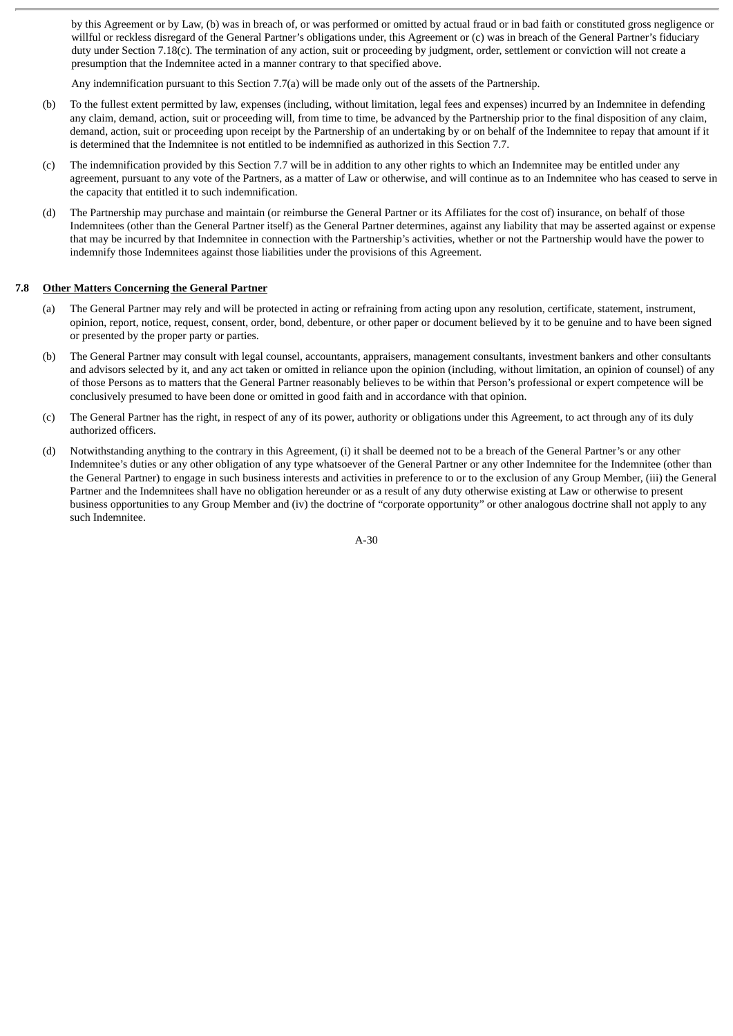by this Agreement or by Law, (b) was in breach of, or was performed or omitted by actual fraud or in bad faith or constituted gross negligence or willful or reckless disregard of the General Partner's obligations under, this Agreement or (c) was in breach of the General Partner's fiduciary duty under Section 7.18(c). The termination of any action, suit or proceeding by judgment, order, settlement or conviction will not create a presumption that the Indemnitee acted in a manner contrary to that specified above.

Any indemnification pursuant to this Section 7.7(a) will be made only out of the assets of the Partnership.

- (b) To the fullest extent permitted by law, expenses (including, without limitation, legal fees and expenses) incurred by an Indemnitee in defending any claim, demand, action, suit or proceeding will, from time to time, be advanced by the Partnership prior to the final disposition of any claim, demand, action, suit or proceeding upon receipt by the Partnership of an undertaking by or on behalf of the Indemnitee to repay that amount if it is determined that the Indemnitee is not entitled to be indemnified as authorized in this Section 7.7.
- (c) The indemnification provided by this Section 7.7 will be in addition to any other rights to which an Indemnitee may be entitled under any agreement, pursuant to any vote of the Partners, as a matter of Law or otherwise, and will continue as to an Indemnitee who has ceased to serve in the capacity that entitled it to such indemnification.
- (d) The Partnership may purchase and maintain (or reimburse the General Partner or its Affiliates for the cost of) insurance, on behalf of those Indemnitees (other than the General Partner itself) as the General Partner determines, against any liability that may be asserted against or expense that may be incurred by that Indemnitee in connection with the Partnership's activities, whether or not the Partnership would have the power to indemnify those Indemnitees against those liabilities under the provisions of this Agreement.

#### **7.8 Other Matters Concerning the General Partner**

- (a) The General Partner may rely and will be protected in acting or refraining from acting upon any resolution, certificate, statement, instrument, opinion, report, notice, request, consent, order, bond, debenture, or other paper or document believed by it to be genuine and to have been signed or presented by the proper party or parties.
- (b) The General Partner may consult with legal counsel, accountants, appraisers, management consultants, investment bankers and other consultants and advisors selected by it, and any act taken or omitted in reliance upon the opinion (including, without limitation, an opinion of counsel) of any of those Persons as to matters that the General Partner reasonably believes to be within that Person's professional or expert competence will be conclusively presumed to have been done or omitted in good faith and in accordance with that opinion.
- (c) The General Partner has the right, in respect of any of its power, authority or obligations under this Agreement, to act through any of its duly authorized officers.
- (d) Notwithstanding anything to the contrary in this Agreement, (i) it shall be deemed not to be a breach of the General Partner's or any other Indemnitee's duties or any other obligation of any type whatsoever of the General Partner or any other Indemnitee for the Indemnitee (other than the General Partner) to engage in such business interests and activities in preference to or to the exclusion of any Group Member, (iii) the General Partner and the Indemnitees shall have no obligation hereunder or as a result of any duty otherwise existing at Law or otherwise to present business opportunities to any Group Member and (iv) the doctrine of "corporate opportunity" or other analogous doctrine shall not apply to any such Indemnitee.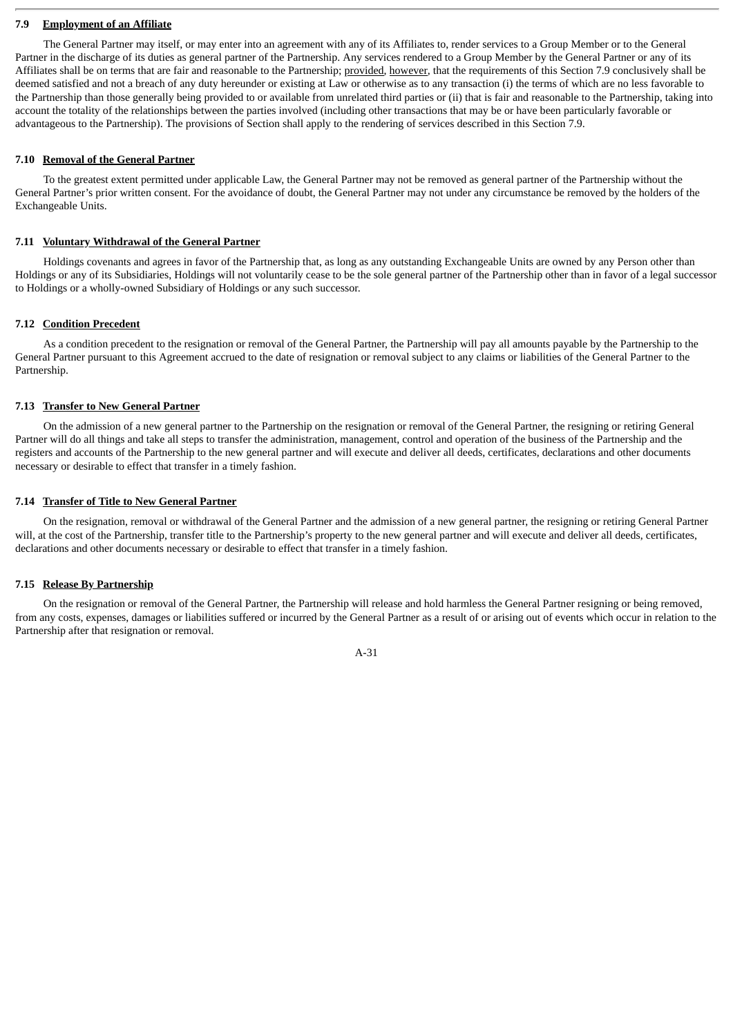# **7.9 Employment of an Affiliate**

The General Partner may itself, or may enter into an agreement with any of its Affiliates to, render services to a Group Member or to the General Partner in the discharge of its duties as general partner of the Partnership. Any services rendered to a Group Member by the General Partner or any of its Affiliates shall be on terms that are fair and reasonable to the Partnership; provided, however, that the requirements of this Section 7.9 conclusively shall be deemed satisfied and not a breach of any duty hereunder or existing at Law or otherwise as to any transaction (i) the terms of which are no less favorable to the Partnership than those generally being provided to or available from unrelated third parties or (ii) that is fair and reasonable to the Partnership, taking into account the totality of the relationships between the parties involved (including other transactions that may be or have been particularly favorable or advantageous to the Partnership). The provisions of Section shall apply to the rendering of services described in this Section 7.9.

## **7.10 Removal of the General Partner**

To the greatest extent permitted under applicable Law, the General Partner may not be removed as general partner of the Partnership without the General Partner's prior written consent. For the avoidance of doubt, the General Partner may not under any circumstance be removed by the holders of the Exchangeable Units.

#### **7.11 Voluntary Withdrawal of the General Partner**

Holdings covenants and agrees in favor of the Partnership that, as long as any outstanding Exchangeable Units are owned by any Person other than Holdings or any of its Subsidiaries, Holdings will not voluntarily cease to be the sole general partner of the Partnership other than in favor of a legal successor to Holdings or a wholly-owned Subsidiary of Holdings or any such successor.

#### **7.12 Condition Precedent**

As a condition precedent to the resignation or removal of the General Partner, the Partnership will pay all amounts payable by the Partnership to the General Partner pursuant to this Agreement accrued to the date of resignation or removal subject to any claims or liabilities of the General Partner to the Partnership.

#### **7.13 Transfer to New General Partner**

On the admission of a new general partner to the Partnership on the resignation or removal of the General Partner, the resigning or retiring General Partner will do all things and take all steps to transfer the administration, management, control and operation of the business of the Partnership and the registers and accounts of the Partnership to the new general partner and will execute and deliver all deeds, certificates, declarations and other documents necessary or desirable to effect that transfer in a timely fashion.

#### **7.14 Transfer of Title to New General Partner**

On the resignation, removal or withdrawal of the General Partner and the admission of a new general partner, the resigning or retiring General Partner will, at the cost of the Partnership, transfer title to the Partnership's property to the new general partner and will execute and deliver all deeds, certificates, declarations and other documents necessary or desirable to effect that transfer in a timely fashion.

# **7.15 Release By Partnership**

On the resignation or removal of the General Partner, the Partnership will release and hold harmless the General Partner resigning or being removed, from any costs, expenses, damages or liabilities suffered or incurred by the General Partner as a result of or arising out of events which occur in relation to the Partnership after that resignation or removal.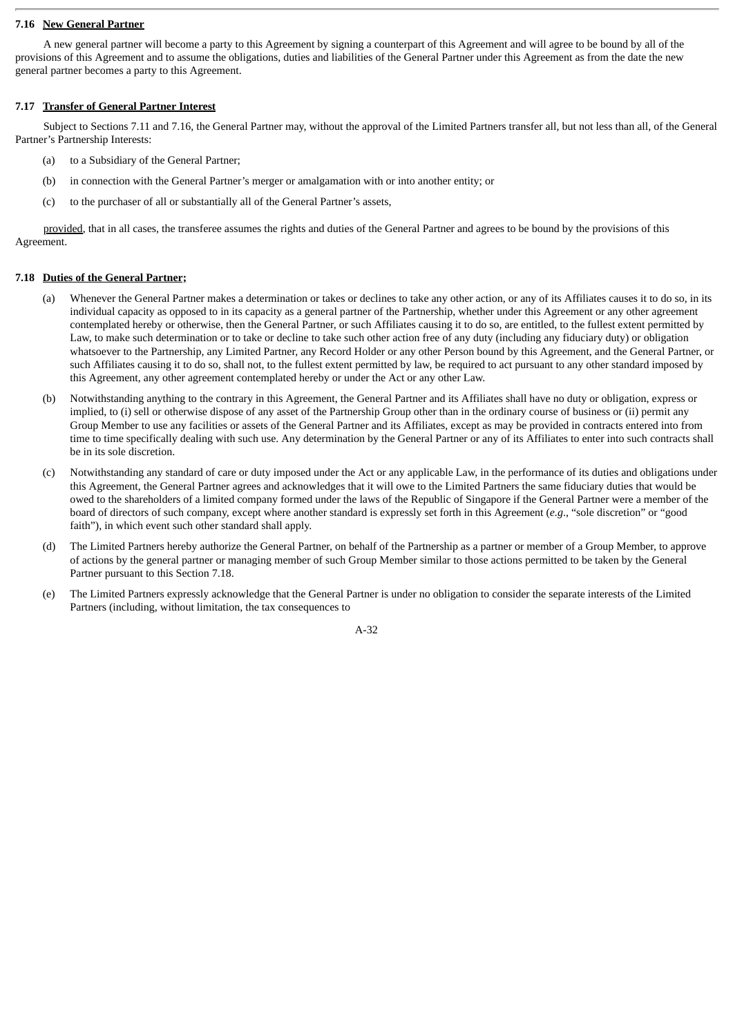# **7.16 New General Partner**

A new general partner will become a party to this Agreement by signing a counterpart of this Agreement and will agree to be bound by all of the provisions of this Agreement and to assume the obligations, duties and liabilities of the General Partner under this Agreement as from the date the new general partner becomes a party to this Agreement.

### **7.17 Transfer of General Partner Interest**

Subject to Sections 7.11 and 7.16, the General Partner may, without the approval of the Limited Partners transfer all, but not less than all, of the General Partner's Partnership Interests:

- (a) to a Subsidiary of the General Partner;
- (b) in connection with the General Partner's merger or amalgamation with or into another entity; or
- (c) to the purchaser of all or substantially all of the General Partner's assets,

provided, that in all cases, the transferee assumes the rights and duties of the General Partner and agrees to be bound by the provisions of this Agreement.

# **7.18 Duties of the General Partner;**

- (a) Whenever the General Partner makes a determination or takes or declines to take any other action, or any of its Affiliates causes it to do so, in its individual capacity as opposed to in its capacity as a general partner of the Partnership, whether under this Agreement or any other agreement contemplated hereby or otherwise, then the General Partner, or such Affiliates causing it to do so, are entitled, to the fullest extent permitted by Law, to make such determination or to take or decline to take such other action free of any duty (including any fiduciary duty) or obligation whatsoever to the Partnership, any Limited Partner, any Record Holder or any other Person bound by this Agreement, and the General Partner, or such Affiliates causing it to do so, shall not, to the fullest extent permitted by law, be required to act pursuant to any other standard imposed by this Agreement, any other agreement contemplated hereby or under the Act or any other Law.
- (b) Notwithstanding anything to the contrary in this Agreement, the General Partner and its Affiliates shall have no duty or obligation, express or implied, to (i) sell or otherwise dispose of any asset of the Partnership Group other than in the ordinary course of business or (ii) permit any Group Member to use any facilities or assets of the General Partner and its Affiliates, except as may be provided in contracts entered into from time to time specifically dealing with such use. Any determination by the General Partner or any of its Affiliates to enter into such contracts shall be in its sole discretion.
- (c) Notwithstanding any standard of care or duty imposed under the Act or any applicable Law, in the performance of its duties and obligations under this Agreement, the General Partner agrees and acknowledges that it will owe to the Limited Partners the same fiduciary duties that would be owed to the shareholders of a limited company formed under the laws of the Republic of Singapore if the General Partner were a member of the board of directors of such company, except where another standard is expressly set forth in this Agreement (*e.g*., "sole discretion" or "good faith"), in which event such other standard shall apply.
- (d) The Limited Partners hereby authorize the General Partner, on behalf of the Partnership as a partner or member of a Group Member, to approve of actions by the general partner or managing member of such Group Member similar to those actions permitted to be taken by the General Partner pursuant to this Section 7.18.
- (e) The Limited Partners expressly acknowledge that the General Partner is under no obligation to consider the separate interests of the Limited Partners (including, without limitation, the tax consequences to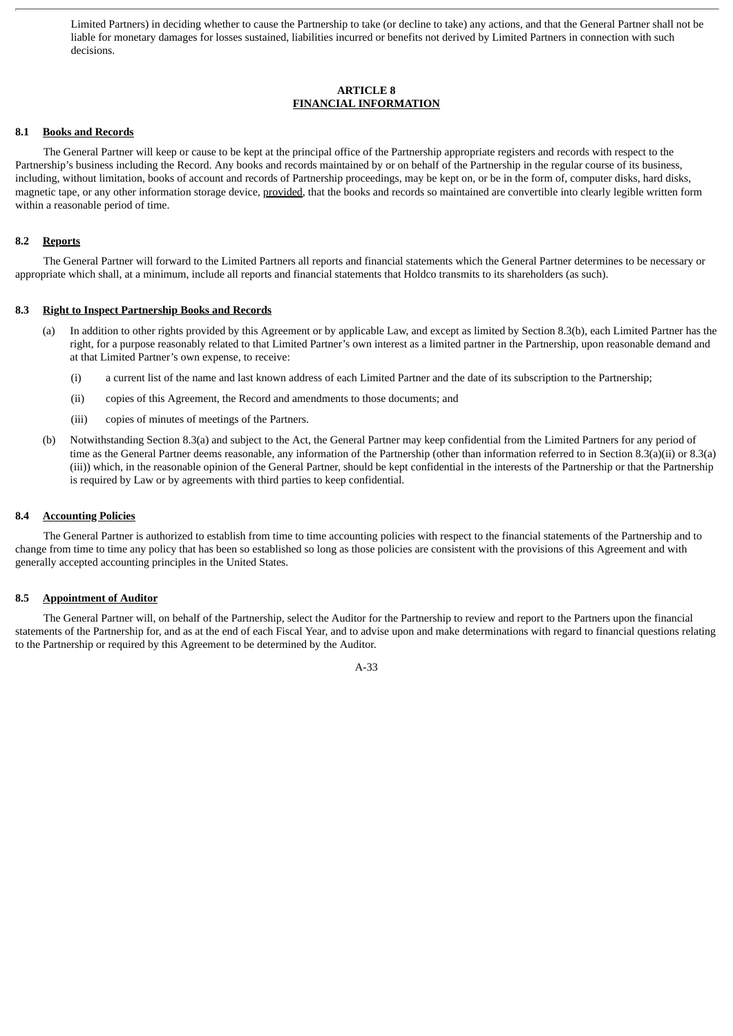Limited Partners) in deciding whether to cause the Partnership to take (or decline to take) any actions, and that the General Partner shall not be liable for monetary damages for losses sustained, liabilities incurred or benefits not derived by Limited Partners in connection with such decisions.

# **ARTICLE 8 FINANCIAL INFORMATION**

# **8.1 Books and Records**

The General Partner will keep or cause to be kept at the principal office of the Partnership appropriate registers and records with respect to the Partnership's business including the Record. Any books and records maintained by or on behalf of the Partnership in the regular course of its business, including, without limitation, books of account and records of Partnership proceedings, may be kept on, or be in the form of, computer disks, hard disks, magnetic tape, or any other information storage device, provided, that the books and records so maintained are convertible into clearly legible written form within a reasonable period of time.

### **8.2 Reports**

The General Partner will forward to the Limited Partners all reports and financial statements which the General Partner determines to be necessary or appropriate which shall, at a minimum, include all reports and financial statements that Holdco transmits to its shareholders (as such).

#### **8.3 Right to Inspect Partnership Books and Records**

- (a) In addition to other rights provided by this Agreement or by applicable Law, and except as limited by Section 8.3(b), each Limited Partner has the right, for a purpose reasonably related to that Limited Partner's own interest as a limited partner in the Partnership, upon reasonable demand and at that Limited Partner's own expense, to receive:
	- (i) a current list of the name and last known address of each Limited Partner and the date of its subscription to the Partnership;
	- (ii) copies of this Agreement, the Record and amendments to those documents; and
	- (iii) copies of minutes of meetings of the Partners.
- (b) Notwithstanding Section 8.3(a) and subject to the Act, the General Partner may keep confidential from the Limited Partners for any period of time as the General Partner deems reasonable, any information of the Partnership (other than information referred to in Section 8.3(a)(ii) or 8.3(a) (iii)) which, in the reasonable opinion of the General Partner, should be kept confidential in the interests of the Partnership or that the Partnership is required by Law or by agreements with third parties to keep confidential.

#### **8.4 Accounting Policies**

The General Partner is authorized to establish from time to time accounting policies with respect to the financial statements of the Partnership and to change from time to time any policy that has been so established so long as those policies are consistent with the provisions of this Agreement and with generally accepted accounting principles in the United States.

# **8.5 Appointment of Auditor**

The General Partner will, on behalf of the Partnership, select the Auditor for the Partnership to review and report to the Partners upon the financial statements of the Partnership for, and as at the end of each Fiscal Year, and to advise upon and make determinations with regard to financial questions relating to the Partnership or required by this Agreement to be determined by the Auditor.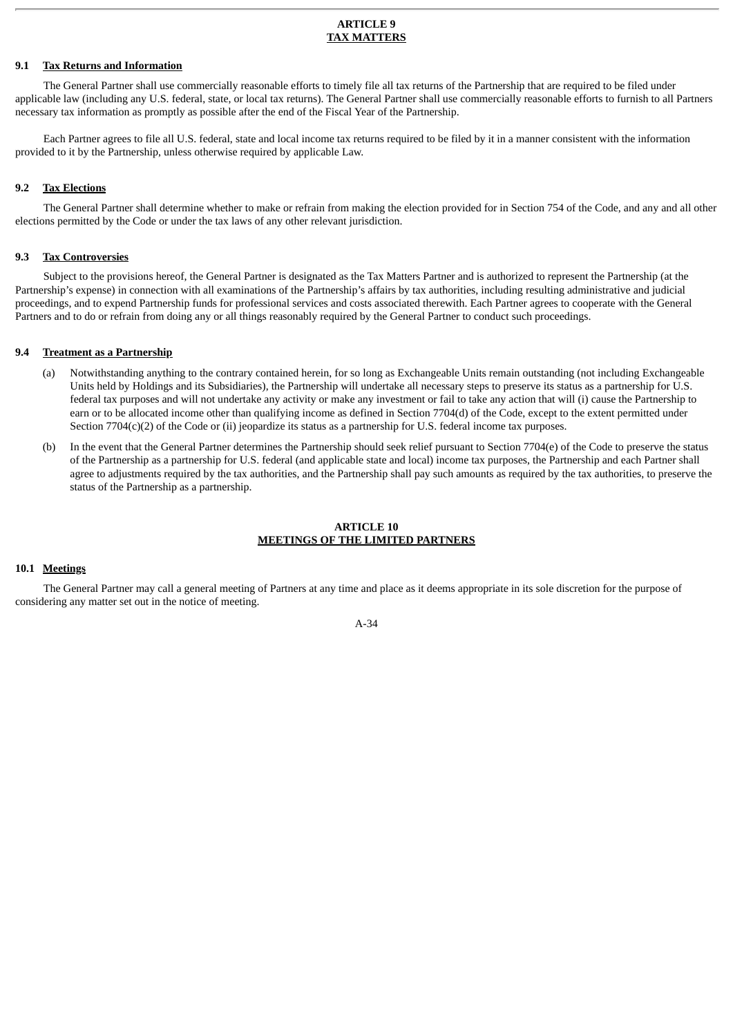#### **ARTICLE 9 TAX MATTERS**

# **9.1 Tax Returns and Information**

The General Partner shall use commercially reasonable efforts to timely file all tax returns of the Partnership that are required to be filed under applicable law (including any U.S. federal, state, or local tax returns). The General Partner shall use commercially reasonable efforts to furnish to all Partners necessary tax information as promptly as possible after the end of the Fiscal Year of the Partnership.

Each Partner agrees to file all U.S. federal, state and local income tax returns required to be filed by it in a manner consistent with the information provided to it by the Partnership, unless otherwise required by applicable Law.

# **9.2 Tax Elections**

The General Partner shall determine whether to make or refrain from making the election provided for in Section 754 of the Code, and any and all other elections permitted by the Code or under the tax laws of any other relevant jurisdiction.

#### **9.3 Tax Controversies**

Subject to the provisions hereof, the General Partner is designated as the Tax Matters Partner and is authorized to represent the Partnership (at the Partnership's expense) in connection with all examinations of the Partnership's affairs by tax authorities, including resulting administrative and judicial proceedings, and to expend Partnership funds for professional services and costs associated therewith. Each Partner agrees to cooperate with the General Partners and to do or refrain from doing any or all things reasonably required by the General Partner to conduct such proceedings.

#### **9.4 Treatment as a Partnership**

- (a) Notwithstanding anything to the contrary contained herein, for so long as Exchangeable Units remain outstanding (not including Exchangeable Units held by Holdings and its Subsidiaries), the Partnership will undertake all necessary steps to preserve its status as a partnership for U.S. federal tax purposes and will not undertake any activity or make any investment or fail to take any action that will (i) cause the Partnership to earn or to be allocated income other than qualifying income as defined in Section 7704(d) of the Code, except to the extent permitted under Section 7704(c)(2) of the Code or (ii) jeopardize its status as a partnership for U.S. federal income tax purposes.
- (b) In the event that the General Partner determines the Partnership should seek relief pursuant to Section 7704(e) of the Code to preserve the status of the Partnership as a partnership for U.S. federal (and applicable state and local) income tax purposes, the Partnership and each Partner shall agree to adjustments required by the tax authorities, and the Partnership shall pay such amounts as required by the tax authorities, to preserve the status of the Partnership as a partnership.

#### **ARTICLE 10 MEETINGS OF THE LIMITED PARTNERS**

# **10.1 Meetings**

The General Partner may call a general meeting of Partners at any time and place as it deems appropriate in its sole discretion for the purpose of considering any matter set out in the notice of meeting.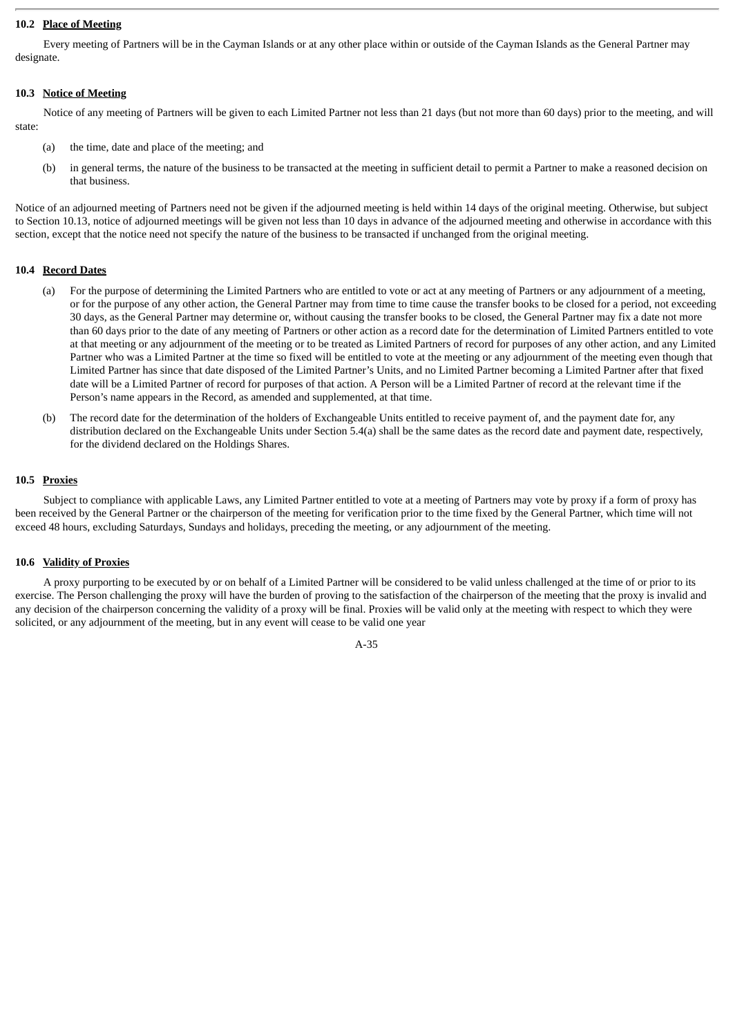# **10.2 Place of Meeting**

Every meeting of Partners will be in the Cayman Islands or at any other place within or outside of the Cayman Islands as the General Partner may designate.

# **10.3 Notice of Meeting**

Notice of any meeting of Partners will be given to each Limited Partner not less than 21 days (but not more than 60 days) prior to the meeting, and will state:

- (a) the time, date and place of the meeting; and
- (b) in general terms, the nature of the business to be transacted at the meeting in sufficient detail to permit a Partner to make a reasoned decision on that business.

Notice of an adjourned meeting of Partners need not be given if the adjourned meeting is held within 14 days of the original meeting. Otherwise, but subject to Section 10.13, notice of adjourned meetings will be given not less than 10 days in advance of the adjourned meeting and otherwise in accordance with this section, except that the notice need not specify the nature of the business to be transacted if unchanged from the original meeting.

# **10.4 Record Dates**

- (a) For the purpose of determining the Limited Partners who are entitled to vote or act at any meeting of Partners or any adjournment of a meeting, or for the purpose of any other action, the General Partner may from time to time cause the transfer books to be closed for a period, not exceeding 30 days, as the General Partner may determine or, without causing the transfer books to be closed, the General Partner may fix a date not more than 60 days prior to the date of any meeting of Partners or other action as a record date for the determination of Limited Partners entitled to vote at that meeting or any adjournment of the meeting or to be treated as Limited Partners of record for purposes of any other action, and any Limited Partner who was a Limited Partner at the time so fixed will be entitled to vote at the meeting or any adjournment of the meeting even though that Limited Partner has since that date disposed of the Limited Partner's Units, and no Limited Partner becoming a Limited Partner after that fixed date will be a Limited Partner of record for purposes of that action. A Person will be a Limited Partner of record at the relevant time if the Person's name appears in the Record, as amended and supplemented, at that time.
- (b) The record date for the determination of the holders of Exchangeable Units entitled to receive payment of, and the payment date for, any distribution declared on the Exchangeable Units under Section 5.4(a) shall be the same dates as the record date and payment date, respectively, for the dividend declared on the Holdings Shares.

# **10.5 Proxies**

Subject to compliance with applicable Laws, any Limited Partner entitled to vote at a meeting of Partners may vote by proxy if a form of proxy has been received by the General Partner or the chairperson of the meeting for verification prior to the time fixed by the General Partner, which time will not exceed 48 hours, excluding Saturdays, Sundays and holidays, preceding the meeting, or any adjournment of the meeting.

# **10.6 Validity of Proxies**

A proxy purporting to be executed by or on behalf of a Limited Partner will be considered to be valid unless challenged at the time of or prior to its exercise. The Person challenging the proxy will have the burden of proving to the satisfaction of the chairperson of the meeting that the proxy is invalid and any decision of the chairperson concerning the validity of a proxy will be final. Proxies will be valid only at the meeting with respect to which they were solicited, or any adjournment of the meeting, but in any event will cease to be valid one year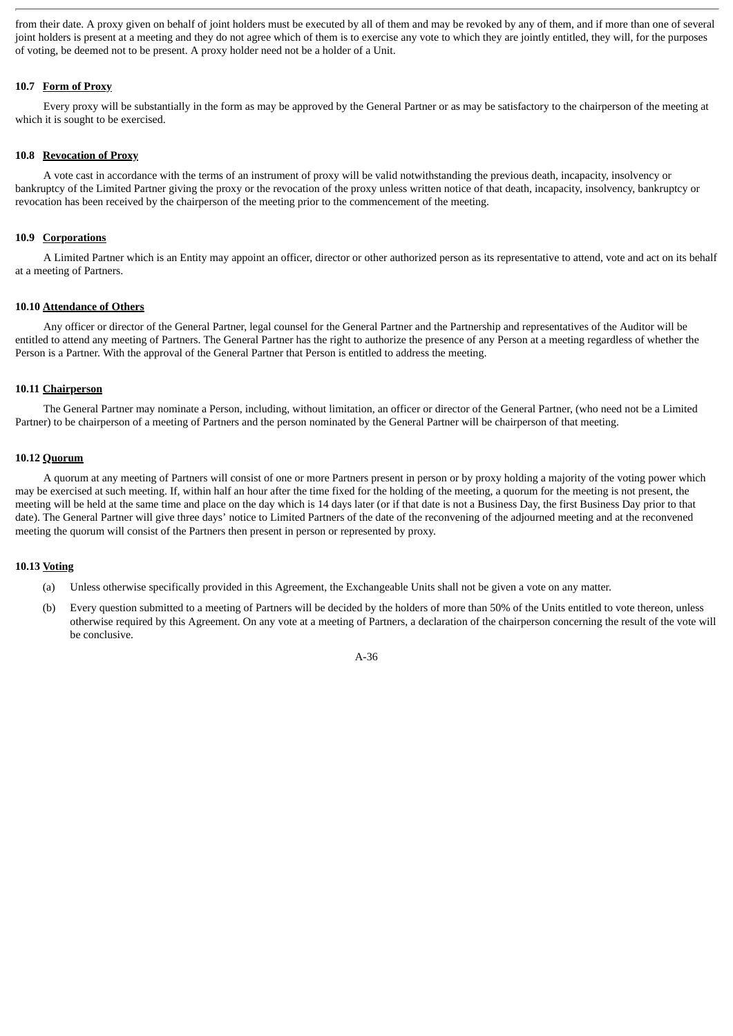from their date. A proxy given on behalf of joint holders must be executed by all of them and may be revoked by any of them, and if more than one of several joint holders is present at a meeting and they do not agree which of them is to exercise any vote to which they are jointly entitled, they will, for the purposes of voting, be deemed not to be present. A proxy holder need not be a holder of a Unit.

# **10.7 Form of Proxy**

Every proxy will be substantially in the form as may be approved by the General Partner or as may be satisfactory to the chairperson of the meeting at which it is sought to be exercised.

# **10.8 Revocation of Proxy**

A vote cast in accordance with the terms of an instrument of proxy will be valid notwithstanding the previous death, incapacity, insolvency or bankruptcy of the Limited Partner giving the proxy or the revocation of the proxy unless written notice of that death, incapacity, insolvency, bankruptcy or revocation has been received by the chairperson of the meeting prior to the commencement of the meeting.

# **10.9 Corporations**

A Limited Partner which is an Entity may appoint an officer, director or other authorized person as its representative to attend, vote and act on its behalf at a meeting of Partners.

#### **10.10 Attendance of Others**

Any officer or director of the General Partner, legal counsel for the General Partner and the Partnership and representatives of the Auditor will be entitled to attend any meeting of Partners. The General Partner has the right to authorize the presence of any Person at a meeting regardless of whether the Person is a Partner. With the approval of the General Partner that Person is entitled to address the meeting.

### **10.11 Chairperson**

The General Partner may nominate a Person, including, without limitation, an officer or director of the General Partner, (who need not be a Limited Partner) to be chairperson of a meeting of Partners and the person nominated by the General Partner will be chairperson of that meeting.

#### **10.12 Quorum**

A quorum at any meeting of Partners will consist of one or more Partners present in person or by proxy holding a majority of the voting power which may be exercised at such meeting. If, within half an hour after the time fixed for the holding of the meeting, a quorum for the meeting is not present, the meeting will be held at the same time and place on the day which is 14 days later (or if that date is not a Business Day, the first Business Day prior to that date). The General Partner will give three days' notice to Limited Partners of the date of the reconvening of the adjourned meeting and at the reconvened meeting the quorum will consist of the Partners then present in person or represented by proxy.

### **10.13 Voting**

- (a) Unless otherwise specifically provided in this Agreement, the Exchangeable Units shall not be given a vote on any matter.
- (b) Every question submitted to a meeting of Partners will be decided by the holders of more than 50% of the Units entitled to vote thereon, unless otherwise required by this Agreement. On any vote at a meeting of Partners, a declaration of the chairperson concerning the result of the vote will be conclusive.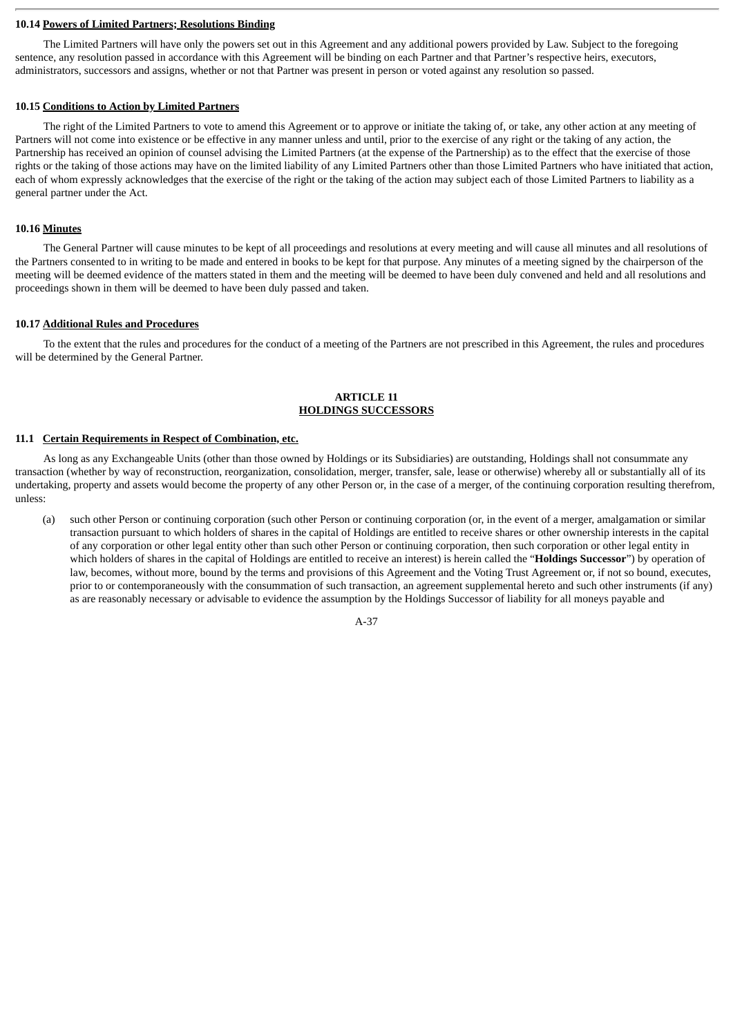#### **10.14 Powers of Limited Partners; Resolutions Binding**

The Limited Partners will have only the powers set out in this Agreement and any additional powers provided by Law. Subject to the foregoing sentence, any resolution passed in accordance with this Agreement will be binding on each Partner and that Partner's respective heirs, executors, administrators, successors and assigns, whether or not that Partner was present in person or voted against any resolution so passed.

#### **10.15 Conditions to Action by Limited Partners**

The right of the Limited Partners to vote to amend this Agreement or to approve or initiate the taking of, or take, any other action at any meeting of Partners will not come into existence or be effective in any manner unless and until, prior to the exercise of any right or the taking of any action, the Partnership has received an opinion of counsel advising the Limited Partners (at the expense of the Partnership) as to the effect that the exercise of those rights or the taking of those actions may have on the limited liability of any Limited Partners other than those Limited Partners who have initiated that action, each of whom expressly acknowledges that the exercise of the right or the taking of the action may subject each of those Limited Partners to liability as a general partner under the Act.

#### **10.16 Minutes**

The General Partner will cause minutes to be kept of all proceedings and resolutions at every meeting and will cause all minutes and all resolutions of the Partners consented to in writing to be made and entered in books to be kept for that purpose. Any minutes of a meeting signed by the chairperson of the meeting will be deemed evidence of the matters stated in them and the meeting will be deemed to have been duly convened and held and all resolutions and proceedings shown in them will be deemed to have been duly passed and taken.

#### **10.17 Additional Rules and Procedures**

To the extent that the rules and procedures for the conduct of a meeting of the Partners are not prescribed in this Agreement, the rules and procedures will be determined by the General Partner.

# **ARTICLE 11 HOLDINGS SUCCESSORS**

#### **11.1 Certain Requirements in Respect of Combination, etc.**

As long as any Exchangeable Units (other than those owned by Holdings or its Subsidiaries) are outstanding, Holdings shall not consummate any transaction (whether by way of reconstruction, reorganization, consolidation, merger, transfer, sale, lease or otherwise) whereby all or substantially all of its undertaking, property and assets would become the property of any other Person or, in the case of a merger, of the continuing corporation resulting therefrom, unless:

(a) such other Person or continuing corporation (such other Person or continuing corporation (or, in the event of a merger, amalgamation or similar transaction pursuant to which holders of shares in the capital of Holdings are entitled to receive shares or other ownership interests in the capital of any corporation or other legal entity other than such other Person or continuing corporation, then such corporation or other legal entity in which holders of shares in the capital of Holdings are entitled to receive an interest) is herein called the "**Holdings Successor**") by operation of law, becomes, without more, bound by the terms and provisions of this Agreement and the Voting Trust Agreement or, if not so bound, executes, prior to or contemporaneously with the consummation of such transaction, an agreement supplemental hereto and such other instruments (if any) as are reasonably necessary or advisable to evidence the assumption by the Holdings Successor of liability for all moneys payable and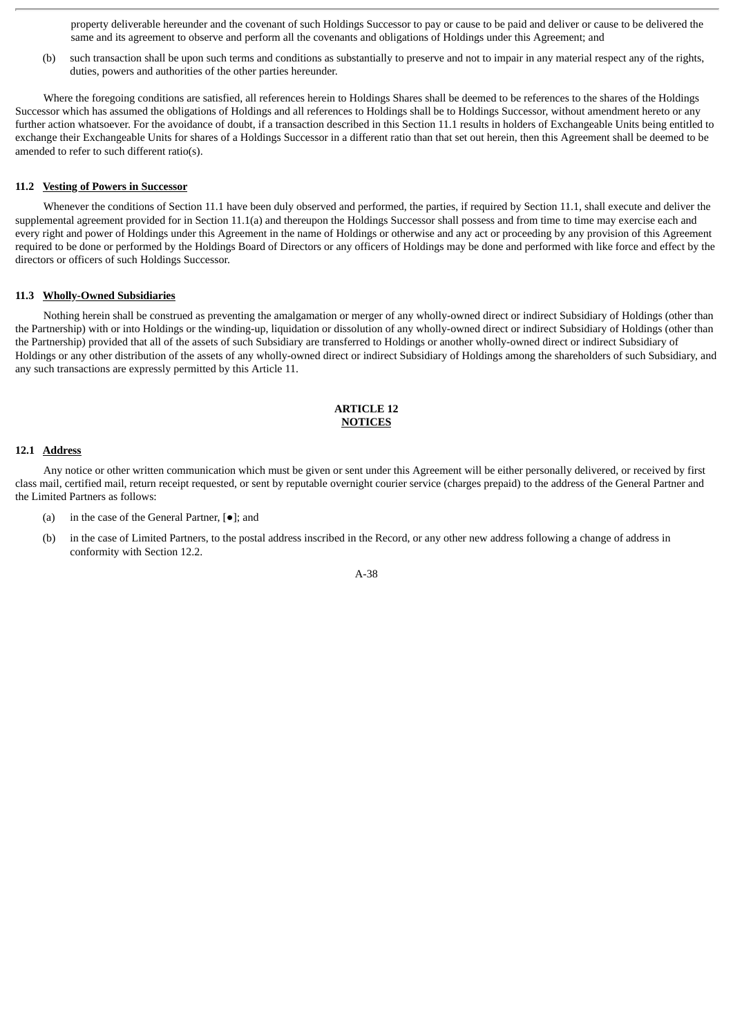property deliverable hereunder and the covenant of such Holdings Successor to pay or cause to be paid and deliver or cause to be delivered the same and its agreement to observe and perform all the covenants and obligations of Holdings under this Agreement; and

(b) such transaction shall be upon such terms and conditions as substantially to preserve and not to impair in any material respect any of the rights, duties, powers and authorities of the other parties hereunder.

Where the foregoing conditions are satisfied, all references herein to Holdings Shares shall be deemed to be references to the shares of the Holdings Successor which has assumed the obligations of Holdings and all references to Holdings shall be to Holdings Successor, without amendment hereto or any further action whatsoever. For the avoidance of doubt, if a transaction described in this Section 11.1 results in holders of Exchangeable Units being entitled to exchange their Exchangeable Units for shares of a Holdings Successor in a different ratio than that set out herein, then this Agreement shall be deemed to be amended to refer to such different ratio(s).

### **11.2 Vesting of Powers in Successor**

Whenever the conditions of Section 11.1 have been duly observed and performed, the parties, if required by Section 11.1, shall execute and deliver the supplemental agreement provided for in Section 11.1(a) and thereupon the Holdings Successor shall possess and from time to time may exercise each and every right and power of Holdings under this Agreement in the name of Holdings or otherwise and any act or proceeding by any provision of this Agreement required to be done or performed by the Holdings Board of Directors or any officers of Holdings may be done and performed with like force and effect by the directors or officers of such Holdings Successor.

#### **11.3 Wholly-Owned Subsidiaries**

Nothing herein shall be construed as preventing the amalgamation or merger of any wholly-owned direct or indirect Subsidiary of Holdings (other than the Partnership) with or into Holdings or the winding-up, liquidation or dissolution of any wholly-owned direct or indirect Subsidiary of Holdings (other than the Partnership) provided that all of the assets of such Subsidiary are transferred to Holdings or another wholly-owned direct or indirect Subsidiary of Holdings or any other distribution of the assets of any wholly-owned direct or indirect Subsidiary of Holdings among the shareholders of such Subsidiary, and any such transactions are expressly permitted by this Article 11.

# **ARTICLE 12 NOTICES**

# **12.1 Address**

Any notice or other written communication which must be given or sent under this Agreement will be either personally delivered, or received by first class mail, certified mail, return receipt requested, or sent by reputable overnight courier service (charges prepaid) to the address of the General Partner and the Limited Partners as follows:

- (a) in the case of the General Partner, [●]; and
- (b) in the case of Limited Partners, to the postal address inscribed in the Record, or any other new address following a change of address in conformity with Section 12.2.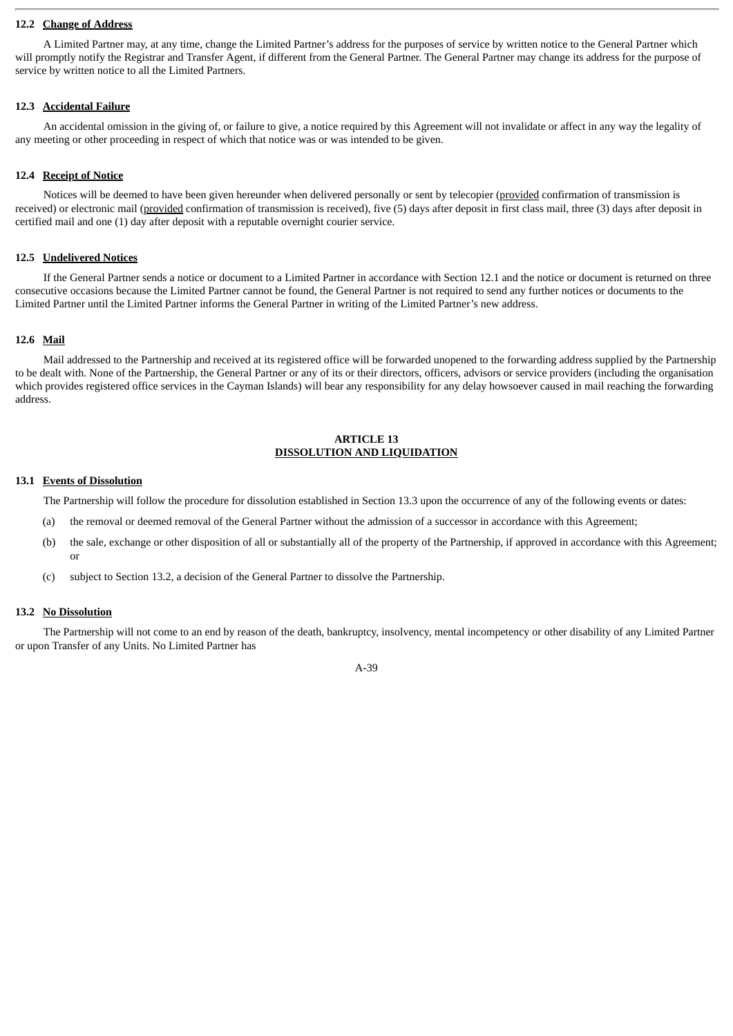# **12.2 Change of Address**

A Limited Partner may, at any time, change the Limited Partner's address for the purposes of service by written notice to the General Partner which will promptly notify the Registrar and Transfer Agent, if different from the General Partner. The General Partner may change its address for the purpose of service by written notice to all the Limited Partners.

## **12.3 Accidental Failure**

An accidental omission in the giving of, or failure to give, a notice required by this Agreement will not invalidate or affect in any way the legality of any meeting or other proceeding in respect of which that notice was or was intended to be given.

# **12.4 Receipt of Notice**

Notices will be deemed to have been given hereunder when delivered personally or sent by telecopier (provided confirmation of transmission is received) or electronic mail (provided confirmation of transmission is received), five (5) days after deposit in first class mail, three (3) days after deposit in certified mail and one (1) day after deposit with a reputable overnight courier service.

# **12.5 Undelivered Notices**

If the General Partner sends a notice or document to a Limited Partner in accordance with Section 12.1 and the notice or document is returned on three consecutive occasions because the Limited Partner cannot be found, the General Partner is not required to send any further notices or documents to the Limited Partner until the Limited Partner informs the General Partner in writing of the Limited Partner's new address.

# **12.6 Mail**

Mail addressed to the Partnership and received at its registered office will be forwarded unopened to the forwarding address supplied by the Partnership to be dealt with. None of the Partnership, the General Partner or any of its or their directors, officers, advisors or service providers (including the organisation which provides registered office services in the Cayman Islands) will bear any responsibility for any delay howsoever caused in mail reaching the forwarding address.

# **ARTICLE 13 DISSOLUTION AND LIQUIDATION**

# **13.1 Events of Dissolution**

The Partnership will follow the procedure for dissolution established in Section 13.3 upon the occurrence of any of the following events or dates:

- (a) the removal or deemed removal of the General Partner without the admission of a successor in accordance with this Agreement;
- (b) the sale, exchange or other disposition of all or substantially all of the property of the Partnership, if approved in accordance with this Agreement; or
- (c) subject to Section 13.2, a decision of the General Partner to dissolve the Partnership.

#### **13.2 No Dissolution**

The Partnership will not come to an end by reason of the death, bankruptcy, insolvency, mental incompetency or other disability of any Limited Partner or upon Transfer of any Units. No Limited Partner has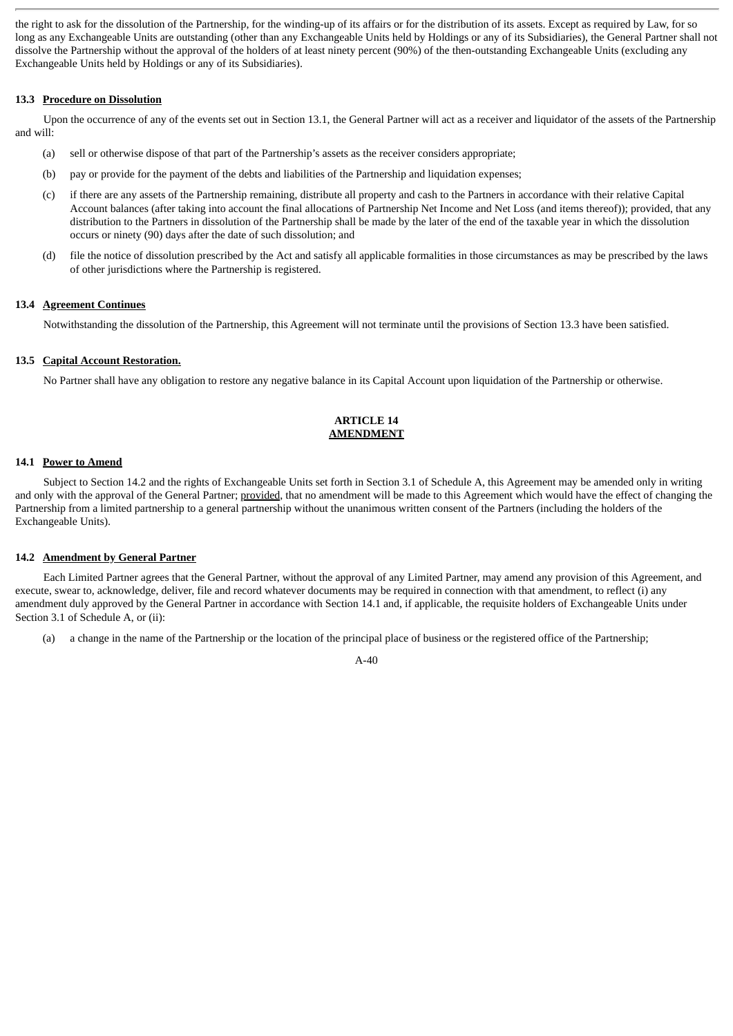the right to ask for the dissolution of the Partnership, for the winding-up of its affairs or for the distribution of its assets. Except as required by Law, for so long as any Exchangeable Units are outstanding (other than any Exchangeable Units held by Holdings or any of its Subsidiaries), the General Partner shall not dissolve the Partnership without the approval of the holders of at least ninety percent (90%) of the then-outstanding Exchangeable Units (excluding any Exchangeable Units held by Holdings or any of its Subsidiaries).

# **13.3 Procedure on Dissolution**

Upon the occurrence of any of the events set out in Section 13.1, the General Partner will act as a receiver and liquidator of the assets of the Partnership and will:

- (a) sell or otherwise dispose of that part of the Partnership's assets as the receiver considers appropriate;
- (b) pay or provide for the payment of the debts and liabilities of the Partnership and liquidation expenses;
- (c) if there are any assets of the Partnership remaining, distribute all property and cash to the Partners in accordance with their relative Capital Account balances (after taking into account the final allocations of Partnership Net Income and Net Loss (and items thereof)); provided, that any distribution to the Partners in dissolution of the Partnership shall be made by the later of the end of the taxable year in which the dissolution occurs or ninety (90) days after the date of such dissolution; and
- (d) file the notice of dissolution prescribed by the Act and satisfy all applicable formalities in those circumstances as may be prescribed by the laws of other jurisdictions where the Partnership is registered.

# **13.4 Agreement Continues**

Notwithstanding the dissolution of the Partnership, this Agreement will not terminate until the provisions of Section 13.3 have been satisfied.

## **13.5 Capital Account Restoration.**

No Partner shall have any obligation to restore any negative balance in its Capital Account upon liquidation of the Partnership or otherwise.

# **ARTICLE 14 AMENDMENT**

### **14.1 Power to Amend**

Subject to Section 14.2 and the rights of Exchangeable Units set forth in Section 3.1 of Schedule A, this Agreement may be amended only in writing and only with the approval of the General Partner; provided, that no amendment will be made to this Agreement which would have the effect of changing the Partnership from a limited partnership to a general partnership without the unanimous written consent of the Partners (including the holders of the Exchangeable Units).

### **14.2 Amendment by General Partner**

Each Limited Partner agrees that the General Partner, without the approval of any Limited Partner, may amend any provision of this Agreement, and execute, swear to, acknowledge, deliver, file and record whatever documents may be required in connection with that amendment, to reflect (i) any amendment duly approved by the General Partner in accordance with Section 14.1 and, if applicable, the requisite holders of Exchangeable Units under Section 3.1 of Schedule A, or (ii):

(a) a change in the name of the Partnership or the location of the principal place of business or the registered office of the Partnership;

 $A - 40$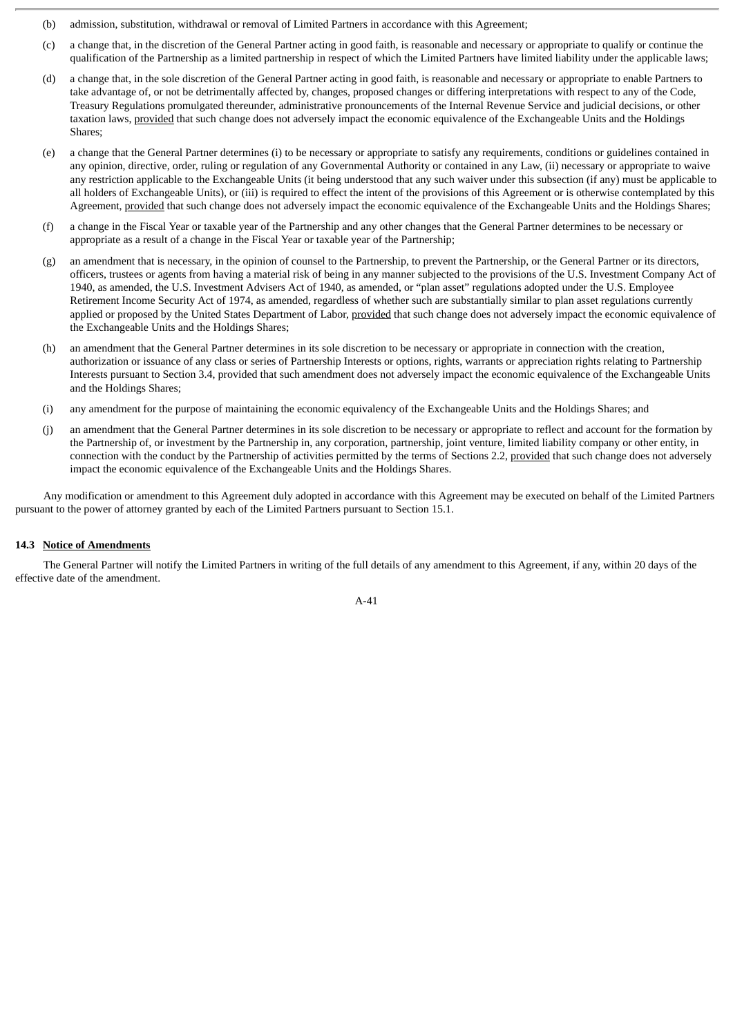- (b) admission, substitution, withdrawal or removal of Limited Partners in accordance with this Agreement;
- (c) a change that, in the discretion of the General Partner acting in good faith, is reasonable and necessary or appropriate to qualify or continue the qualification of the Partnership as a limited partnership in respect of which the Limited Partners have limited liability under the applicable laws;
- (d) a change that, in the sole discretion of the General Partner acting in good faith, is reasonable and necessary or appropriate to enable Partners to take advantage of, or not be detrimentally affected by, changes, proposed changes or differing interpretations with respect to any of the Code, Treasury Regulations promulgated thereunder, administrative pronouncements of the Internal Revenue Service and judicial decisions, or other taxation laws, provided that such change does not adversely impact the economic equivalence of the Exchangeable Units and the Holdings Shares;
- (e) a change that the General Partner determines (i) to be necessary or appropriate to satisfy any requirements, conditions or guidelines contained in any opinion, directive, order, ruling or regulation of any Governmental Authority or contained in any Law, (ii) necessary or appropriate to waive any restriction applicable to the Exchangeable Units (it being understood that any such waiver under this subsection (if any) must be applicable to all holders of Exchangeable Units), or (iii) is required to effect the intent of the provisions of this Agreement or is otherwise contemplated by this Agreement, provided that such change does not adversely impact the economic equivalence of the Exchangeable Units and the Holdings Shares;
- (f) a change in the Fiscal Year or taxable year of the Partnership and any other changes that the General Partner determines to be necessary or appropriate as a result of a change in the Fiscal Year or taxable year of the Partnership;
- (g) an amendment that is necessary, in the opinion of counsel to the Partnership, to prevent the Partnership, or the General Partner or its directors, officers, trustees or agents from having a material risk of being in any manner subjected to the provisions of the U.S. Investment Company Act of 1940, as amended, the U.S. Investment Advisers Act of 1940, as amended, or "plan asset" regulations adopted under the U.S. Employee Retirement Income Security Act of 1974, as amended, regardless of whether such are substantially similar to plan asset regulations currently applied or proposed by the United States Department of Labor, provided that such change does not adversely impact the economic equivalence of the Exchangeable Units and the Holdings Shares;
- (h) an amendment that the General Partner determines in its sole discretion to be necessary or appropriate in connection with the creation, authorization or issuance of any class or series of Partnership Interests or options, rights, warrants or appreciation rights relating to Partnership Interests pursuant to Section 3.4, provided that such amendment does not adversely impact the economic equivalence of the Exchangeable Units and the Holdings Shares;
- (i) any amendment for the purpose of maintaining the economic equivalency of the Exchangeable Units and the Holdings Shares; and
- (j) an amendment that the General Partner determines in its sole discretion to be necessary or appropriate to reflect and account for the formation by the Partnership of, or investment by the Partnership in, any corporation, partnership, joint venture, limited liability company or other entity, in connection with the conduct by the Partnership of activities permitted by the terms of Sections 2.2, provided that such change does not adversely impact the economic equivalence of the Exchangeable Units and the Holdings Shares.

Any modification or amendment to this Agreement duly adopted in accordance with this Agreement may be executed on behalf of the Limited Partners pursuant to the power of attorney granted by each of the Limited Partners pursuant to Section 15.1.

#### **14.3 Notice of Amendments**

The General Partner will notify the Limited Partners in writing of the full details of any amendment to this Agreement, if any, within 20 days of the effective date of the amendment.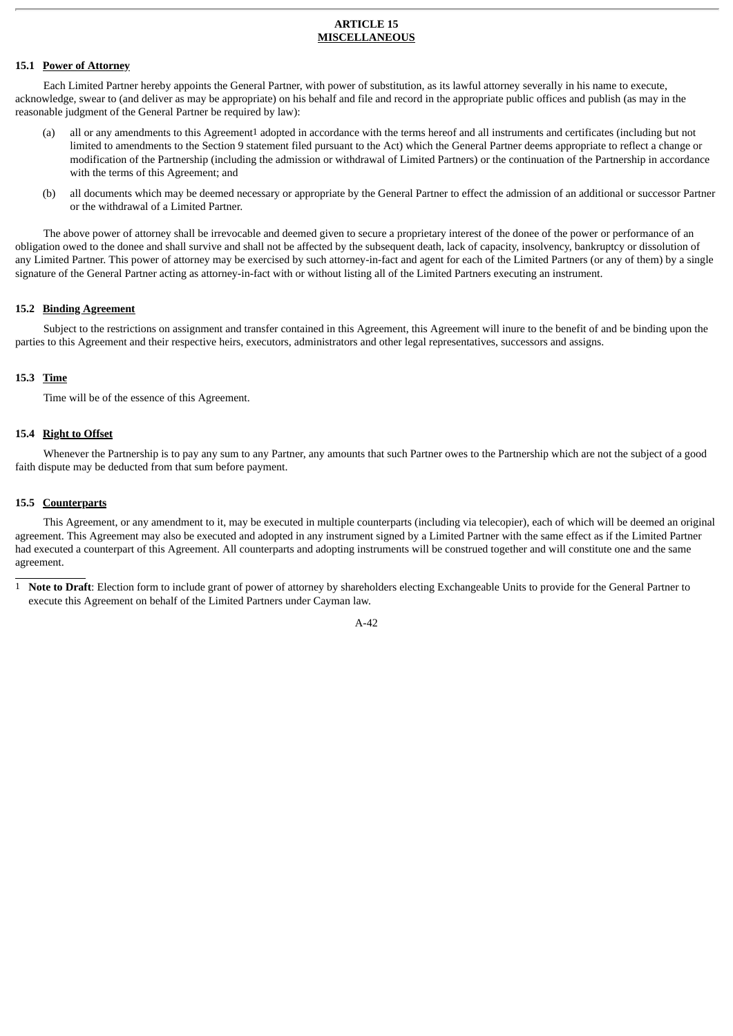### **ARTICLE 15 MISCELLANEOUS**

# **15.1 Power of Attorney**

Each Limited Partner hereby appoints the General Partner, with power of substitution, as its lawful attorney severally in his name to execute, acknowledge, swear to (and deliver as may be appropriate) on his behalf and file and record in the appropriate public offices and publish (as may in the reasonable judgment of the General Partner be required by law):

- (a) all or any amendments to this Agreement1 adopted in accordance with the terms hereof and all instruments and certificates (including but not limited to amendments to the Section 9 statement filed pursuant to the Act) which the General Partner deems appropriate to reflect a change or modification of the Partnership (including the admission or withdrawal of Limited Partners) or the continuation of the Partnership in accordance with the terms of this Agreement; and
- (b) all documents which may be deemed necessary or appropriate by the General Partner to effect the admission of an additional or successor Partner or the withdrawal of a Limited Partner.

The above power of attorney shall be irrevocable and deemed given to secure a proprietary interest of the donee of the power or performance of an obligation owed to the donee and shall survive and shall not be affected by the subsequent death, lack of capacity, insolvency, bankruptcy or dissolution of any Limited Partner. This power of attorney may be exercised by such attorney-in-fact and agent for each of the Limited Partners (or any of them) by a single signature of the General Partner acting as attorney-in-fact with or without listing all of the Limited Partners executing an instrument.

# **15.2 Binding Agreement**

Subject to the restrictions on assignment and transfer contained in this Agreement, this Agreement will inure to the benefit of and be binding upon the parties to this Agreement and their respective heirs, executors, administrators and other legal representatives, successors and assigns.

#### **15.3 Time**

Time will be of the essence of this Agreement.

#### **15.4 Right to Offset**

Whenever the Partnership is to pay any sum to any Partner, any amounts that such Partner owes to the Partnership which are not the subject of a good faith dispute may be deducted from that sum before payment.

# **15.5 Counterparts**

This Agreement, or any amendment to it, may be executed in multiple counterparts (including via telecopier), each of which will be deemed an original agreement. This Agreement may also be executed and adopted in any instrument signed by a Limited Partner with the same effect as if the Limited Partner had executed a counterpart of this Agreement. All counterparts and adopting instruments will be construed together and will constitute one and the same agreement.

1 **Note to Draft**: Election form to include grant of power of attorney by shareholders electing Exchangeable Units to provide for the General Partner to execute this Agreement on behalf of the Limited Partners under Cayman law.

 $A - A$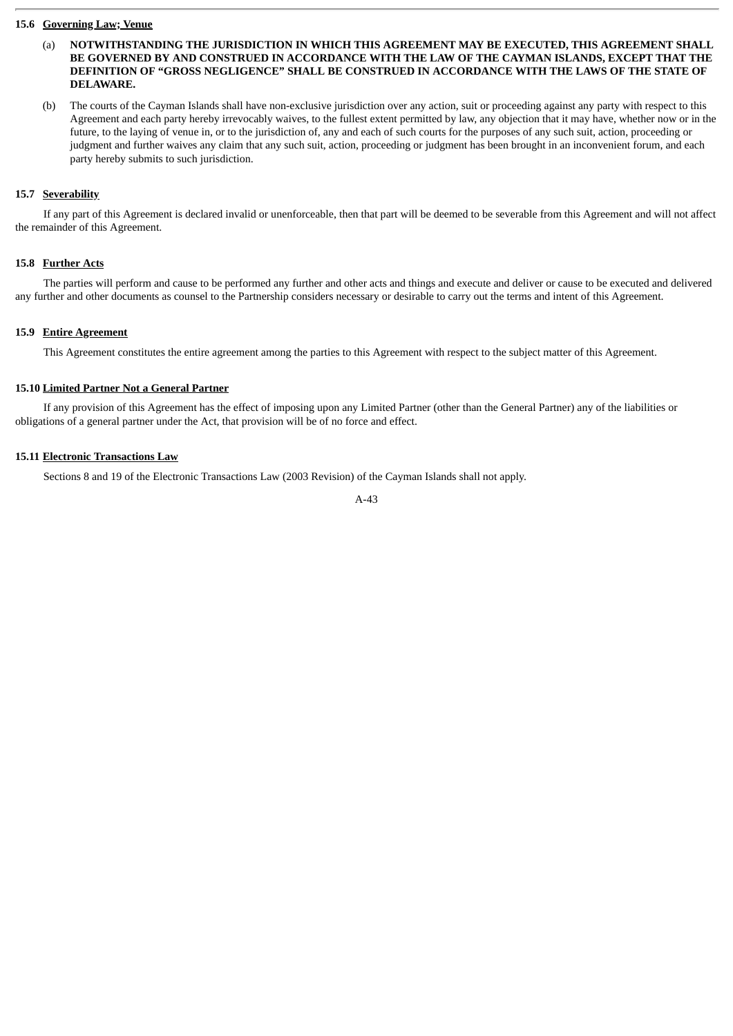# **15.6 Governing Law; Venue**

- (a) **NOTWITHSTANDING THE JURISDICTION IN WHICH THIS AGREEMENT MAY BE EXECUTED, THIS AGREEMENT SHALL BE GOVERNED BY AND CONSTRUED IN ACCORDANCE WITH THE LAW OF THE CAYMAN ISLANDS, EXCEPT THAT THE DEFINITION OF "GROSS NEGLIGENCE" SHALL BE CONSTRUED IN ACCORDANCE WITH THE LAWS OF THE STATE OF DELAWARE.**
- (b) The courts of the Cayman Islands shall have non-exclusive jurisdiction over any action, suit or proceeding against any party with respect to this Agreement and each party hereby irrevocably waives, to the fullest extent permitted by law, any objection that it may have, whether now or in the future, to the laying of venue in, or to the jurisdiction of, any and each of such courts for the purposes of any such suit, action, proceeding or judgment and further waives any claim that any such suit, action, proceeding or judgment has been brought in an inconvenient forum, and each party hereby submits to such jurisdiction.

# **15.7 Severability**

If any part of this Agreement is declared invalid or unenforceable, then that part will be deemed to be severable from this Agreement and will not affect the remainder of this Agreement.

# **15.8 Further Acts**

The parties will perform and cause to be performed any further and other acts and things and execute and deliver or cause to be executed and delivered any further and other documents as counsel to the Partnership considers necessary or desirable to carry out the terms and intent of this Agreement.

#### **15.9 Entire Agreement**

This Agreement constitutes the entire agreement among the parties to this Agreement with respect to the subject matter of this Agreement.

#### **15.10 Limited Partner Not a General Partner**

If any provision of this Agreement has the effect of imposing upon any Limited Partner (other than the General Partner) any of the liabilities or obligations of a general partner under the Act, that provision will be of no force and effect.

# **15.11 Electronic Transactions Law**

Sections 8 and 19 of the Electronic Transactions Law (2003 Revision) of the Cayman Islands shall not apply.

$$
A-43
$$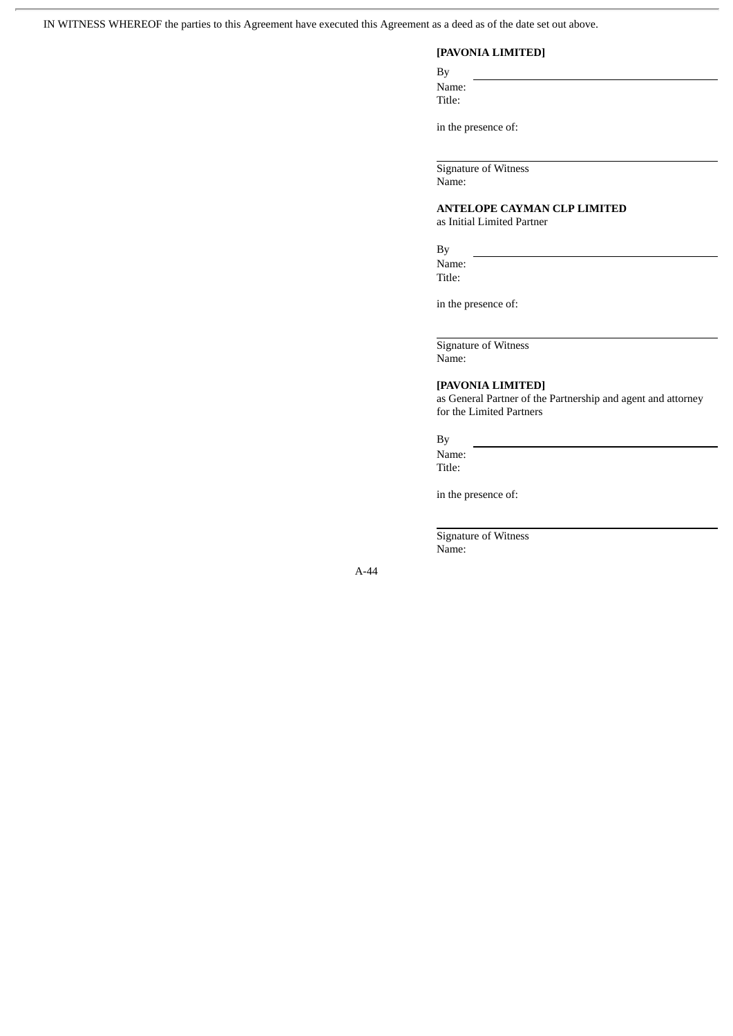IN WITNESS WHEREOF the parties to this Agreement have executed this Agreement as a deed as of the date set out above.

# **[PAVONIA LIMITED]**

By Name: Title:

in the presence of:

Signature of Witness Name:

**ANTELOPE CAYMAN CLP LIMITED** as Initial Limited Partner

By

Name: Title:

in the presence of:

Signature of Witness Name:

# **[PAVONIA LIMITED]**

as General Partner of the Partnership and agent and attorney for the Limited Partners

By

Name: Title:

in the presence of:

Signature of Witness Name: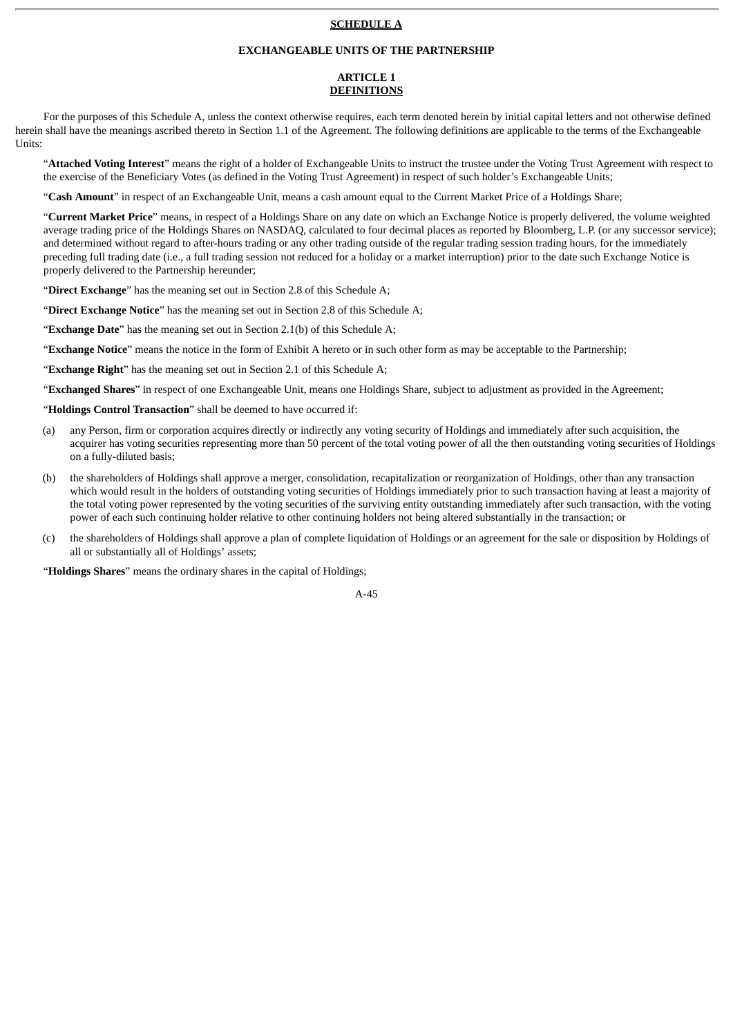# **SCHEDULE A**

## **EXCHANGEABLE UNITS OF THE PARTNERSHIP**

# **ARTICLE 1 DEFINITIONS**

For the purposes of this Schedule A, unless the context otherwise requires, each term denoted herein by initial capital letters and not otherwise defined herein shall have the meanings ascribed thereto in Section 1.1 of the Agreement. The following definitions are applicable to the terms of the Exchangeable Units:

"**Attached Voting Interest**" means the right of a holder of Exchangeable Units to instruct the trustee under the Voting Trust Agreement with respect to the exercise of the Beneficiary Votes (as defined in the Voting Trust Agreement) in respect of such holder's Exchangeable Units;

"**Cash Amount**" in respect of an Exchangeable Unit, means a cash amount equal to the Current Market Price of a Holdings Share;

"**Current Market Price**" means, in respect of a Holdings Share on any date on which an Exchange Notice is properly delivered, the volume weighted average trading price of the Holdings Shares on NASDAQ, calculated to four decimal places as reported by Bloomberg, L.P. (or any successor service); and determined without regard to after-hours trading or any other trading outside of the regular trading session trading hours, for the immediately preceding full trading date (i.e., a full trading session not reduced for a holiday or a market interruption) prior to the date such Exchange Notice is properly delivered to the Partnership hereunder;

"**Direct Exchange**" has the meaning set out in Section 2.8 of this Schedule A;

"**Direct Exchange Notice**" has the meaning set out in Section 2.8 of this Schedule A;

"**Exchange Date**" has the meaning set out in Section 2.1(b) of this Schedule A;

"**Exchange Notice**" means the notice in the form of Exhibit A hereto or in such other form as may be acceptable to the Partnership;

"**Exchange Right**" has the meaning set out in Section 2.1 of this Schedule A;

"**Exchanged Shares**" in respect of one Exchangeable Unit, means one Holdings Share, subject to adjustment as provided in the Agreement;

"**Holdings Control Transaction**" shall be deemed to have occurred if:

- (a) any Person, firm or corporation acquires directly or indirectly any voting security of Holdings and immediately after such acquisition, the acquirer has voting securities representing more than 50 percent of the total voting power of all the then outstanding voting securities of Holdings on a fully-diluted basis;
- (b) the shareholders of Holdings shall approve a merger, consolidation, recapitalization or reorganization of Holdings, other than any transaction which would result in the holders of outstanding voting securities of Holdings immediately prior to such transaction having at least a majority of the total voting power represented by the voting securities of the surviving entity outstanding immediately after such transaction, with the voting power of each such continuing holder relative to other continuing holders not being altered substantially in the transaction; or
- (c) the shareholders of Holdings shall approve a plan of complete liquidation of Holdings or an agreement for the sale or disposition by Holdings of all or substantially all of Holdings' assets;

"**Holdings Shares**" means the ordinary shares in the capital of Holdings;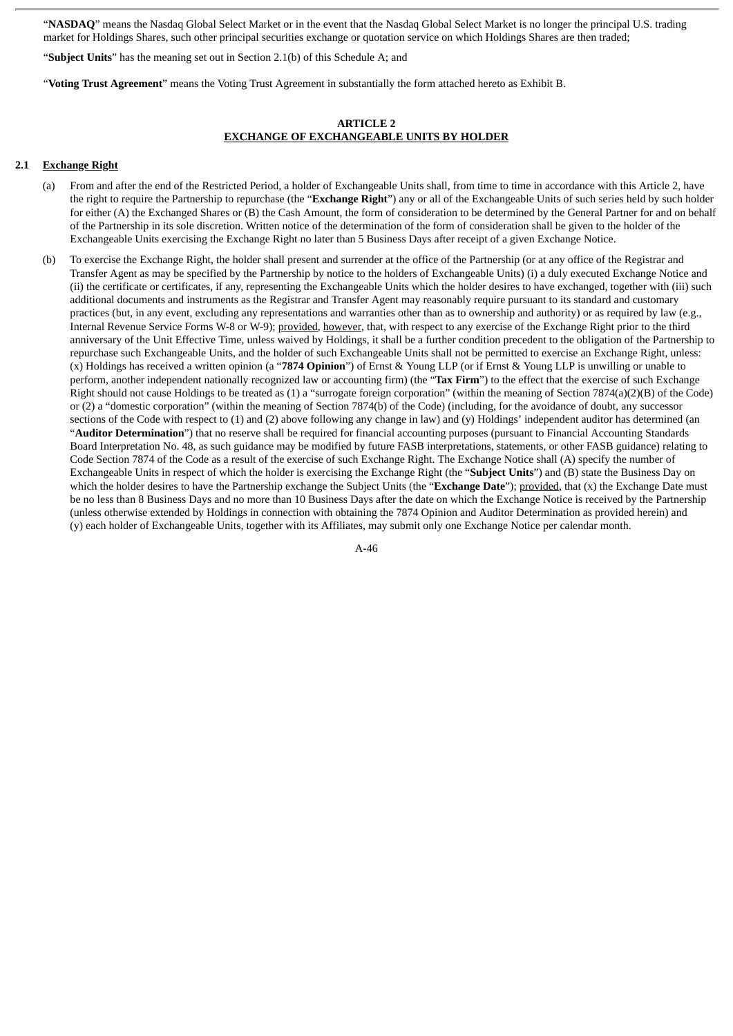"**NASDAQ**" means the Nasdaq Global Select Market or in the event that the Nasdaq Global Select Market is no longer the principal U.S. trading market for Holdings Shares, such other principal securities exchange or quotation service on which Holdings Shares are then traded;

"**Subject Units**" has the meaning set out in Section 2.1(b) of this Schedule A; and

"**Voting Trust Agreement**" means the Voting Trust Agreement in substantially the form attached hereto as Exhibit B.

### **ARTICLE 2 EXCHANGE OF EXCHANGEABLE UNITS BY HOLDER**

### **2.1 Exchange Right**

- (a) From and after the end of the Restricted Period, a holder of Exchangeable Units shall, from time to time in accordance with this Article 2, have the right to require the Partnership to repurchase (the "**Exchange Right**") any or all of the Exchangeable Units of such series held by such holder for either (A) the Exchanged Shares or (B) the Cash Amount, the form of consideration to be determined by the General Partner for and on behalf of the Partnership in its sole discretion. Written notice of the determination of the form of consideration shall be given to the holder of the Exchangeable Units exercising the Exchange Right no later than 5 Business Days after receipt of a given Exchange Notice.
- (b) To exercise the Exchange Right, the holder shall present and surrender at the office of the Partnership (or at any office of the Registrar and Transfer Agent as may be specified by the Partnership by notice to the holders of Exchangeable Units) (i) a duly executed Exchange Notice and (ii) the certificate or certificates, if any, representing the Exchangeable Units which the holder desires to have exchanged, together with (iii) such additional documents and instruments as the Registrar and Transfer Agent may reasonably require pursuant to its standard and customary practices (but, in any event, excluding any representations and warranties other than as to ownership and authority) or as required by law (e.g., Internal Revenue Service Forms W-8 or W-9); provided, however, that, with respect to any exercise of the Exchange Right prior to the third anniversary of the Unit Effective Time, unless waived by Holdings, it shall be a further condition precedent to the obligation of the Partnership to repurchase such Exchangeable Units, and the holder of such Exchangeable Units shall not be permitted to exercise an Exchange Right, unless: (x) Holdings has received a written opinion (a "**7874 Opinion**") of Ernst & Young LLP (or if Ernst & Young LLP is unwilling or unable to perform, another independent nationally recognized law or accounting firm) (the "**Tax Firm**") to the effect that the exercise of such Exchange Right should not cause Holdings to be treated as (1) a "surrogate foreign corporation" (within the meaning of Section 7874(a)(2)(B) of the Code) or (2) a "domestic corporation" (within the meaning of Section 7874(b) of the Code) (including, for the avoidance of doubt, any successor sections of the Code with respect to (1) and (2) above following any change in law) and (y) Holdings' independent auditor has determined (an "**Auditor Determination**") that no reserve shall be required for financial accounting purposes (pursuant to Financial Accounting Standards Board Interpretation No. 48, as such guidance may be modified by future FASB interpretations, statements, or other FASB guidance) relating to Code Section 7874 of the Code as a result of the exercise of such Exchange Right. The Exchange Notice shall (A) specify the number of Exchangeable Units in respect of which the holder is exercising the Exchange Right (the "**Subject Units**") and (B) state the Business Day on which the holder desires to have the Partnership exchange the Subject Units (the "**Exchange Date**"); provided, that (x) the Exchange Date must be no less than 8 Business Days and no more than 10 Business Days after the date on which the Exchange Notice is received by the Partnership (unless otherwise extended by Holdings in connection with obtaining the 7874 Opinion and Auditor Determination as provided herein) and (y) each holder of Exchangeable Units, together with its Affiliates, may submit only one Exchange Notice per calendar month.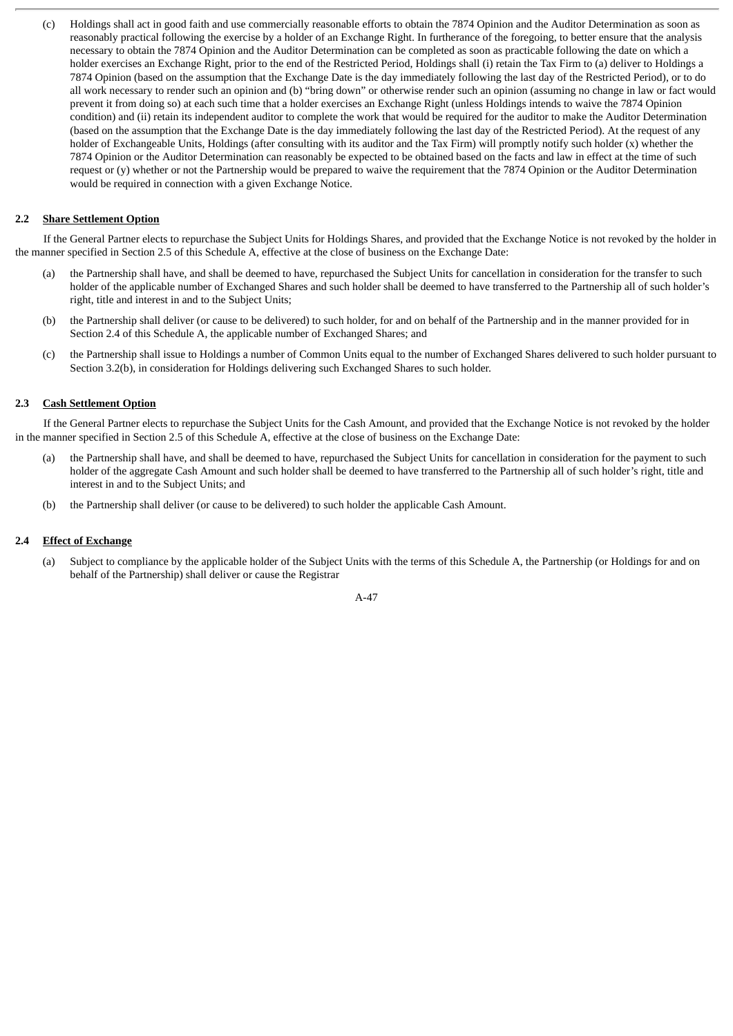(c) Holdings shall act in good faith and use commercially reasonable efforts to obtain the 7874 Opinion and the Auditor Determination as soon as reasonably practical following the exercise by a holder of an Exchange Right. In furtherance of the foregoing, to better ensure that the analysis necessary to obtain the 7874 Opinion and the Auditor Determination can be completed as soon as practicable following the date on which a holder exercises an Exchange Right, prior to the end of the Restricted Period, Holdings shall (i) retain the Tax Firm to (a) deliver to Holdings a 7874 Opinion (based on the assumption that the Exchange Date is the day immediately following the last day of the Restricted Period), or to do all work necessary to render such an opinion and (b) "bring down" or otherwise render such an opinion (assuming no change in law or fact would prevent it from doing so) at each such time that a holder exercises an Exchange Right (unless Holdings intends to waive the 7874 Opinion condition) and (ii) retain its independent auditor to complete the work that would be required for the auditor to make the Auditor Determination (based on the assumption that the Exchange Date is the day immediately following the last day of the Restricted Period). At the request of any holder of Exchangeable Units, Holdings (after consulting with its auditor and the Tax Firm) will promptly notify such holder (x) whether the 7874 Opinion or the Auditor Determination can reasonably be expected to be obtained based on the facts and law in effect at the time of such request or (y) whether or not the Partnership would be prepared to waive the requirement that the 7874 Opinion or the Auditor Determination would be required in connection with a given Exchange Notice.

# **2.2 Share Settlement Option**

If the General Partner elects to repurchase the Subject Units for Holdings Shares, and provided that the Exchange Notice is not revoked by the holder in the manner specified in Section 2.5 of this Schedule A, effective at the close of business on the Exchange Date:

- (a) the Partnership shall have, and shall be deemed to have, repurchased the Subject Units for cancellation in consideration for the transfer to such holder of the applicable number of Exchanged Shares and such holder shall be deemed to have transferred to the Partnership all of such holder's right, title and interest in and to the Subject Units;
- (b) the Partnership shall deliver (or cause to be delivered) to such holder, for and on behalf of the Partnership and in the manner provided for in Section 2.4 of this Schedule A, the applicable number of Exchanged Shares; and
- (c) the Partnership shall issue to Holdings a number of Common Units equal to the number of Exchanged Shares delivered to such holder pursuant to Section 3.2(b), in consideration for Holdings delivering such Exchanged Shares to such holder.

# **2.3 Cash Settlement Option**

If the General Partner elects to repurchase the Subject Units for the Cash Amount, and provided that the Exchange Notice is not revoked by the holder in the manner specified in Section 2.5 of this Schedule A, effective at the close of business on the Exchange Date:

- the Partnership shall have, and shall be deemed to have, repurchased the Subject Units for cancellation in consideration for the payment to such holder of the aggregate Cash Amount and such holder shall be deemed to have transferred to the Partnership all of such holder's right, title and interest in and to the Subject Units; and
- (b) the Partnership shall deliver (or cause to be delivered) to such holder the applicable Cash Amount.

### **2.4 Effect of Exchange**

(a) Subject to compliance by the applicable holder of the Subject Units with the terms of this Schedule A, the Partnership (or Holdings for and on behalf of the Partnership) shall deliver or cause the Registrar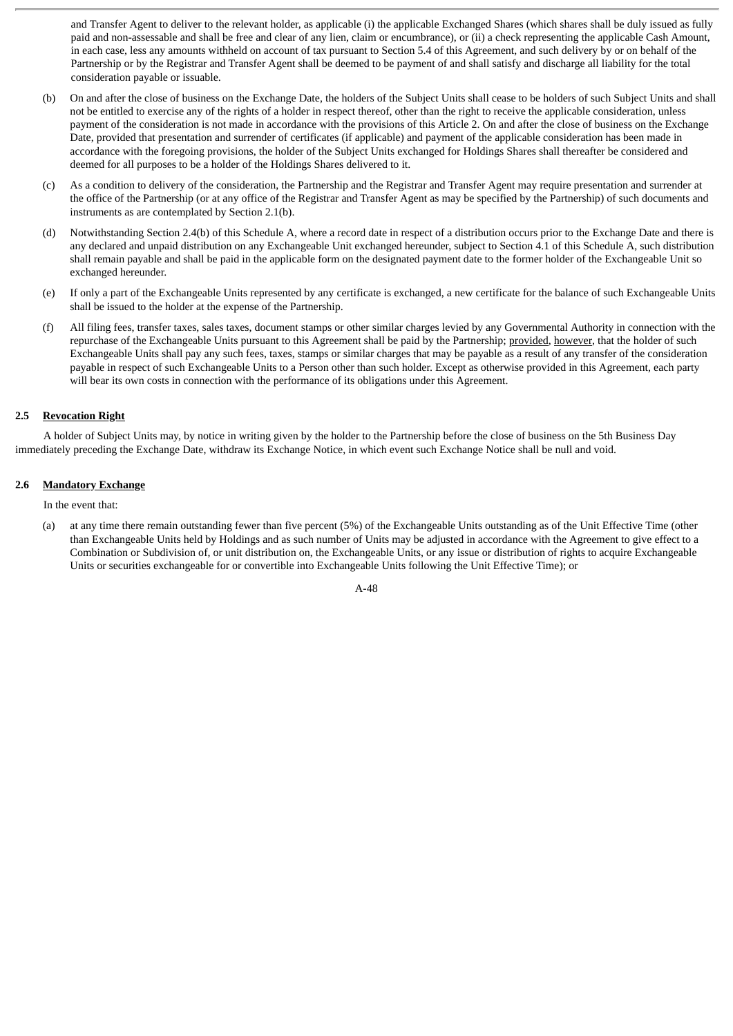and Transfer Agent to deliver to the relevant holder, as applicable (i) the applicable Exchanged Shares (which shares shall be duly issued as fully paid and non-assessable and shall be free and clear of any lien, claim or encumbrance), or (ii) a check representing the applicable Cash Amount, in each case, less any amounts withheld on account of tax pursuant to Section 5.4 of this Agreement, and such delivery by or on behalf of the Partnership or by the Registrar and Transfer Agent shall be deemed to be payment of and shall satisfy and discharge all liability for the total consideration payable or issuable.

- (b) On and after the close of business on the Exchange Date, the holders of the Subject Units shall cease to be holders of such Subject Units and shall not be entitled to exercise any of the rights of a holder in respect thereof, other than the right to receive the applicable consideration, unless payment of the consideration is not made in accordance with the provisions of this Article 2. On and after the close of business on the Exchange Date, provided that presentation and surrender of certificates (if applicable) and payment of the applicable consideration has been made in accordance with the foregoing provisions, the holder of the Subject Units exchanged for Holdings Shares shall thereafter be considered and deemed for all purposes to be a holder of the Holdings Shares delivered to it.
- (c) As a condition to delivery of the consideration, the Partnership and the Registrar and Transfer Agent may require presentation and surrender at the office of the Partnership (or at any office of the Registrar and Transfer Agent as may be specified by the Partnership) of such documents and instruments as are contemplated by Section 2.1(b).
- (d) Notwithstanding Section 2.4(b) of this Schedule A, where a record date in respect of a distribution occurs prior to the Exchange Date and there is any declared and unpaid distribution on any Exchangeable Unit exchanged hereunder, subject to Section 4.1 of this Schedule A, such distribution shall remain payable and shall be paid in the applicable form on the designated payment date to the former holder of the Exchangeable Unit so exchanged hereunder.
- (e) If only a part of the Exchangeable Units represented by any certificate is exchanged, a new certificate for the balance of such Exchangeable Units shall be issued to the holder at the expense of the Partnership.
- (f) All filing fees, transfer taxes, sales taxes, document stamps or other similar charges levied by any Governmental Authority in connection with the repurchase of the Exchangeable Units pursuant to this Agreement shall be paid by the Partnership; provided, however, that the holder of such Exchangeable Units shall pay any such fees, taxes, stamps or similar charges that may be payable as a result of any transfer of the consideration payable in respect of such Exchangeable Units to a Person other than such holder. Except as otherwise provided in this Agreement, each party will bear its own costs in connection with the performance of its obligations under this Agreement.

# **2.5 Revocation Right**

A holder of Subject Units may, by notice in writing given by the holder to the Partnership before the close of business on the 5th Business Day immediately preceding the Exchange Date, withdraw its Exchange Notice, in which event such Exchange Notice shall be null and void.

# **2.6 Mandatory Exchange**

In the event that:

(a) at any time there remain outstanding fewer than five percent (5%) of the Exchangeable Units outstanding as of the Unit Effective Time (other than Exchangeable Units held by Holdings and as such number of Units may be adjusted in accordance with the Agreement to give effect to a Combination or Subdivision of, or unit distribution on, the Exchangeable Units, or any issue or distribution of rights to acquire Exchangeable Units or securities exchangeable for or convertible into Exchangeable Units following the Unit Effective Time); or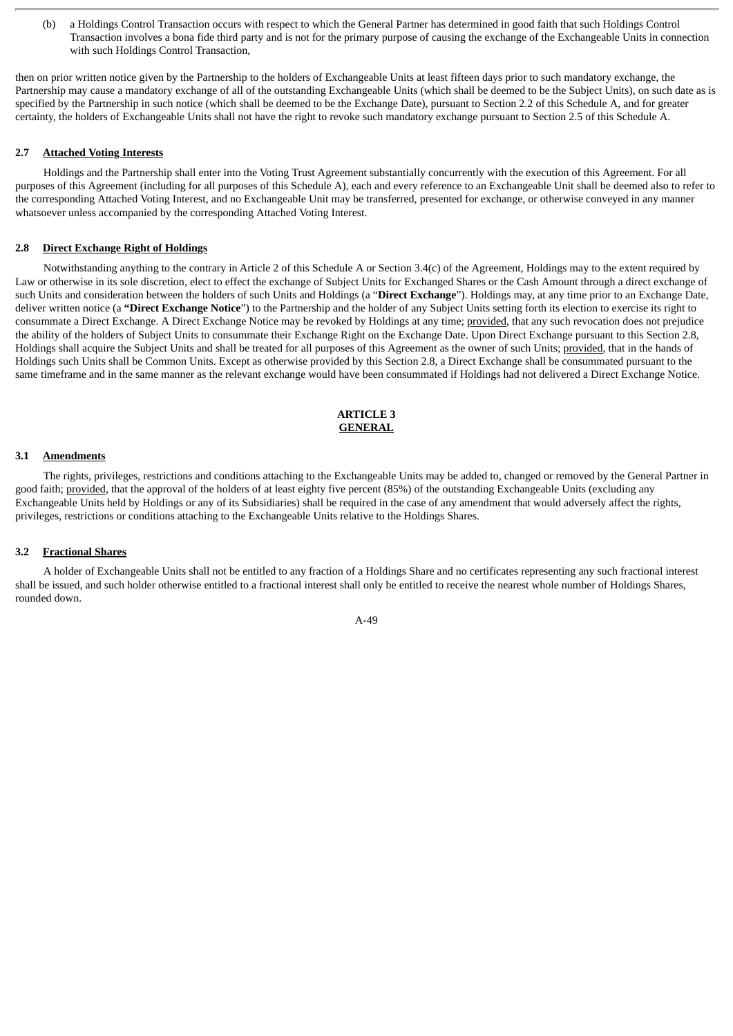(b) a Holdings Control Transaction occurs with respect to which the General Partner has determined in good faith that such Holdings Control Transaction involves a bona fide third party and is not for the primary purpose of causing the exchange of the Exchangeable Units in connection with such Holdings Control Transaction,

then on prior written notice given by the Partnership to the holders of Exchangeable Units at least fifteen days prior to such mandatory exchange, the Partnership may cause a mandatory exchange of all of the outstanding Exchangeable Units (which shall be deemed to be the Subject Units), on such date as is specified by the Partnership in such notice (which shall be deemed to be the Exchange Date), pursuant to Section 2.2 of this Schedule A, and for greater certainty, the holders of Exchangeable Units shall not have the right to revoke such mandatory exchange pursuant to Section 2.5 of this Schedule A.

# **2.7 Attached Voting Interests**

Holdings and the Partnership shall enter into the Voting Trust Agreement substantially concurrently with the execution of this Agreement. For all purposes of this Agreement (including for all purposes of this Schedule A), each and every reference to an Exchangeable Unit shall be deemed also to refer to the corresponding Attached Voting Interest, and no Exchangeable Unit may be transferred, presented for exchange, or otherwise conveyed in any manner whatsoever unless accompanied by the corresponding Attached Voting Interest.

# **2.8 Direct Exchange Right of Holdings**

Notwithstanding anything to the contrary in Article 2 of this Schedule A or Section 3.4(c) of the Agreement, Holdings may to the extent required by Law or otherwise in its sole discretion, elect to effect the exchange of Subject Units for Exchanged Shares or the Cash Amount through a direct exchange of such Units and consideration between the holders of such Units and Holdings (a "**Direct Exchange**"). Holdings may, at any time prior to an Exchange Date, deliver written notice (a **"Direct Exchange Notice**") to the Partnership and the holder of any Subject Units setting forth its election to exercise its right to consummate a Direct Exchange. A Direct Exchange Notice may be revoked by Holdings at any time; provided, that any such revocation does not prejudice the ability of the holders of Subject Units to consummate their Exchange Right on the Exchange Date. Upon Direct Exchange pursuant to this Section 2.8, Holdings shall acquire the Subject Units and shall be treated for all purposes of this Agreement as the owner of such Units; provided, that in the hands of Holdings such Units shall be Common Units. Except as otherwise provided by this Section 2.8, a Direct Exchange shall be consummated pursuant to the same timeframe and in the same manner as the relevant exchange would have been consummated if Holdings had not delivered a Direct Exchange Notice.

# **ARTICLE 3 GENERAL**

#### **3.1 Amendments**

The rights, privileges, restrictions and conditions attaching to the Exchangeable Units may be added to, changed or removed by the General Partner in good faith; provided, that the approval of the holders of at least eighty five percent (85%) of the outstanding Exchangeable Units (excluding any Exchangeable Units held by Holdings or any of its Subsidiaries) shall be required in the case of any amendment that would adversely affect the rights, privileges, restrictions or conditions attaching to the Exchangeable Units relative to the Holdings Shares.

#### **3.2 Fractional Shares**

A holder of Exchangeable Units shall not be entitled to any fraction of a Holdings Share and no certificates representing any such fractional interest shall be issued, and such holder otherwise entitled to a fractional interest shall only be entitled to receive the nearest whole number of Holdings Shares, rounded down.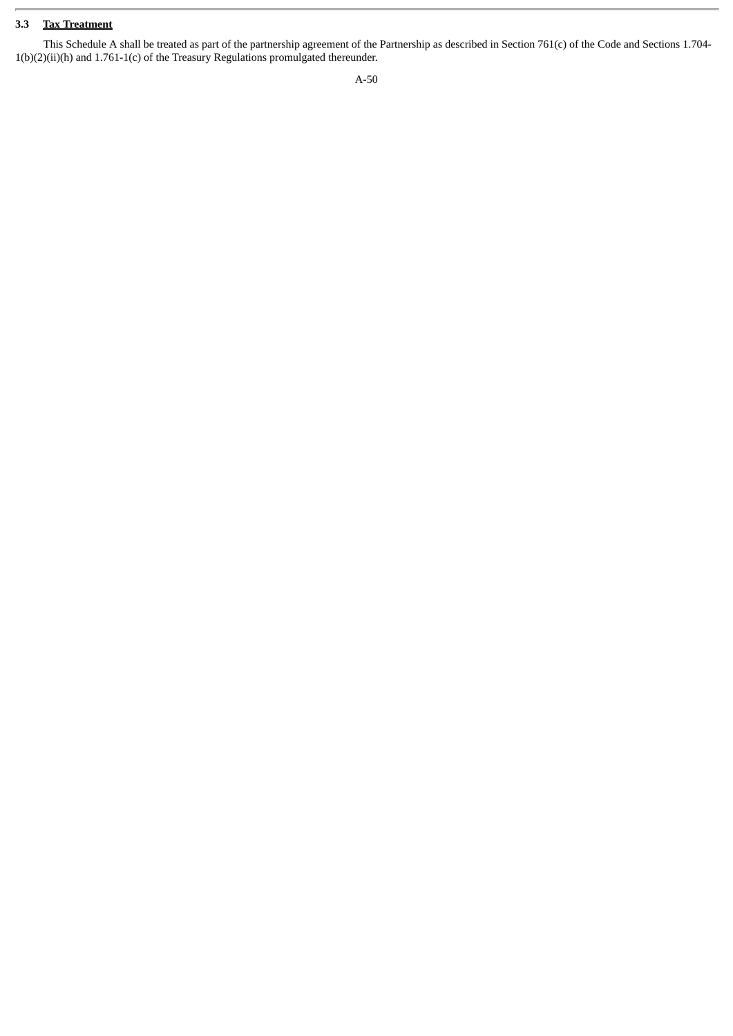# **3.3 Tax Treatment**

This Schedule A shall be treated as part of the partnership agreement of the Partnership as described in Section 761(c) of the Code and Sections 1.704- 1(b)(2)(ii)(h) and 1.761-1(c) of the Treasury Regulations promulgated thereunder.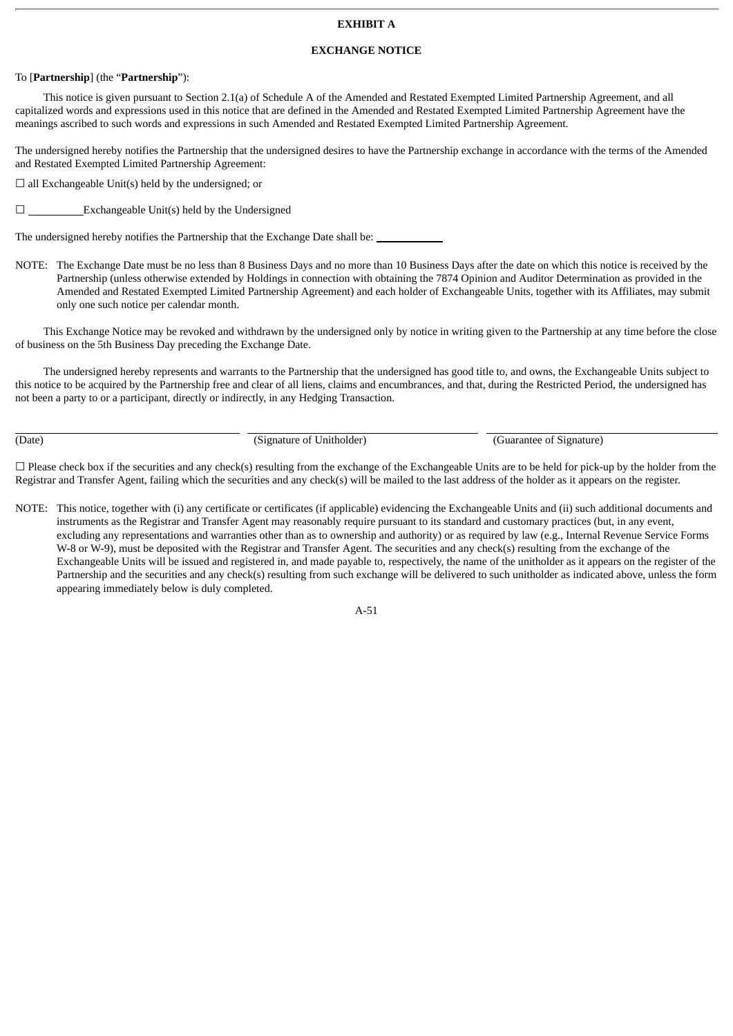# **EXHIBIT A**

# **EXCHANGE NOTICE**

# To [**Partnership**] (the "**Partnership**"):

This notice is given pursuant to Section 2.1(a) of Schedule A of the Amended and Restated Exempted Limited Partnership Agreement, and all capitalized words and expressions used in this notice that are defined in the Amended and Restated Exempted Limited Partnership Agreement have the meanings ascribed to such words and expressions in such Amended and Restated Exempted Limited Partnership Agreement.

The undersigned hereby notifies the Partnership that the undersigned desires to have the Partnership exchange in accordance with the terms of the Amended and Restated Exempted Limited Partnership Agreement:

 $\Box$  all Exchangeable Unit(s) held by the undersigned; or

 $□$  Exchangeable Unit(s) held by the Undersigned

The undersigned hereby notifies the Partnership that the Exchange Date shall be:

NOTE: The Exchange Date must be no less than 8 Business Days and no more than 10 Business Days after the date on which this notice is received by the Partnership (unless otherwise extended by Holdings in connection with obtaining the 7874 Opinion and Auditor Determination as provided in the Amended and Restated Exempted Limited Partnership Agreement) and each holder of Exchangeable Units, together with its Affiliates, may submit only one such notice per calendar month.

This Exchange Notice may be revoked and withdrawn by the undersigned only by notice in writing given to the Partnership at any time before the close of business on the 5th Business Day preceding the Exchange Date.

The undersigned hereby represents and warrants to the Partnership that the undersigned has good title to, and owns, the Exchangeable Units subject to this notice to be acquired by the Partnership free and clear of all liens, claims and encumbrances, and that, during the Restricted Period, the undersigned has not been a party to or a participant, directly or indirectly, in any Hedging Transaction.

(Date) (Signature of Unitholder) (Guarantee of Signature)

 $\Box$  Please check box if the securities and any check(s) resulting from the exchange of the Exchangeable Units are to be held for pick-up by the holder from the Registrar and Transfer Agent, failing which the securities and any check(s) will be mailed to the last address of the holder as it appears on the register.

NOTE: This notice, together with (i) any certificate or certificates (if applicable) evidencing the Exchangeable Units and (ii) such additional documents and instruments as the Registrar and Transfer Agent may reasonably require pursuant to its standard and customary practices (but, in any event, excluding any representations and warranties other than as to ownership and authority) or as required by law (e.g., Internal Revenue Service Forms W-8 or W-9), must be deposited with the Registrar and Transfer Agent. The securities and any check(s) resulting from the exchange of the Exchangeable Units will be issued and registered in, and made payable to, respectively, the name of the unitholder as it appears on the register of the Partnership and the securities and any check(s) resulting from such exchange will be delivered to such unitholder as indicated above, unless the form appearing immediately below is duly completed.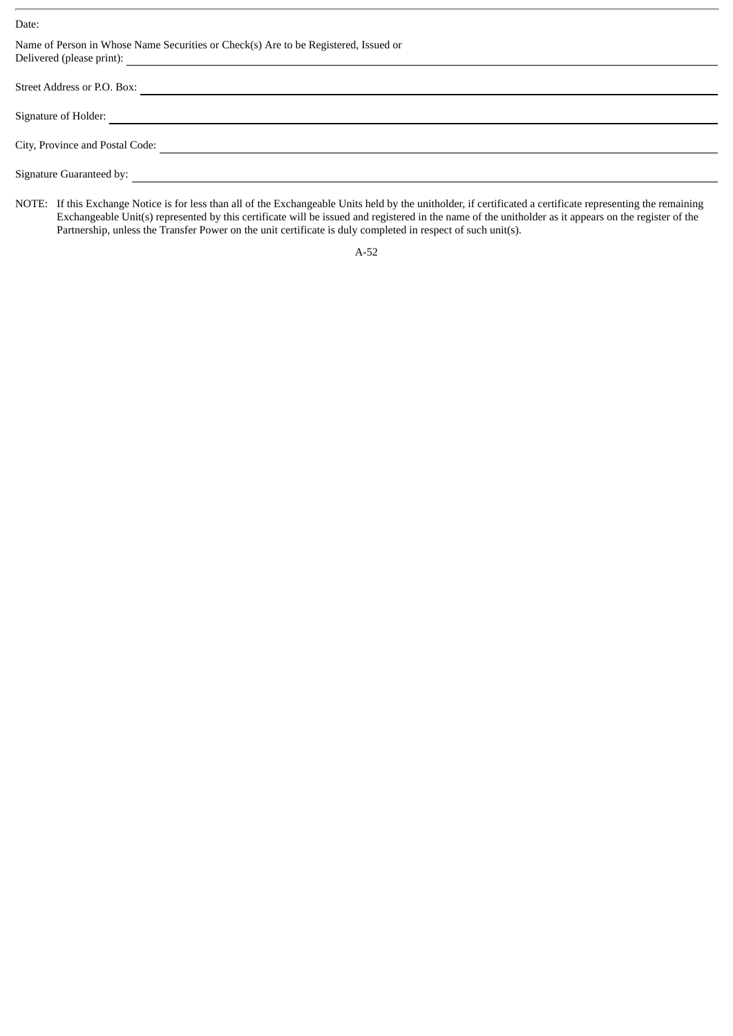Date:

| Name of Person in Whose Name Securities or Check(s) Are to be Registered, Issued or                                                                                                                                                   |
|---------------------------------------------------------------------------------------------------------------------------------------------------------------------------------------------------------------------------------------|
| Street Address or P.O. Box:                                                                                                                                                                                                           |
| Signature of Holder:                                                                                                                                                                                                                  |
| City, Province and Postal Code:                                                                                                                                                                                                       |
| Signature Guaranteed by:<br><u> and a second contract of the second contract of the second contract of the second contract of the second contract of the second contract of the second contract of the second contract of the sec</u> |
|                                                                                                                                                                                                                                       |

NOTE: If this Exchange Notice is for less than all of the Exchangeable Units held by the unitholder, if certificated a certificate representing the remaining Exchangeable Unit(s) represented by this certificate will be issued and registered in the name of the unitholder as it appears on the register of the Partnership, unless the Transfer Power on the unit certificate is duly completed in respect of such unit(s).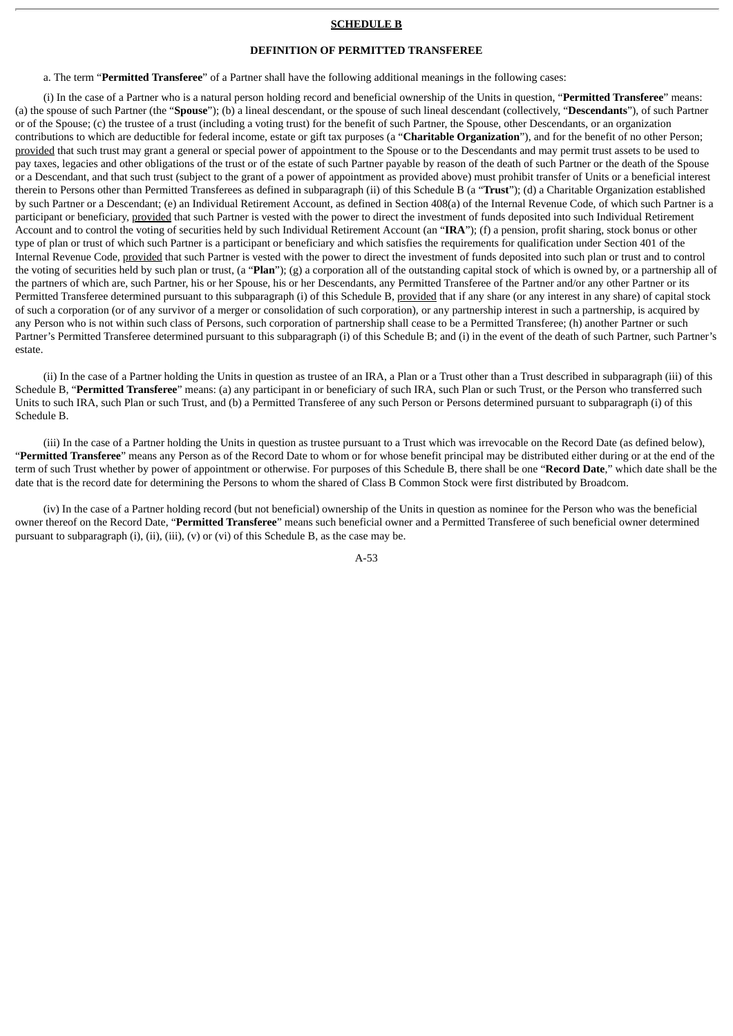#### **SCHEDULE B**

# **DEFINITION OF PERMITTED TRANSFEREE**

a. The term "**Permitted Transferee**" of a Partner shall have the following additional meanings in the following cases:

(i) In the case of a Partner who is a natural person holding record and beneficial ownership of the Units in question, "**Permitted Transferee**" means: (a) the spouse of such Partner (the "**Spouse**"); (b) a lineal descendant, or the spouse of such lineal descendant (collectively, "**Descendants**"), of such Partner or of the Spouse; (c) the trustee of a trust (including a voting trust) for the benefit of such Partner, the Spouse, other Descendants, or an organization contributions to which are deductible for federal income, estate or gift tax purposes (a "**Charitable Organization**"), and for the benefit of no other Person; provided that such trust may grant a general or special power of appointment to the Spouse or to the Descendants and may permit trust assets to be used to pay taxes, legacies and other obligations of the trust or of the estate of such Partner payable by reason of the death of such Partner or the death of the Spouse or a Descendant, and that such trust (subject to the grant of a power of appointment as provided above) must prohibit transfer of Units or a beneficial interest therein to Persons other than Permitted Transferees as defined in subparagraph (ii) of this Schedule B (a "**Trust**"); (d) a Charitable Organization established by such Partner or a Descendant; (e) an Individual Retirement Account, as defined in Section 408(a) of the Internal Revenue Code, of which such Partner is a participant or beneficiary, provided that such Partner is vested with the power to direct the investment of funds deposited into such Individual Retirement Account and to control the voting of securities held by such Individual Retirement Account (an "**IRA**"); (f) a pension, profit sharing, stock bonus or other type of plan or trust of which such Partner is a participant or beneficiary and which satisfies the requirements for qualification under Section 401 of the Internal Revenue Code, provided that such Partner is vested with the power to direct the investment of funds deposited into such plan or trust and to control the voting of securities held by such plan or trust, (a "**Plan**"); (g) a corporation all of the outstanding capital stock of which is owned by, or a partnership all of the partners of which are, such Partner, his or her Spouse, his or her Descendants, any Permitted Transferee of the Partner and/or any other Partner or its Permitted Transferee determined pursuant to this subparagraph (i) of this Schedule B, provided that if any share (or any interest in any share) of capital stock of such a corporation (or of any survivor of a merger or consolidation of such corporation), or any partnership interest in such a partnership, is acquired by any Person who is not within such class of Persons, such corporation of partnership shall cease to be a Permitted Transferee; (h) another Partner or such Partner's Permitted Transferee determined pursuant to this subparagraph (i) of this Schedule B; and (i) in the event of the death of such Partner, such Partner's estate.

(ii) In the case of a Partner holding the Units in question as trustee of an IRA, a Plan or a Trust other than a Trust described in subparagraph (iii) of this Schedule B, "**Permitted Transferee**" means: (a) any participant in or beneficiary of such IRA, such Plan or such Trust, or the Person who transferred such Units to such IRA, such Plan or such Trust, and (b) a Permitted Transferee of any such Person or Persons determined pursuant to subparagraph (i) of this Schedule B.

(iii) In the case of a Partner holding the Units in question as trustee pursuant to a Trust which was irrevocable on the Record Date (as defined below), "**Permitted Transferee**" means any Person as of the Record Date to whom or for whose benefit principal may be distributed either during or at the end of the term of such Trust whether by power of appointment or otherwise. For purposes of this Schedule B, there shall be one "**Record Date**," which date shall be the date that is the record date for determining the Persons to whom the shared of Class B Common Stock were first distributed by Broadcom.

(iv) In the case of a Partner holding record (but not beneficial) ownership of the Units in question as nominee for the Person who was the beneficial owner thereof on the Record Date, "**Permitted Transferee**" means such beneficial owner and a Permitted Transferee of such beneficial owner determined pursuant to subparagraph (i), (ii), (iii), (v) or (vi) of this Schedule B, as the case may be.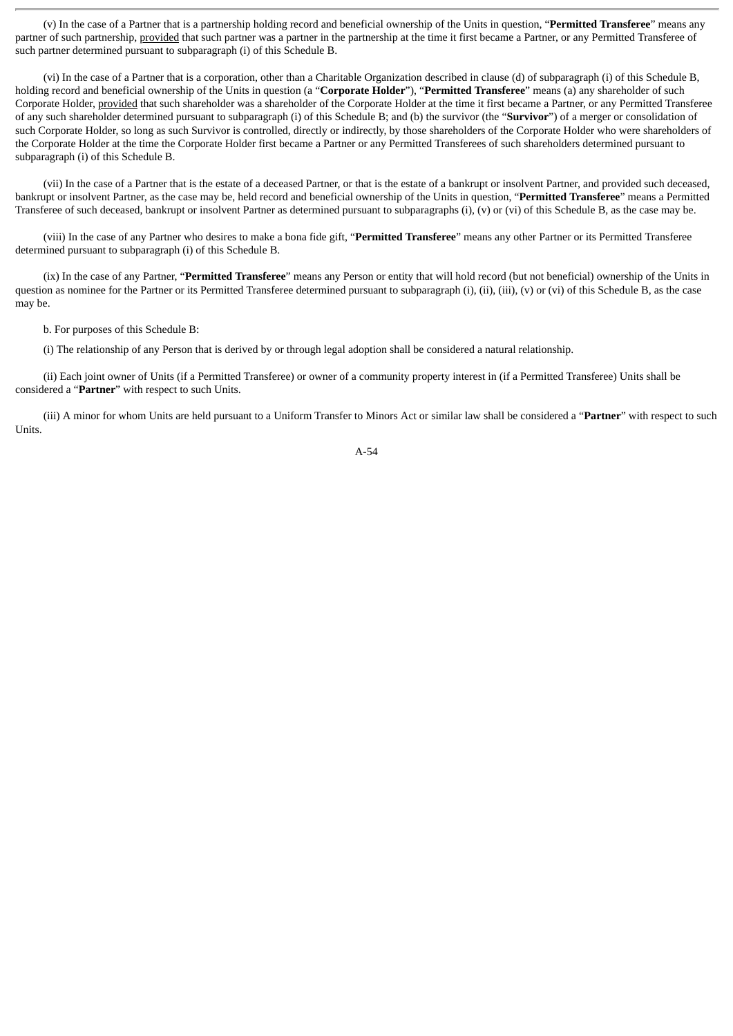(v) In the case of a Partner that is a partnership holding record and beneficial ownership of the Units in question, "**Permitted Transferee**" means any partner of such partnership, provided that such partner was a partner in the partnership at the time it first became a Partner, or any Permitted Transferee of such partner determined pursuant to subparagraph (i) of this Schedule B.

(vi) In the case of a Partner that is a corporation, other than a Charitable Organization described in clause (d) of subparagraph (i) of this Schedule B, holding record and beneficial ownership of the Units in question (a "**Corporate Holder**"), "**Permitted Transferee**" means (a) any shareholder of such Corporate Holder, provided that such shareholder was a shareholder of the Corporate Holder at the time it first became a Partner, or any Permitted Transferee of any such shareholder determined pursuant to subparagraph (i) of this Schedule B; and (b) the survivor (the "**Survivor**") of a merger or consolidation of such Corporate Holder, so long as such Survivor is controlled, directly or indirectly, by those shareholders of the Corporate Holder who were shareholders of the Corporate Holder at the time the Corporate Holder first became a Partner or any Permitted Transferees of such shareholders determined pursuant to subparagraph (i) of this Schedule B.

(vii) In the case of a Partner that is the estate of a deceased Partner, or that is the estate of a bankrupt or insolvent Partner, and provided such deceased, bankrupt or insolvent Partner, as the case may be, held record and beneficial ownership of the Units in question, "**Permitted Transferee**" means a Permitted Transferee of such deceased, bankrupt or insolvent Partner as determined pursuant to subparagraphs (i), (v) or (vi) of this Schedule B, as the case may be.

(viii) In the case of any Partner who desires to make a bona fide gift, "**Permitted Transferee**" means any other Partner or its Permitted Transferee determined pursuant to subparagraph (i) of this Schedule B.

(ix) In the case of any Partner, "**Permitted Transferee**" means any Person or entity that will hold record (but not beneficial) ownership of the Units in question as nominee for the Partner or its Permitted Transferee determined pursuant to subparagraph (i), (ii), (iii), (v) or (vi) of this Schedule B, as the case may be.

b. For purposes of this Schedule B:

(i) The relationship of any Person that is derived by or through legal adoption shall be considered a natural relationship.

(ii) Each joint owner of Units (if a Permitted Transferee) or owner of a community property interest in (if a Permitted Transferee) Units shall be considered a "**Partner**" with respect to such Units.

(iii) A minor for whom Units are held pursuant to a Uniform Transfer to Minors Act or similar law shall be considered a "**Partner**" with respect to such Units.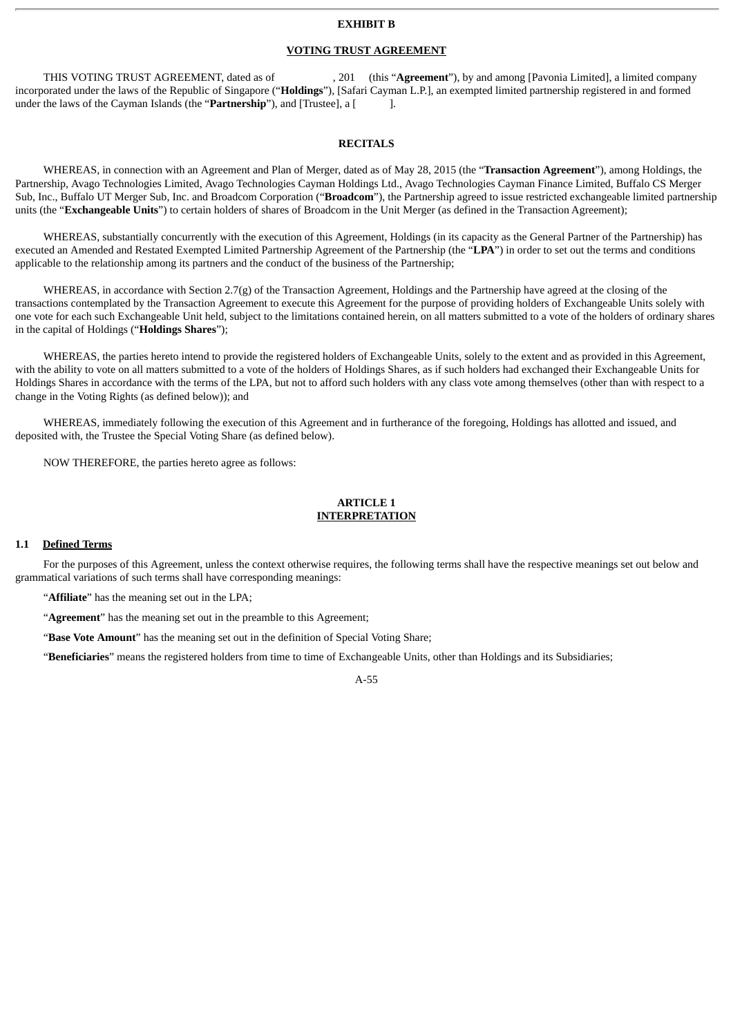#### **EXHIBIT B**

### **VOTING TRUST AGREEMENT**

THIS VOTING TRUST AGREEMENT, dated as of , 201 (this "**Agreement**"), by and among [Pavonia Limited], a limited company incorporated under the laws of the Republic of Singapore ("**Holdings**"), [Safari Cayman L.P.], an exempted limited partnership registered in and formed under the laws of the Cayman Islands (the "**Partnership**"), and [Trustee], a [1.1.1].

#### **RECITALS**

WHEREAS, in connection with an Agreement and Plan of Merger, dated as of May 28, 2015 (the "**Transaction Agreement**"), among Holdings, the Partnership, Avago Technologies Limited, Avago Technologies Cayman Holdings Ltd., Avago Technologies Cayman Finance Limited, Buffalo CS Merger Sub, Inc., Buffalo UT Merger Sub, Inc. and Broadcom Corporation ("**Broadcom**"), the Partnership agreed to issue restricted exchangeable limited partnership units (the "**Exchangeable Units**") to certain holders of shares of Broadcom in the Unit Merger (as defined in the Transaction Agreement);

WHEREAS, substantially concurrently with the execution of this Agreement, Holdings (in its capacity as the General Partner of the Partnership) has executed an Amended and Restated Exempted Limited Partnership Agreement of the Partnership (the "**LPA**") in order to set out the terms and conditions applicable to the relationship among its partners and the conduct of the business of the Partnership;

WHEREAS, in accordance with Section 2.7(g) of the Transaction Agreement, Holdings and the Partnership have agreed at the closing of the transactions contemplated by the Transaction Agreement to execute this Agreement for the purpose of providing holders of Exchangeable Units solely with one vote for each such Exchangeable Unit held, subject to the limitations contained herein, on all matters submitted to a vote of the holders of ordinary shares in the capital of Holdings ("**Holdings Shares**");

WHEREAS, the parties hereto intend to provide the registered holders of Exchangeable Units, solely to the extent and as provided in this Agreement, with the ability to vote on all matters submitted to a vote of the holders of Holdings Shares, as if such holders had exchanged their Exchangeable Units for Holdings Shares in accordance with the terms of the LPA, but not to afford such holders with any class vote among themselves (other than with respect to a change in the Voting Rights (as defined below)); and

WHEREAS, immediately following the execution of this Agreement and in furtherance of the foregoing, Holdings has allotted and issued, and deposited with, the Trustee the Special Voting Share (as defined below).

NOW THEREFORE, the parties hereto agree as follows:

# **ARTICLE 1 INTERPRETATION**

#### **1.1 Defined Terms**

For the purposes of this Agreement, unless the context otherwise requires, the following terms shall have the respective meanings set out below and grammatical variations of such terms shall have corresponding meanings:

"**Affiliate**" has the meaning set out in the LPA;

"**Agreement**" has the meaning set out in the preamble to this Agreement;

"**Base Vote Amount**" has the meaning set out in the definition of Special Voting Share;

"**Beneficiaries**" means the registered holders from time to time of Exchangeable Units, other than Holdings and its Subsidiaries;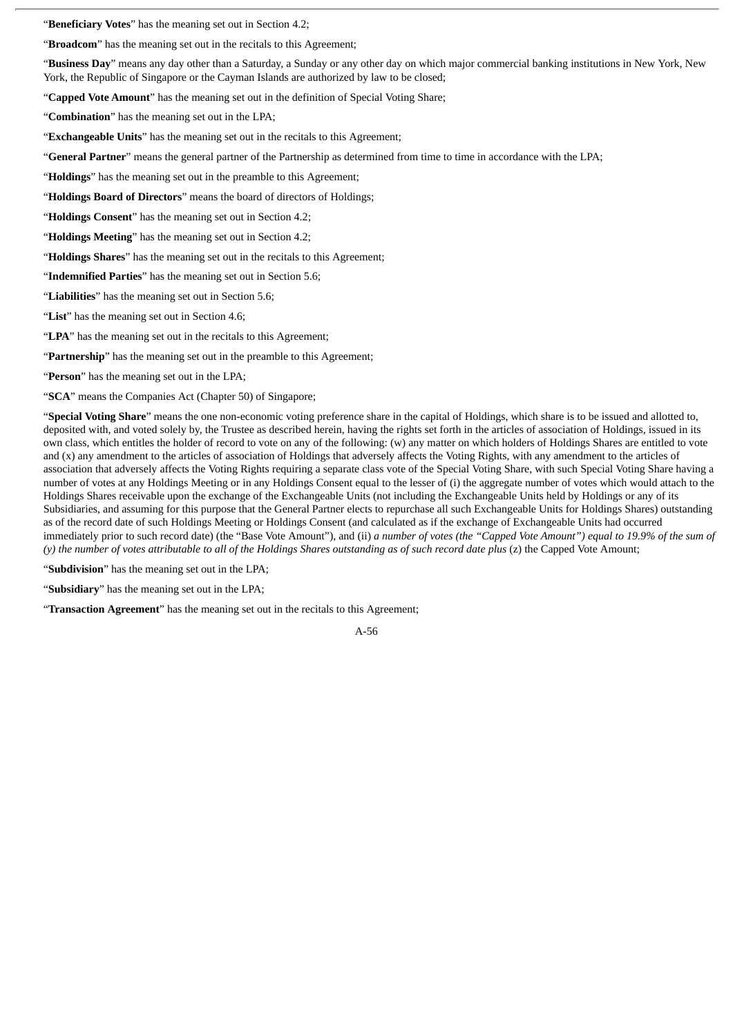"**Beneficiary Votes**" has the meaning set out in Section 4.2;

"**Broadcom**" has the meaning set out in the recitals to this Agreement;

"**Business Day**" means any day other than a Saturday, a Sunday or any other day on which major commercial banking institutions in New York, New York, the Republic of Singapore or the Cayman Islands are authorized by law to be closed;

"**Capped Vote Amount**" has the meaning set out in the definition of Special Voting Share;

"**Combination**" has the meaning set out in the LPA;

"**Exchangeable Units**" has the meaning set out in the recitals to this Agreement;

"**General Partner**" means the general partner of the Partnership as determined from time to time in accordance with the LPA;

"**Holdings**" has the meaning set out in the preamble to this Agreement;

"**Holdings Board of Directors**" means the board of directors of Holdings;

"**Holdings Consent**" has the meaning set out in Section 4.2;

"**Holdings Meeting**" has the meaning set out in Section 4.2;

"**Holdings Shares**" has the meaning set out in the recitals to this Agreement;

"**Indemnified Parties**" has the meaning set out in Section 5.6;

"**Liabilities**" has the meaning set out in Section 5.6;

"**List**" has the meaning set out in Section 4.6;

"**LPA**" has the meaning set out in the recitals to this Agreement;

"**Partnership**" has the meaning set out in the preamble to this Agreement;

"**Person**" has the meaning set out in the LPA;

"**SCA**" means the Companies Act (Chapter 50) of Singapore;

"**Special Voting Share**" means the one non-economic voting preference share in the capital of Holdings, which share is to be issued and allotted to, deposited with, and voted solely by, the Trustee as described herein, having the rights set forth in the articles of association of Holdings, issued in its own class, which entitles the holder of record to vote on any of the following: (w) any matter on which holders of Holdings Shares are entitled to vote and (x) any amendment to the articles of association of Holdings that adversely affects the Voting Rights, with any amendment to the articles of association that adversely affects the Voting Rights requiring a separate class vote of the Special Voting Share, with such Special Voting Share having a number of votes at any Holdings Meeting or in any Holdings Consent equal to the lesser of (i) the aggregate number of votes which would attach to the Holdings Shares receivable upon the exchange of the Exchangeable Units (not including the Exchangeable Units held by Holdings or any of its Subsidiaries, and assuming for this purpose that the General Partner elects to repurchase all such Exchangeable Units for Holdings Shares) outstanding as of the record date of such Holdings Meeting or Holdings Consent (and calculated as if the exchange of Exchangeable Units had occurred immediately prior to such record date) (the "Base Vote Amount"), and (ii) a number of votes (the "Capped Vote Amount") equal to 19.9% of the sum of (y) the number of votes attributable to all of the Holdings Shares outstanding as of such record date plus (z) the Capped Vote Amount:

"**Subdivision**" has the meaning set out in the LPA;

"**Subsidiary**" has the meaning set out in the LPA;

"**Transaction Agreement**" has the meaning set out in the recitals to this Agreement;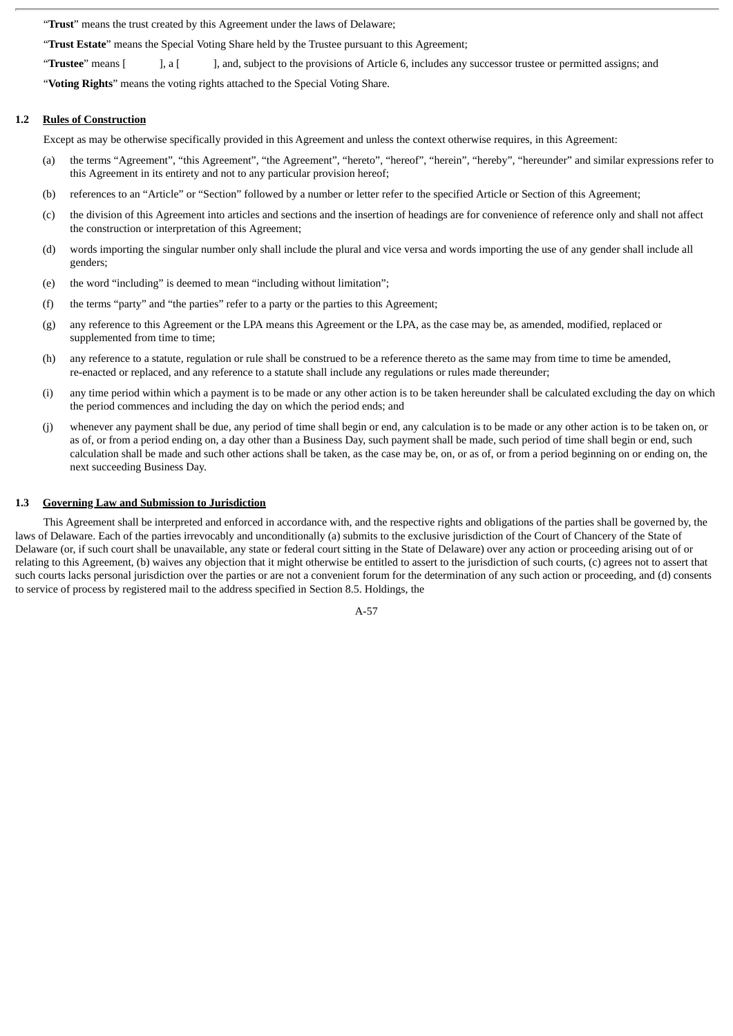"**Trust**" means the trust created by this Agreement under the laws of Delaware;

"**Trust Estate**" means the Special Voting Share held by the Trustee pursuant to this Agreement;

"**Trustee**" means [ ], a [ ], and, subject to the provisions of Article 6, includes any successor trustee or permitted assigns; and

"**Voting Rights**" means the voting rights attached to the Special Voting Share.

#### **1.2 Rules of Construction**

Except as may be otherwise specifically provided in this Agreement and unless the context otherwise requires, in this Agreement:

- (a) the terms "Agreement", "this Agreement", "the Agreement", "hereto", "hereof", "herein", "hereby", "hereunder" and similar expressions refer to this Agreement in its entirety and not to any particular provision hereof;
- (b) references to an "Article" or "Section" followed by a number or letter refer to the specified Article or Section of this Agreement;
- (c) the division of this Agreement into articles and sections and the insertion of headings are for convenience of reference only and shall not affect the construction or interpretation of this Agreement;
- (d) words importing the singular number only shall include the plural and vice versa and words importing the use of any gender shall include all genders;
- (e) the word "including" is deemed to mean "including without limitation";
- (f) the terms "party" and "the parties" refer to a party or the parties to this Agreement;
- (g) any reference to this Agreement or the LPA means this Agreement or the LPA, as the case may be, as amended, modified, replaced or supplemented from time to time;
- (h) any reference to a statute, regulation or rule shall be construed to be a reference thereto as the same may from time to time be amended, re-enacted or replaced, and any reference to a statute shall include any regulations or rules made thereunder;
- (i) any time period within which a payment is to be made or any other action is to be taken hereunder shall be calculated excluding the day on which the period commences and including the day on which the period ends; and
- (j) whenever any payment shall be due, any period of time shall begin or end, any calculation is to be made or any other action is to be taken on, or as of, or from a period ending on, a day other than a Business Day, such payment shall be made, such period of time shall begin or end, such calculation shall be made and such other actions shall be taken, as the case may be, on, or as of, or from a period beginning on or ending on, the next succeeding Business Day.

#### **1.3 Governing Law and Submission to Jurisdiction**

This Agreement shall be interpreted and enforced in accordance with, and the respective rights and obligations of the parties shall be governed by, the laws of Delaware. Each of the parties irrevocably and unconditionally (a) submits to the exclusive jurisdiction of the Court of Chancery of the State of Delaware (or, if such court shall be unavailable, any state or federal court sitting in the State of Delaware) over any action or proceeding arising out of or relating to this Agreement, (b) waives any objection that it might otherwise be entitled to assert to the jurisdiction of such courts, (c) agrees not to assert that such courts lacks personal jurisdiction over the parties or are not a convenient forum for the determination of any such action or proceeding, and (d) consents to service of process by registered mail to the address specified in Section 8.5. Holdings, the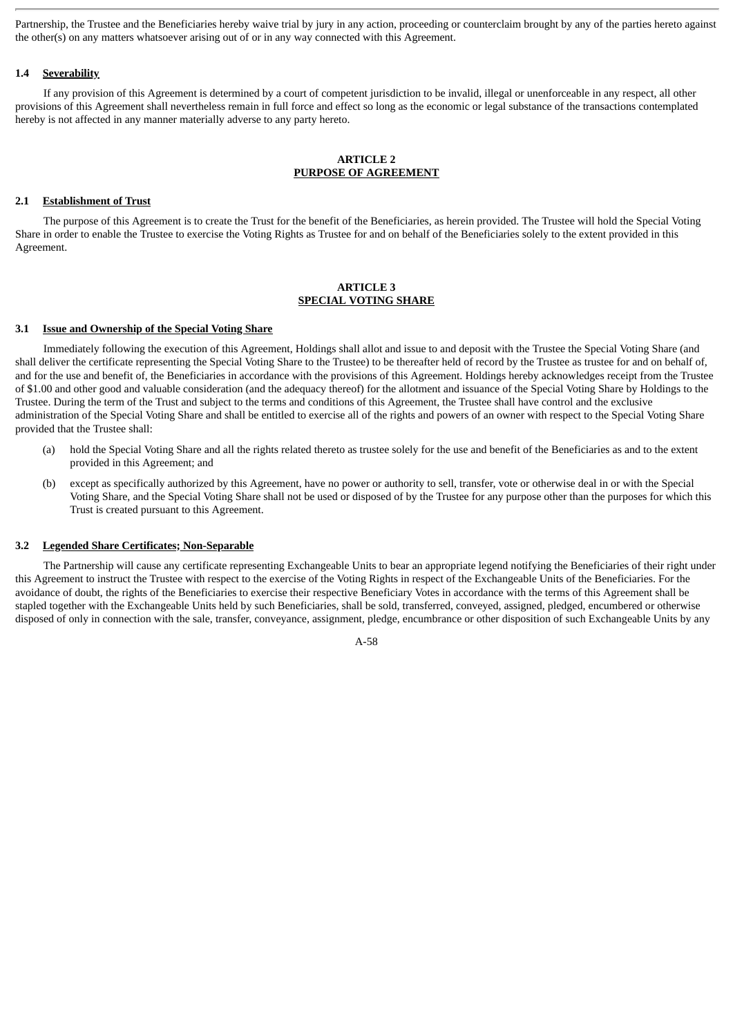Partnership, the Trustee and the Beneficiaries hereby waive trial by jury in any action, proceeding or counterclaim brought by any of the parties hereto against the other(s) on any matters whatsoever arising out of or in any way connected with this Agreement.

# **1.4 Severability**

If any provision of this Agreement is determined by a court of competent jurisdiction to be invalid, illegal or unenforceable in any respect, all other provisions of this Agreement shall nevertheless remain in full force and effect so long as the economic or legal substance of the transactions contemplated hereby is not affected in any manner materially adverse to any party hereto.

# **ARTICLE 2 PURPOSE OF AGREEMENT**

# **2.1 Establishment of Trust**

The purpose of this Agreement is to create the Trust for the benefit of the Beneficiaries, as herein provided. The Trustee will hold the Special Voting Share in order to enable the Trustee to exercise the Voting Rights as Trustee for and on behalf of the Beneficiaries solely to the extent provided in this Agreement.

# **ARTICLE 3 SPECIAL VOTING SHARE**

### **3.1 Issue and Ownership of the Special Voting Share**

Immediately following the execution of this Agreement, Holdings shall allot and issue to and deposit with the Trustee the Special Voting Share (and shall deliver the certificate representing the Special Voting Share to the Trustee) to be thereafter held of record by the Trustee as trustee for and on behalf of, and for the use and benefit of, the Beneficiaries in accordance with the provisions of this Agreement. Holdings hereby acknowledges receipt from the Trustee of \$1.00 and other good and valuable consideration (and the adequacy thereof) for the allotment and issuance of the Special Voting Share by Holdings to the Trustee. During the term of the Trust and subject to the terms and conditions of this Agreement, the Trustee shall have control and the exclusive administration of the Special Voting Share and shall be entitled to exercise all of the rights and powers of an owner with respect to the Special Voting Share provided that the Trustee shall:

- (a) hold the Special Voting Share and all the rights related thereto as trustee solely for the use and benefit of the Beneficiaries as and to the extent provided in this Agreement; and
- (b) except as specifically authorized by this Agreement, have no power or authority to sell, transfer, vote or otherwise deal in or with the Special Voting Share, and the Special Voting Share shall not be used or disposed of by the Trustee for any purpose other than the purposes for which this Trust is created pursuant to this Agreement.

# **3.2 Legended Share Certificates; Non-Separable**

The Partnership will cause any certificate representing Exchangeable Units to bear an appropriate legend notifying the Beneficiaries of their right under this Agreement to instruct the Trustee with respect to the exercise of the Voting Rights in respect of the Exchangeable Units of the Beneficiaries. For the avoidance of doubt, the rights of the Beneficiaries to exercise their respective Beneficiary Votes in accordance with the terms of this Agreement shall be stapled together with the Exchangeable Units held by such Beneficiaries, shall be sold, transferred, conveyed, assigned, pledged, encumbered or otherwise disposed of only in connection with the sale, transfer, conveyance, assignment, pledge, encumbrance or other disposition of such Exchangeable Units by any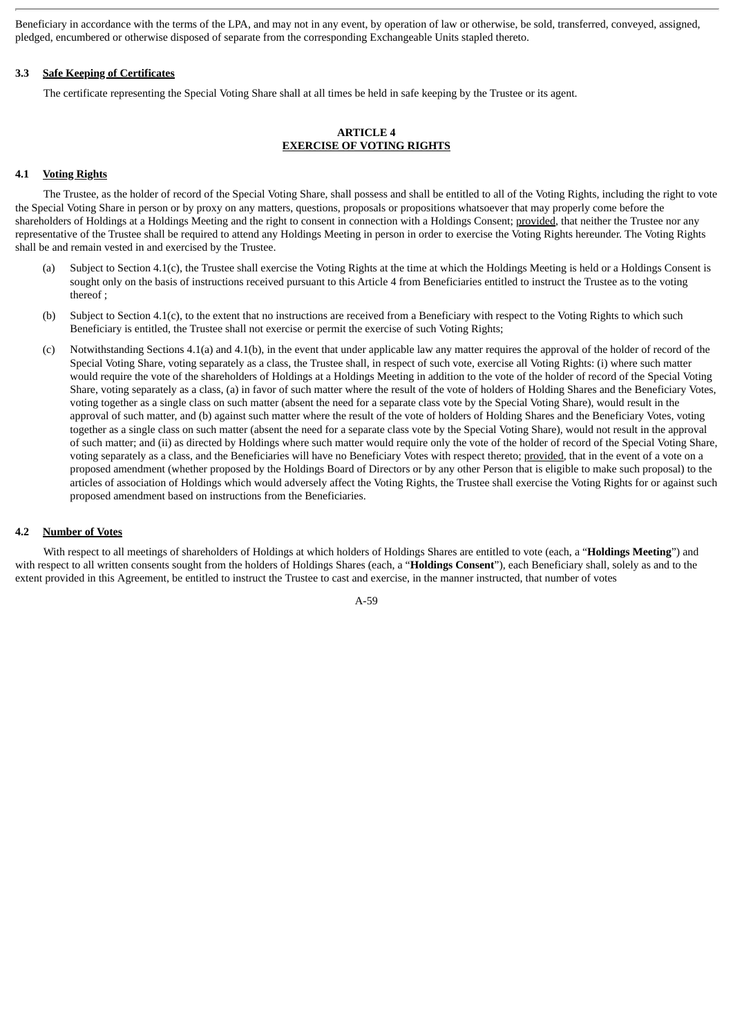Beneficiary in accordance with the terms of the LPA, and may not in any event, by operation of law or otherwise, be sold, transferred, conveyed, assigned, pledged, encumbered or otherwise disposed of separate from the corresponding Exchangeable Units stapled thereto.

# **3.3 Safe Keeping of Certificates**

The certificate representing the Special Voting Share shall at all times be held in safe keeping by the Trustee or its agent.

# **ARTICLE 4 EXERCISE OF VOTING RIGHTS**

# **4.1 Voting Rights**

The Trustee, as the holder of record of the Special Voting Share, shall possess and shall be entitled to all of the Voting Rights, including the right to vote the Special Voting Share in person or by proxy on any matters, questions, proposals or propositions whatsoever that may properly come before the shareholders of Holdings at a Holdings Meeting and the right to consent in connection with a Holdings Consent; provided, that neither the Trustee nor any representative of the Trustee shall be required to attend any Holdings Meeting in person in order to exercise the Voting Rights hereunder. The Voting Rights shall be and remain vested in and exercised by the Trustee.

- (a) Subject to Section 4.1(c), the Trustee shall exercise the Voting Rights at the time at which the Holdings Meeting is held or a Holdings Consent is sought only on the basis of instructions received pursuant to this Article 4 from Beneficiaries entitled to instruct the Trustee as to the voting thereof ;
- (b) Subject to Section 4.1(c), to the extent that no instructions are received from a Beneficiary with respect to the Voting Rights to which such Beneficiary is entitled, the Trustee shall not exercise or permit the exercise of such Voting Rights;
- (c) Notwithstanding Sections 4.1(a) and 4.1(b), in the event that under applicable law any matter requires the approval of the holder of record of the Special Voting Share, voting separately as a class, the Trustee shall, in respect of such vote, exercise all Voting Rights: (i) where such matter would require the vote of the shareholders of Holdings at a Holdings Meeting in addition to the vote of the holder of record of the Special Voting Share, voting separately as a class, (a) in favor of such matter where the result of the vote of holders of Holding Shares and the Beneficiary Votes, voting together as a single class on such matter (absent the need for a separate class vote by the Special Voting Share), would result in the approval of such matter, and (b) against such matter where the result of the vote of holders of Holding Shares and the Beneficiary Votes, voting together as a single class on such matter (absent the need for a separate class vote by the Special Voting Share), would not result in the approval of such matter; and (ii) as directed by Holdings where such matter would require only the vote of the holder of record of the Special Voting Share, voting separately as a class, and the Beneficiaries will have no Beneficiary Votes with respect thereto; provided, that in the event of a vote on a proposed amendment (whether proposed by the Holdings Board of Directors or by any other Person that is eligible to make such proposal) to the articles of association of Holdings which would adversely affect the Voting Rights, the Trustee shall exercise the Voting Rights for or against such proposed amendment based on instructions from the Beneficiaries.

# **4.2 Number of Votes**

With respect to all meetings of shareholders of Holdings at which holders of Holdings Shares are entitled to vote (each, a "**Holdings Meeting**") and with respect to all written consents sought from the holders of Holdings Shares (each, a "**Holdings Consent**"), each Beneficiary shall, solely as and to the extent provided in this Agreement, be entitled to instruct the Trustee to cast and exercise, in the manner instructed, that number of votes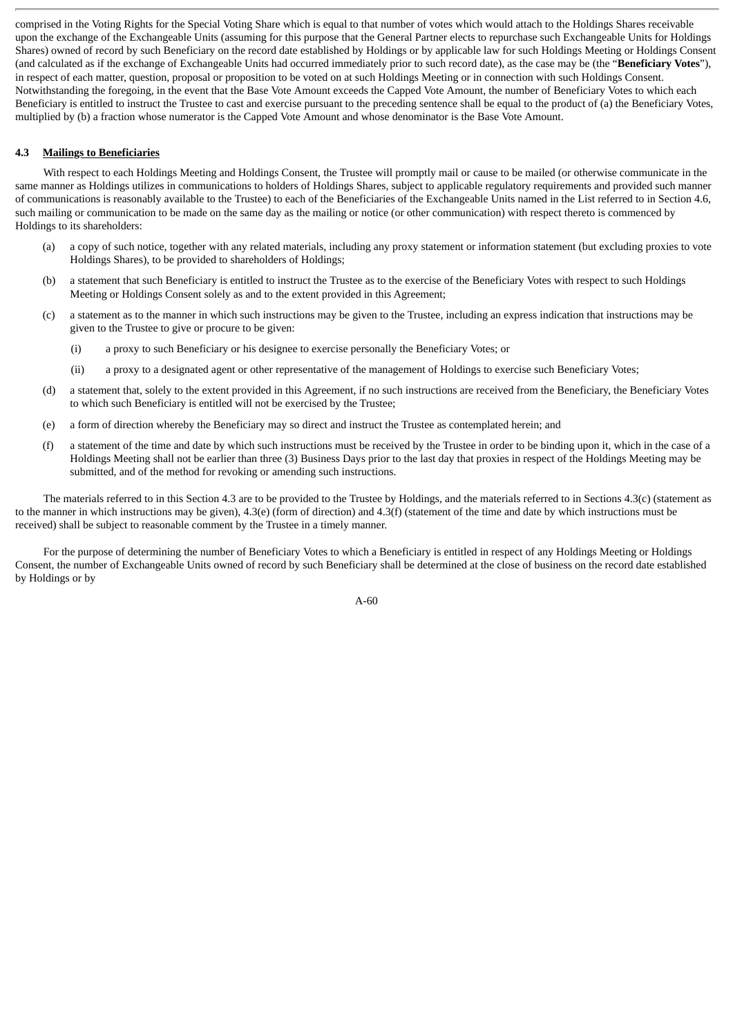comprised in the Voting Rights for the Special Voting Share which is equal to that number of votes which would attach to the Holdings Shares receivable upon the exchange of the Exchangeable Units (assuming for this purpose that the General Partner elects to repurchase such Exchangeable Units for Holdings Shares) owned of record by such Beneficiary on the record date established by Holdings or by applicable law for such Holdings Meeting or Holdings Consent (and calculated as if the exchange of Exchangeable Units had occurred immediately prior to such record date), as the case may be (the "**Beneficiary Votes**"), in respect of each matter, question, proposal or proposition to be voted on at such Holdings Meeting or in connection with such Holdings Consent. Notwithstanding the foregoing, in the event that the Base Vote Amount exceeds the Capped Vote Amount, the number of Beneficiary Votes to which each Beneficiary is entitled to instruct the Trustee to cast and exercise pursuant to the preceding sentence shall be equal to the product of (a) the Beneficiary Votes, multiplied by (b) a fraction whose numerator is the Capped Vote Amount and whose denominator is the Base Vote Amount.

# **4.3 Mailings to Beneficiaries**

With respect to each Holdings Meeting and Holdings Consent, the Trustee will promptly mail or cause to be mailed (or otherwise communicate in the same manner as Holdings utilizes in communications to holders of Holdings Shares, subject to applicable regulatory requirements and provided such manner of communications is reasonably available to the Trustee) to each of the Beneficiaries of the Exchangeable Units named in the List referred to in Section 4.6, such mailing or communication to be made on the same day as the mailing or notice (or other communication) with respect thereto is commenced by Holdings to its shareholders:

- (a) a copy of such notice, together with any related materials, including any proxy statement or information statement (but excluding proxies to vote Holdings Shares), to be provided to shareholders of Holdings;
- (b) a statement that such Beneficiary is entitled to instruct the Trustee as to the exercise of the Beneficiary Votes with respect to such Holdings Meeting or Holdings Consent solely as and to the extent provided in this Agreement;
- (c) a statement as to the manner in which such instructions may be given to the Trustee, including an express indication that instructions may be given to the Trustee to give or procure to be given:
	- (i) a proxy to such Beneficiary or his designee to exercise personally the Beneficiary Votes; or
	- (ii) a proxy to a designated agent or other representative of the management of Holdings to exercise such Beneficiary Votes;
- (d) a statement that, solely to the extent provided in this Agreement, if no such instructions are received from the Beneficiary, the Beneficiary Votes to which such Beneficiary is entitled will not be exercised by the Trustee;
- (e) a form of direction whereby the Beneficiary may so direct and instruct the Trustee as contemplated herein; and
- (f) a statement of the time and date by which such instructions must be received by the Trustee in order to be binding upon it, which in the case of a Holdings Meeting shall not be earlier than three (3) Business Days prior to the last day that proxies in respect of the Holdings Meeting may be submitted, and of the method for revoking or amending such instructions.

The materials referred to in this Section 4.3 are to be provided to the Trustee by Holdings, and the materials referred to in Sections 4.3(c) (statement as to the manner in which instructions may be given), 4.3(e) (form of direction) and 4.3(f) (statement of the time and date by which instructions must be received) shall be subject to reasonable comment by the Trustee in a timely manner.

For the purpose of determining the number of Beneficiary Votes to which a Beneficiary is entitled in respect of any Holdings Meeting or Holdings Consent, the number of Exchangeable Units owned of record by such Beneficiary shall be determined at the close of business on the record date established by Holdings or by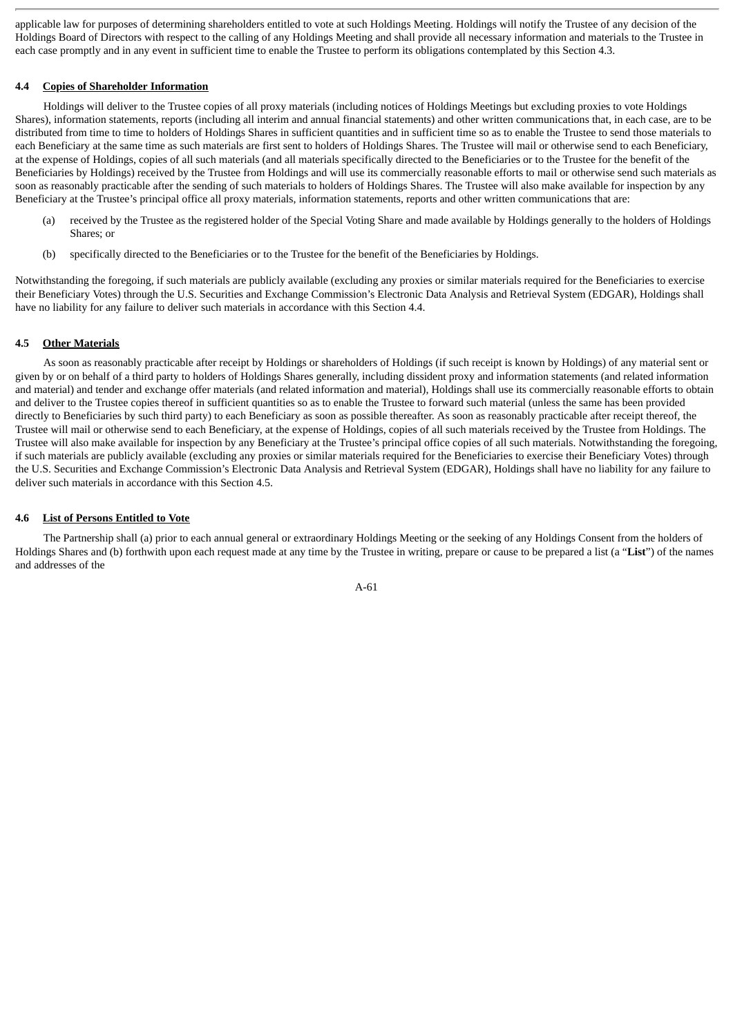applicable law for purposes of determining shareholders entitled to vote at such Holdings Meeting. Holdings will notify the Trustee of any decision of the Holdings Board of Directors with respect to the calling of any Holdings Meeting and shall provide all necessary information and materials to the Trustee in each case promptly and in any event in sufficient time to enable the Trustee to perform its obligations contemplated by this Section 4.3.

## **4.4 Copies of Shareholder Information**

Holdings will deliver to the Trustee copies of all proxy materials (including notices of Holdings Meetings but excluding proxies to vote Holdings Shares), information statements, reports (including all interim and annual financial statements) and other written communications that, in each case, are to be distributed from time to time to holders of Holdings Shares in sufficient quantities and in sufficient time so as to enable the Trustee to send those materials to each Beneficiary at the same time as such materials are first sent to holders of Holdings Shares. The Trustee will mail or otherwise send to each Beneficiary, at the expense of Holdings, copies of all such materials (and all materials specifically directed to the Beneficiaries or to the Trustee for the benefit of the Beneficiaries by Holdings) received by the Trustee from Holdings and will use its commercially reasonable efforts to mail or otherwise send such materials as soon as reasonably practicable after the sending of such materials to holders of Holdings Shares. The Trustee will also make available for inspection by any Beneficiary at the Trustee's principal office all proxy materials, information statements, reports and other written communications that are:

- (a) received by the Trustee as the registered holder of the Special Voting Share and made available by Holdings generally to the holders of Holdings Shares; or
- (b) specifically directed to the Beneficiaries or to the Trustee for the benefit of the Beneficiaries by Holdings.

Notwithstanding the foregoing, if such materials are publicly available (excluding any proxies or similar materials required for the Beneficiaries to exercise their Beneficiary Votes) through the U.S. Securities and Exchange Commission's Electronic Data Analysis and Retrieval System (EDGAR), Holdings shall have no liability for any failure to deliver such materials in accordance with this Section 4.4.

# **4.5 Other Materials**

As soon as reasonably practicable after receipt by Holdings or shareholders of Holdings (if such receipt is known by Holdings) of any material sent or given by or on behalf of a third party to holders of Holdings Shares generally, including dissident proxy and information statements (and related information and material) and tender and exchange offer materials (and related information and material), Holdings shall use its commercially reasonable efforts to obtain and deliver to the Trustee copies thereof in sufficient quantities so as to enable the Trustee to forward such material (unless the same has been provided directly to Beneficiaries by such third party) to each Beneficiary as soon as possible thereafter. As soon as reasonably practicable after receipt thereof, the Trustee will mail or otherwise send to each Beneficiary, at the expense of Holdings, copies of all such materials received by the Trustee from Holdings. The Trustee will also make available for inspection by any Beneficiary at the Trustee's principal office copies of all such materials. Notwithstanding the foregoing, if such materials are publicly available (excluding any proxies or similar materials required for the Beneficiaries to exercise their Beneficiary Votes) through the U.S. Securities and Exchange Commission's Electronic Data Analysis and Retrieval System (EDGAR), Holdings shall have no liability for any failure to deliver such materials in accordance with this Section 4.5.

## **4.6 List of Persons Entitled to Vote**

The Partnership shall (a) prior to each annual general or extraordinary Holdings Meeting or the seeking of any Holdings Consent from the holders of Holdings Shares and (b) forthwith upon each request made at any time by the Trustee in writing, prepare or cause to be prepared a list (a "**List**") of the names and addresses of the

$$
A-61
$$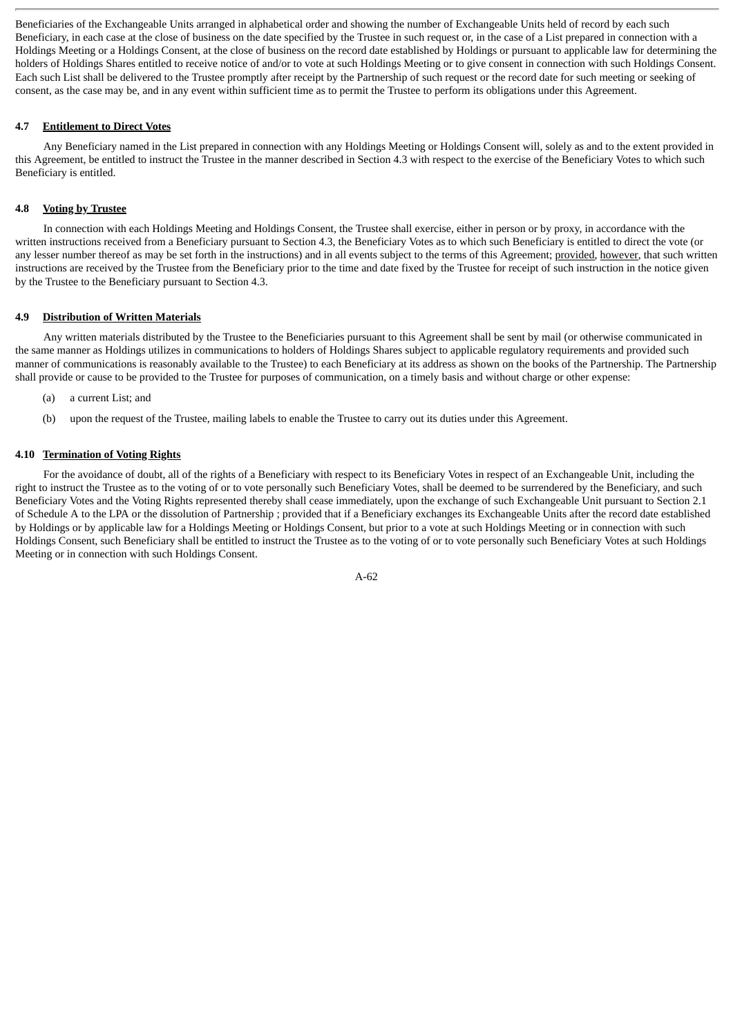Beneficiaries of the Exchangeable Units arranged in alphabetical order and showing the number of Exchangeable Units held of record by each such Beneficiary, in each case at the close of business on the date specified by the Trustee in such request or, in the case of a List prepared in connection with a Holdings Meeting or a Holdings Consent, at the close of business on the record date established by Holdings or pursuant to applicable law for determining the holders of Holdings Shares entitled to receive notice of and/or to vote at such Holdings Meeting or to give consent in connection with such Holdings Consent. Each such List shall be delivered to the Trustee promptly after receipt by the Partnership of such request or the record date for such meeting or seeking of consent, as the case may be, and in any event within sufficient time as to permit the Trustee to perform its obligations under this Agreement.

# **4.7 Entitlement to Direct Votes**

Any Beneficiary named in the List prepared in connection with any Holdings Meeting or Holdings Consent will, solely as and to the extent provided in this Agreement, be entitled to instruct the Trustee in the manner described in Section 4.3 with respect to the exercise of the Beneficiary Votes to which such Beneficiary is entitled.

# **4.8 Voting by Trustee**

In connection with each Holdings Meeting and Holdings Consent, the Trustee shall exercise, either in person or by proxy, in accordance with the written instructions received from a Beneficiary pursuant to Section 4.3, the Beneficiary Votes as to which such Beneficiary is entitled to direct the vote (or any lesser number thereof as may be set forth in the instructions) and in all events subject to the terms of this Agreement; provided, however, that such written instructions are received by the Trustee from the Beneficiary prior to the time and date fixed by the Trustee for receipt of such instruction in the notice given by the Trustee to the Beneficiary pursuant to Section 4.3.

# **4.9 Distribution of Written Materials**

Any written materials distributed by the Trustee to the Beneficiaries pursuant to this Agreement shall be sent by mail (or otherwise communicated in the same manner as Holdings utilizes in communications to holders of Holdings Shares subject to applicable regulatory requirements and provided such manner of communications is reasonably available to the Trustee) to each Beneficiary at its address as shown on the books of the Partnership. The Partnership shall provide or cause to be provided to the Trustee for purposes of communication, on a timely basis and without charge or other expense:

- (a) a current List; and
- (b) upon the request of the Trustee, mailing labels to enable the Trustee to carry out its duties under this Agreement.

# **4.10 Termination of Voting Rights**

For the avoidance of doubt, all of the rights of a Beneficiary with respect to its Beneficiary Votes in respect of an Exchangeable Unit, including the right to instruct the Trustee as to the voting of or to vote personally such Beneficiary Votes, shall be deemed to be surrendered by the Beneficiary, and such Beneficiary Votes and the Voting Rights represented thereby shall cease immediately, upon the exchange of such Exchangeable Unit pursuant to Section 2.1 of Schedule A to the LPA or the dissolution of Partnership ; provided that if a Beneficiary exchanges its Exchangeable Units after the record date established by Holdings or by applicable law for a Holdings Meeting or Holdings Consent, but prior to a vote at such Holdings Meeting or in connection with such Holdings Consent, such Beneficiary shall be entitled to instruct the Trustee as to the voting of or to vote personally such Beneficiary Votes at such Holdings Meeting or in connection with such Holdings Consent.

$$
A-62
$$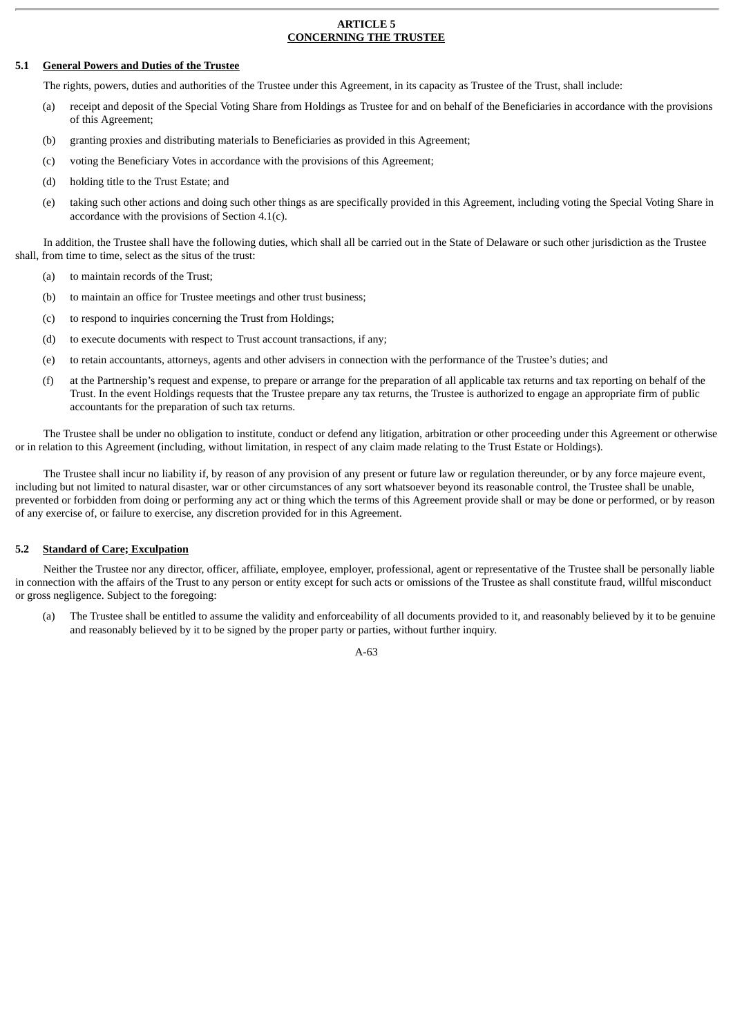## **ARTICLE 5 CONCERNING THE TRUSTEE**

# **5.1 General Powers and Duties of the Trustee**

The rights, powers, duties and authorities of the Trustee under this Agreement, in its capacity as Trustee of the Trust, shall include:

- (a) receipt and deposit of the Special Voting Share from Holdings as Trustee for and on behalf of the Beneficiaries in accordance with the provisions of this Agreement;
- (b) granting proxies and distributing materials to Beneficiaries as provided in this Agreement;
- (c) voting the Beneficiary Votes in accordance with the provisions of this Agreement;
- (d) holding title to the Trust Estate; and
- (e) taking such other actions and doing such other things as are specifically provided in this Agreement, including voting the Special Voting Share in accordance with the provisions of Section 4.1(c).

In addition, the Trustee shall have the following duties, which shall all be carried out in the State of Delaware or such other jurisdiction as the Trustee shall, from time to time, select as the situs of the trust:

- (a) to maintain records of the Trust;
- (b) to maintain an office for Trustee meetings and other trust business;
- (c) to respond to inquiries concerning the Trust from Holdings;
- (d) to execute documents with respect to Trust account transactions, if any;
- (e) to retain accountants, attorneys, agents and other advisers in connection with the performance of the Trustee's duties; and
- (f) at the Partnership's request and expense, to prepare or arrange for the preparation of all applicable tax returns and tax reporting on behalf of the Trust. In the event Holdings requests that the Trustee prepare any tax returns, the Trustee is authorized to engage an appropriate firm of public accountants for the preparation of such tax returns.

The Trustee shall be under no obligation to institute, conduct or defend any litigation, arbitration or other proceeding under this Agreement or otherwise or in relation to this Agreement (including, without limitation, in respect of any claim made relating to the Trust Estate or Holdings).

The Trustee shall incur no liability if, by reason of any provision of any present or future law or regulation thereunder, or by any force majeure event, including but not limited to natural disaster, war or other circumstances of any sort whatsoever beyond its reasonable control, the Trustee shall be unable, prevented or forbidden from doing or performing any act or thing which the terms of this Agreement provide shall or may be done or performed, or by reason of any exercise of, or failure to exercise, any discretion provided for in this Agreement.

## **5.2 Standard of Care; Exculpation**

Neither the Trustee nor any director, officer, affiliate, employee, employer, professional, agent or representative of the Trustee shall be personally liable in connection with the affairs of the Trust to any person or entity except for such acts or omissions of the Trustee as shall constitute fraud, willful misconduct or gross negligence. Subject to the foregoing:

(a) The Trustee shall be entitled to assume the validity and enforceability of all documents provided to it, and reasonably believed by it to be genuine and reasonably believed by it to be signed by the proper party or parties, without further inquiry.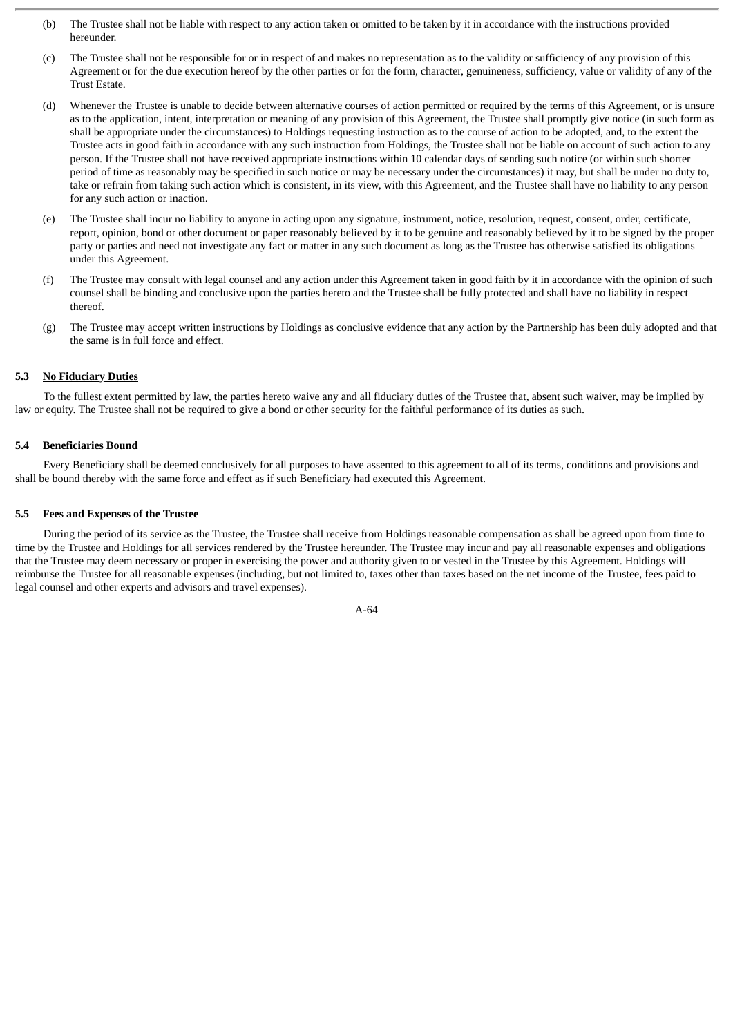- (b) The Trustee shall not be liable with respect to any action taken or omitted to be taken by it in accordance with the instructions provided hereunder.
- (c) The Trustee shall not be responsible for or in respect of and makes no representation as to the validity or sufficiency of any provision of this Agreement or for the due execution hereof by the other parties or for the form, character, genuineness, sufficiency, value or validity of any of the Trust Estate.
- (d) Whenever the Trustee is unable to decide between alternative courses of action permitted or required by the terms of this Agreement, or is unsure as to the application, intent, interpretation or meaning of any provision of this Agreement, the Trustee shall promptly give notice (in such form as shall be appropriate under the circumstances) to Holdings requesting instruction as to the course of action to be adopted, and, to the extent the Trustee acts in good faith in accordance with any such instruction from Holdings, the Trustee shall not be liable on account of such action to any person. If the Trustee shall not have received appropriate instructions within 10 calendar days of sending such notice (or within such shorter period of time as reasonably may be specified in such notice or may be necessary under the circumstances) it may, but shall be under no duty to, take or refrain from taking such action which is consistent, in its view, with this Agreement, and the Trustee shall have no liability to any person for any such action or inaction.
- (e) The Trustee shall incur no liability to anyone in acting upon any signature, instrument, notice, resolution, request, consent, order, certificate, report, opinion, bond or other document or paper reasonably believed by it to be genuine and reasonably believed by it to be signed by the proper party or parties and need not investigate any fact or matter in any such document as long as the Trustee has otherwise satisfied its obligations under this Agreement.
- (f) The Trustee may consult with legal counsel and any action under this Agreement taken in good faith by it in accordance with the opinion of such counsel shall be binding and conclusive upon the parties hereto and the Trustee shall be fully protected and shall have no liability in respect thereof.
- (g) The Trustee may accept written instructions by Holdings as conclusive evidence that any action by the Partnership has been duly adopted and that the same is in full force and effect.

# **5.3 No Fiduciary Duties**

To the fullest extent permitted by law, the parties hereto waive any and all fiduciary duties of the Trustee that, absent such waiver, may be implied by law or equity. The Trustee shall not be required to give a bond or other security for the faithful performance of its duties as such.

# **5.4 Beneficiaries Bound**

Every Beneficiary shall be deemed conclusively for all purposes to have assented to this agreement to all of its terms, conditions and provisions and shall be bound thereby with the same force and effect as if such Beneficiary had executed this Agreement.

## **5.5 Fees and Expenses of the Trustee**

During the period of its service as the Trustee, the Trustee shall receive from Holdings reasonable compensation as shall be agreed upon from time to time by the Trustee and Holdings for all services rendered by the Trustee hereunder. The Trustee may incur and pay all reasonable expenses and obligations that the Trustee may deem necessary or proper in exercising the power and authority given to or vested in the Trustee by this Agreement. Holdings will reimburse the Trustee for all reasonable expenses (including, but not limited to, taxes other than taxes based on the net income of the Trustee, fees paid to legal counsel and other experts and advisors and travel expenses).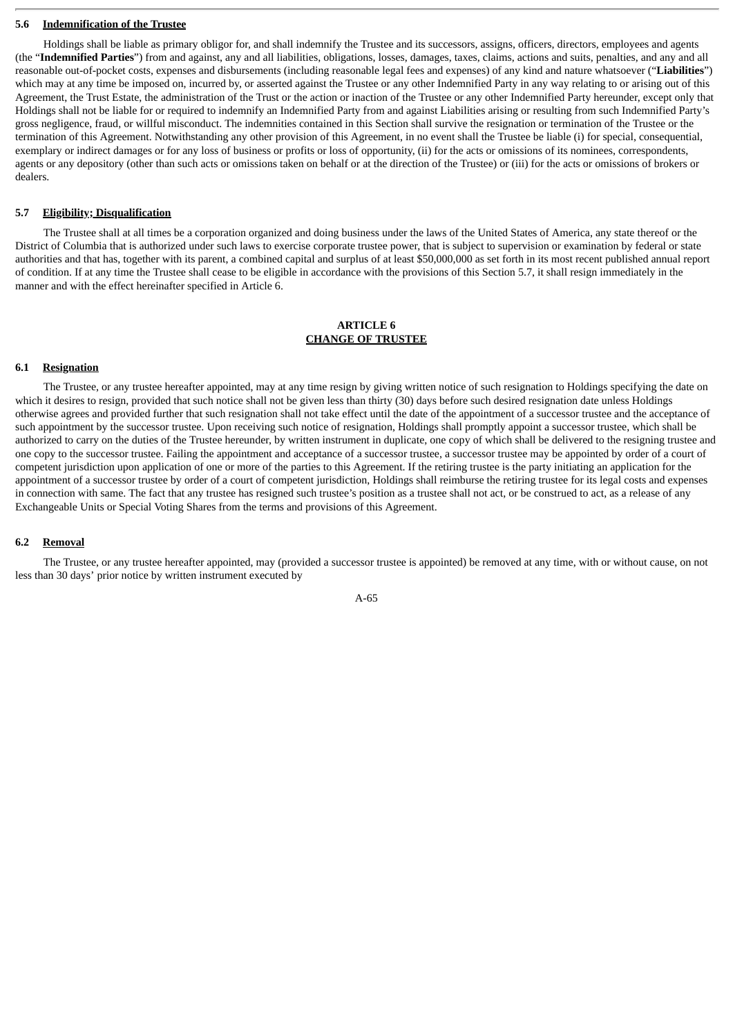#### **5.6 Indemnification of the Trustee**

Holdings shall be liable as primary obligor for, and shall indemnify the Trustee and its successors, assigns, officers, directors, employees and agents (the "**Indemnified Parties**") from and against, any and all liabilities, obligations, losses, damages, taxes, claims, actions and suits, penalties, and any and all reasonable out-of-pocket costs, expenses and disbursements (including reasonable legal fees and expenses) of any kind and nature whatsoever ("**Liabilities**") which may at any time be imposed on, incurred by, or asserted against the Trustee or any other Indemnified Party in any way relating to or arising out of this Agreement, the Trust Estate, the administration of the Trust or the action or inaction of the Trustee or any other Indemnified Party hereunder, except only that Holdings shall not be liable for or required to indemnify an Indemnified Party from and against Liabilities arising or resulting from such Indemnified Party's gross negligence, fraud, or willful misconduct. The indemnities contained in this Section shall survive the resignation or termination of the Trustee or the termination of this Agreement. Notwithstanding any other provision of this Agreement, in no event shall the Trustee be liable (i) for special, consequential, exemplary or indirect damages or for any loss of business or profits or loss of opportunity, (ii) for the acts or omissions of its nominees, correspondents, agents or any depository (other than such acts or omissions taken on behalf or at the direction of the Trustee) or (iii) for the acts or omissions of brokers or dealers.

#### **5.7 Eligibility; Disqualification**

The Trustee shall at all times be a corporation organized and doing business under the laws of the United States of America, any state thereof or the District of Columbia that is authorized under such laws to exercise corporate trustee power, that is subject to supervision or examination by federal or state authorities and that has, together with its parent, a combined capital and surplus of at least \$50,000,000 as set forth in its most recent published annual report of condition. If at any time the Trustee shall cease to be eligible in accordance with the provisions of this Section 5.7, it shall resign immediately in the manner and with the effect hereinafter specified in Article 6.

## **ARTICLE 6 CHANGE OF TRUSTEE**

#### **6.1 Resignation**

The Trustee, or any trustee hereafter appointed, may at any time resign by giving written notice of such resignation to Holdings specifying the date on which it desires to resign, provided that such notice shall not be given less than thirty (30) days before such desired resignation date unless Holdings otherwise agrees and provided further that such resignation shall not take effect until the date of the appointment of a successor trustee and the acceptance of such appointment by the successor trustee. Upon receiving such notice of resignation, Holdings shall promptly appoint a successor trustee, which shall be authorized to carry on the duties of the Trustee hereunder, by written instrument in duplicate, one copy of which shall be delivered to the resigning trustee and one copy to the successor trustee. Failing the appointment and acceptance of a successor trustee, a successor trustee may be appointed by order of a court of competent jurisdiction upon application of one or more of the parties to this Agreement. If the retiring trustee is the party initiating an application for the appointment of a successor trustee by order of a court of competent jurisdiction, Holdings shall reimburse the retiring trustee for its legal costs and expenses in connection with same. The fact that any trustee has resigned such trustee's position as a trustee shall not act, or be construed to act, as a release of any Exchangeable Units or Special Voting Shares from the terms and provisions of this Agreement.

#### **6.2 Removal**

The Trustee, or any trustee hereafter appointed, may (provided a successor trustee is appointed) be removed at any time, with or without cause, on not less than 30 days' prior notice by written instrument executed by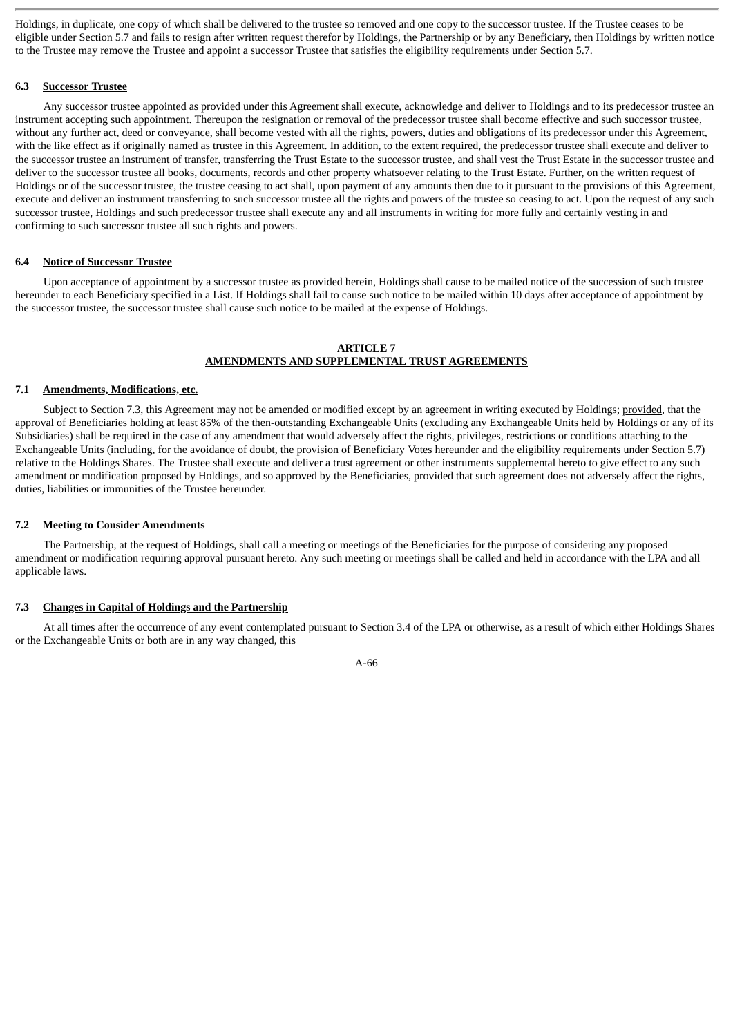Holdings, in duplicate, one copy of which shall be delivered to the trustee so removed and one copy to the successor trustee. If the Trustee ceases to be eligible under Section 5.7 and fails to resign after written request therefor by Holdings, the Partnership or by any Beneficiary, then Holdings by written notice to the Trustee may remove the Trustee and appoint a successor Trustee that satisfies the eligibility requirements under Section 5.7.

# **6.3 Successor Trustee**

Any successor trustee appointed as provided under this Agreement shall execute, acknowledge and deliver to Holdings and to its predecessor trustee an instrument accepting such appointment. Thereupon the resignation or removal of the predecessor trustee shall become effective and such successor trustee, without any further act, deed or conveyance, shall become vested with all the rights, powers, duties and obligations of its predecessor under this Agreement, with the like effect as if originally named as trustee in this Agreement. In addition, to the extent required, the predecessor trustee shall execute and deliver to the successor trustee an instrument of transfer, transferring the Trust Estate to the successor trustee, and shall vest the Trust Estate in the successor trustee and deliver to the successor trustee all books, documents, records and other property whatsoever relating to the Trust Estate. Further, on the written request of Holdings or of the successor trustee, the trustee ceasing to act shall, upon payment of any amounts then due to it pursuant to the provisions of this Agreement, execute and deliver an instrument transferring to such successor trustee all the rights and powers of the trustee so ceasing to act. Upon the request of any such successor trustee, Holdings and such predecessor trustee shall execute any and all instruments in writing for more fully and certainly vesting in and confirming to such successor trustee all such rights and powers.

#### **6.4 Notice of Successor Trustee**

Upon acceptance of appointment by a successor trustee as provided herein, Holdings shall cause to be mailed notice of the succession of such trustee hereunder to each Beneficiary specified in a List. If Holdings shall fail to cause such notice to be mailed within 10 days after acceptance of appointment by the successor trustee, the successor trustee shall cause such notice to be mailed at the expense of Holdings.

## **ARTICLE 7 AMENDMENTS AND SUPPLEMENTAL TRUST AGREEMENTS**

#### **7.1 Amendments, Modifications, etc.**

Subject to Section 7.3, this Agreement may not be amended or modified except by an agreement in writing executed by Holdings; provided, that the approval of Beneficiaries holding at least 85% of the then-outstanding Exchangeable Units (excluding any Exchangeable Units held by Holdings or any of its Subsidiaries) shall be required in the case of any amendment that would adversely affect the rights, privileges, restrictions or conditions attaching to the Exchangeable Units (including, for the avoidance of doubt, the provision of Beneficiary Votes hereunder and the eligibility requirements under Section 5.7) relative to the Holdings Shares. The Trustee shall execute and deliver a trust agreement or other instruments supplemental hereto to give effect to any such amendment or modification proposed by Holdings, and so approved by the Beneficiaries, provided that such agreement does not adversely affect the rights, duties, liabilities or immunities of the Trustee hereunder.

#### **7.2 Meeting to Consider Amendments**

The Partnership, at the request of Holdings, shall call a meeting or meetings of the Beneficiaries for the purpose of considering any proposed amendment or modification requiring approval pursuant hereto. Any such meeting or meetings shall be called and held in accordance with the LPA and all applicable laws.

#### **7.3 Changes in Capital of Holdings and the Partnership**

At all times after the occurrence of any event contemplated pursuant to Section 3.4 of the LPA or otherwise, as a result of which either Holdings Shares or the Exchangeable Units or both are in any way changed, this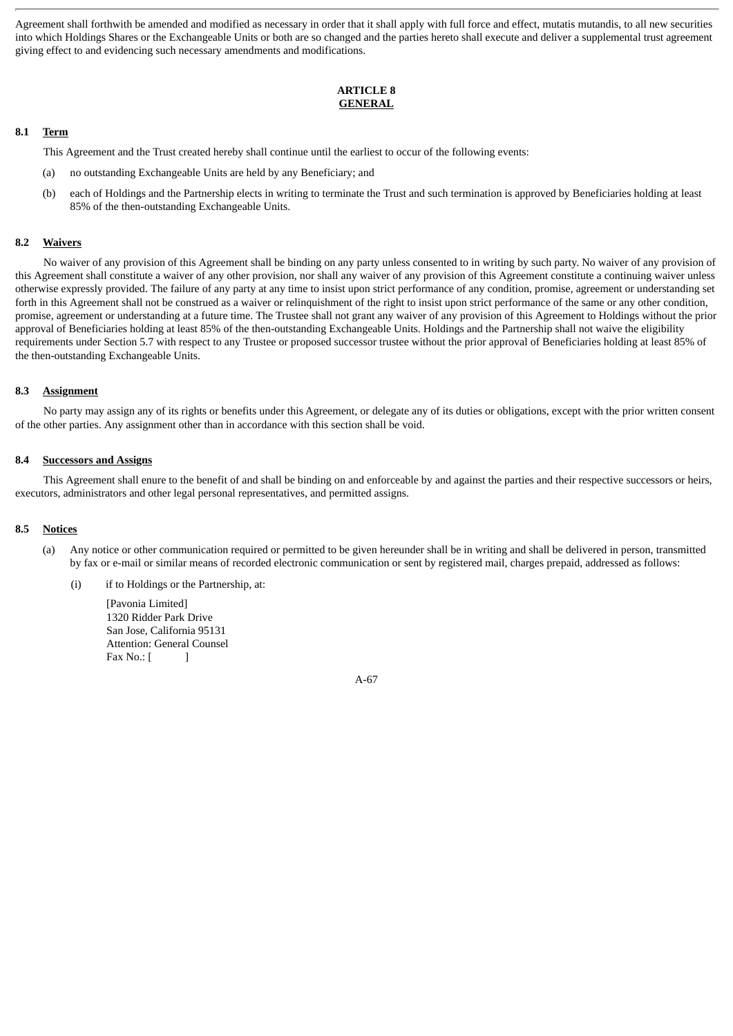Agreement shall forthwith be amended and modified as necessary in order that it shall apply with full force and effect, mutatis mutandis, to all new securities into which Holdings Shares or the Exchangeable Units or both are so changed and the parties hereto shall execute and deliver a supplemental trust agreement giving effect to and evidencing such necessary amendments and modifications.

# **ARTICLE 8 GENERAL**

## **8.1 Term**

This Agreement and the Trust created hereby shall continue until the earliest to occur of the following events:

- (a) no outstanding Exchangeable Units are held by any Beneficiary; and
- (b) each of Holdings and the Partnership elects in writing to terminate the Trust and such termination is approved by Beneficiaries holding at least 85% of the then-outstanding Exchangeable Units.

## **8.2 Waivers**

No waiver of any provision of this Agreement shall be binding on any party unless consented to in writing by such party. No waiver of any provision of this Agreement shall constitute a waiver of any other provision, nor shall any waiver of any provision of this Agreement constitute a continuing waiver unless otherwise expressly provided. The failure of any party at any time to insist upon strict performance of any condition, promise, agreement or understanding set forth in this Agreement shall not be construed as a waiver or relinquishment of the right to insist upon strict performance of the same or any other condition, promise, agreement or understanding at a future time. The Trustee shall not grant any waiver of any provision of this Agreement to Holdings without the prior approval of Beneficiaries holding at least 85% of the then-outstanding Exchangeable Units. Holdings and the Partnership shall not waive the eligibility requirements under Section 5.7 with respect to any Trustee or proposed successor trustee without the prior approval of Beneficiaries holding at least 85% of the then-outstanding Exchangeable Units.

#### **8.3 Assignment**

No party may assign any of its rights or benefits under this Agreement, or delegate any of its duties or obligations, except with the prior written consent of the other parties. Any assignment other than in accordance with this section shall be void.

#### **8.4 Successors and Assigns**

This Agreement shall enure to the benefit of and shall be binding on and enforceable by and against the parties and their respective successors or heirs, executors, administrators and other legal personal representatives, and permitted assigns.

#### **8.5 Notices**

- (a) Any notice or other communication required or permitted to be given hereunder shall be in writing and shall be delivered in person, transmitted by fax or e-mail or similar means of recorded electronic communication or sent by registered mail, charges prepaid, addressed as follows:
	- (i) if to Holdings or the Partnership, at:

[Pavonia Limited] 1320 Ridder Park Drive San Jose, California 95131 Attention: General Counsel Fax  $No.:$  [ ]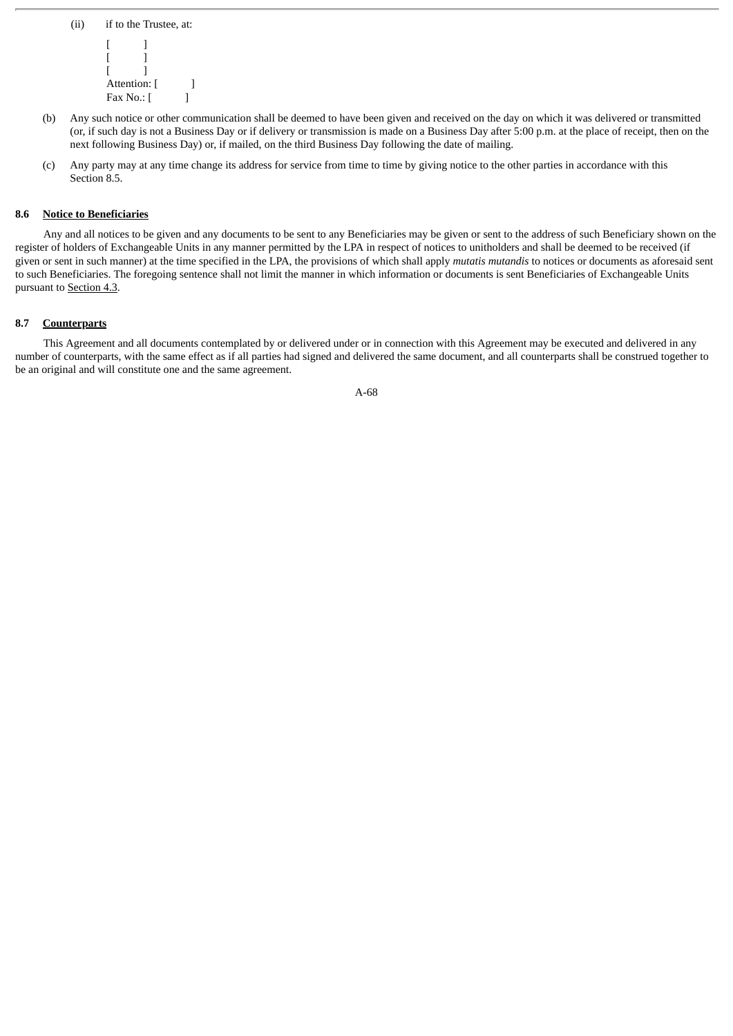```
(ii) if to the Trustee, at:
 [ ][ ][\quad]Attention: [ ]
Fax No.: [ ]
```
- (b) Any such notice or other communication shall be deemed to have been given and received on the day on which it was delivered or transmitted (or, if such day is not a Business Day or if delivery or transmission is made on a Business Day after 5:00 p.m. at the place of receipt, then on the next following Business Day) or, if mailed, on the third Business Day following the date of mailing.
- (c) Any party may at any time change its address for service from time to time by giving notice to the other parties in accordance with this Section 8.5.

## **8.6 Notice to Beneficiaries**

Any and all notices to be given and any documents to be sent to any Beneficiaries may be given or sent to the address of such Beneficiary shown on the register of holders of Exchangeable Units in any manner permitted by the LPA in respect of notices to unitholders and shall be deemed to be received (if given or sent in such manner) at the time specified in the LPA, the provisions of which shall apply *mutatis mutandis* to notices or documents as aforesaid sent to such Beneficiaries. The foregoing sentence shall not limit the manner in which information or documents is sent Beneficiaries of Exchangeable Units pursuant to Section 4.3.

# **8.7 Counterparts**

This Agreement and all documents contemplated by or delivered under or in connection with this Agreement may be executed and delivered in any number of counterparts, with the same effect as if all parties had signed and delivered the same document, and all counterparts shall be construed together to be an original and will constitute one and the same agreement.

A-68